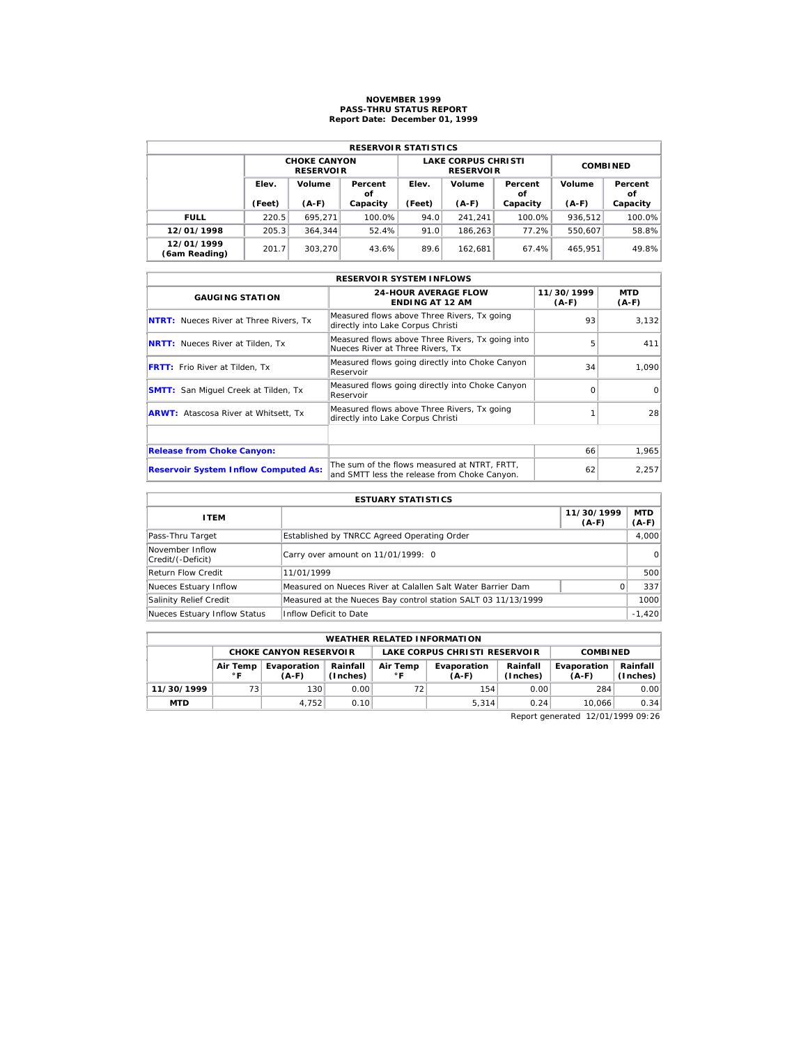## **NOVEMBER 1999 PASS-THRU STATUS REPORT Report Date: December 01, 1999**

| <b>RESERVOIR STATISTICS</b> |        |                                         |          |                 |                                                |                         |         |               |  |  |  |
|-----------------------------|--------|-----------------------------------------|----------|-----------------|------------------------------------------------|-------------------------|---------|---------------|--|--|--|
|                             |        | <b>CHOKE CANYON</b><br><b>RESERVOIR</b> |          |                 | <b>LAKE CORPUS CHRISTI</b><br><b>RESERVOIR</b> | <b>COMBINED</b>         |         |               |  |  |  |
|                             | Elev.  | Volume<br>Percent<br>οf                 |          | Volume<br>Elev. |                                                | Volume<br>Percent<br>οf |         | Percent<br>οf |  |  |  |
|                             | (Feet) | $(A-F)$                                 | Capacity | (Feet)          | $(A-F)$                                        | Capacity                | $(A-F)$ | Capacity      |  |  |  |
| <b>FULL</b>                 | 220.5  | 695.271                                 | 100.0%   | 94.0            | 241.241                                        | 100.0%                  | 936.512 | 100.0%        |  |  |  |
| 12/01/1998                  | 205.3  | 364.344                                 | 52.4%    | 91.0            | 186.263                                        | 77.2%                   | 550.607 | 58.8%         |  |  |  |
| 12/01/1999<br>(6am Reading) | 201.7  | 303.270                                 | 43.6%    | 89.6            | 162.681                                        | 67.4%                   | 465.951 | 49.8%         |  |  |  |

|                                               | <b>RESERVOIR SYSTEM INFLOWS</b>                                                              |                     |                |
|-----------------------------------------------|----------------------------------------------------------------------------------------------|---------------------|----------------|
| <b>GAUGING STATION</b>                        | <b>24-HOUR AVERAGE FLOW</b><br><b>ENDING AT 12 AM</b>                                        | 11/30/1999<br>(A-F) | MTD<br>$(A-F)$ |
| <b>NTRT:</b> Nueces River at Three Rivers, Tx | Measured flows above Three Rivers, Tx going<br>directly into Lake Corpus Christi             | 93                  | 3,132          |
| <b>NRTT:</b> Nueces River at Tilden, Tx       | Measured flows above Three Rivers, Tx going into<br>Nueces River at Three Rivers, Tx         | 5                   | 411            |
| <b>FRTT:</b> Frio River at Tilden, Tx         | Measured flows going directly into Choke Canyon<br>Reservoir                                 | 34                  | 1.090          |
| <b>SMTT:</b> San Miquel Creek at Tilden, Tx   | Measured flows going directly into Choke Canyon<br>Reservoir                                 | $\Omega$            | $\Omega$       |
| <b>ARWT:</b> Atascosa River at Whitsett, Tx   | Measured flows above Three Rivers, Tx going<br>directly into Lake Corpus Christi             |                     | 28             |
|                                               |                                                                                              |                     |                |
| <b>Release from Choke Canyon:</b>             |                                                                                              | 66                  | 1,965          |
| <b>Reservoir System Inflow Computed As:</b>   | The sum of the flows measured at NTRT, FRTT,<br>and SMTT less the release from Choke Canyon. | 62                  | 2,257          |

| <b>ESTUARY STATISTICS</b>            |                                                               |                       |                       |  |  |  |  |  |
|--------------------------------------|---------------------------------------------------------------|-----------------------|-----------------------|--|--|--|--|--|
| <b>ITEM</b>                          |                                                               | 11/30/1999<br>$(A-F)$ | <b>MTD</b><br>$(A-F)$ |  |  |  |  |  |
| Pass-Thru Target                     | Established by TNRCC Agreed Operating Order                   |                       | 4,000                 |  |  |  |  |  |
| November Inflow<br>Credit/(-Deficit) | Carry over amount on 11/01/1999: 0                            |                       | $\Omega$              |  |  |  |  |  |
| Return Flow Credit                   | 11/01/1999                                                    |                       | 500                   |  |  |  |  |  |
| Nueces Estuary Inflow                | Measured on Nueces River at Calallen Salt Water Barrier Dam   |                       | 337                   |  |  |  |  |  |
| Salinity Relief Credit               | Measured at the Nueces Bay control station SALT 03 11/13/1999 |                       | 1000                  |  |  |  |  |  |
| Nueces Estuary Inflow Status         | Inflow Deficit to Date                                        |                       | $-1,420$              |  |  |  |  |  |

| <b>WEATHER RELATED INFORMATION</b>                                         |    |                               |      |                          |                               |                      |                        |                      |  |  |
|----------------------------------------------------------------------------|----|-------------------------------|------|--------------------------|-------------------------------|----------------------|------------------------|----------------------|--|--|
|                                                                            |    | <b>CHOKE CANYON RESERVOIR</b> |      |                          | LAKE CORPUS CHRISTI RESERVOIR | <b>COMBINED</b>      |                        |                      |  |  |
| Rainfall<br>Evaporation<br>Air Temp<br>(Inches)<br>$^{\circ}$ F<br>$(A-F)$ |    |                               |      | Air Temp<br>$^{\circ}$ F | Evaporation<br>$(A-F)$        | Rainfall<br>(Inches) | Evaporation<br>$(A-F)$ | Rainfall<br>(Inches) |  |  |
| 11/30/1999                                                                 | 73 | 130                           | 0.00 |                          | 154                           | 0.00                 | 284                    | 0.00                 |  |  |
| <b>MTD</b>                                                                 |    | 4.752                         | 0.10 |                          | 5.314                         | 0.24                 | 10.066                 | 0.34                 |  |  |

Report generated 12/01/1999 09:26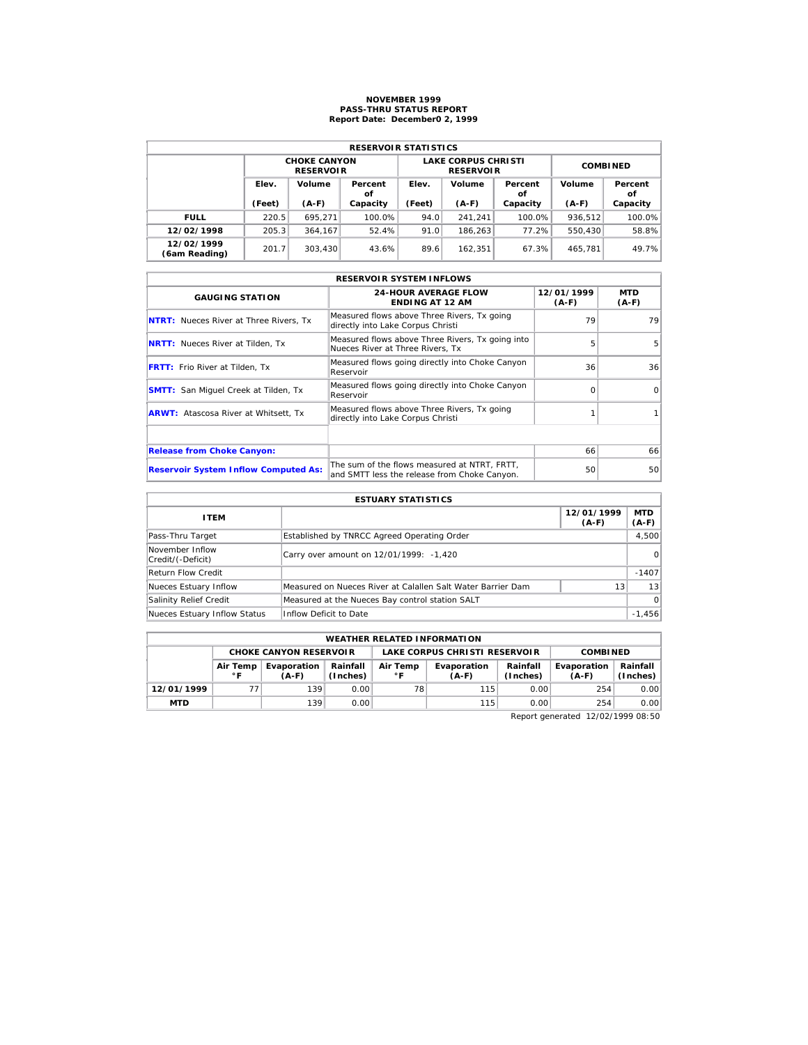## **NOVEMBER 1999 PASS-THRU STATUS REPORT Report Date: December0 2, 1999**

| <b>RESERVOIR STATISTICS</b> |        |                                         |          |                 |                                                |                         |         |               |  |  |
|-----------------------------|--------|-----------------------------------------|----------|-----------------|------------------------------------------------|-------------------------|---------|---------------|--|--|
|                             |        | <b>CHOKE CANYON</b><br><b>RESERVOIR</b> |          |                 | <b>LAKE CORPUS CHRISTI</b><br><b>RESERVOIR</b> | <b>COMBINED</b>         |         |               |  |  |
|                             | Elev.  | Volume<br>Percent<br>οf                 |          | Volume<br>Elev. |                                                | Volume<br>Percent<br>οf |         | Percent<br>οf |  |  |
|                             | (Feet) | $(A-F)$                                 | Capacity | (Feet)          | $(A-F)$                                        | Capacity                | $(A-F)$ | Capacity      |  |  |
| <b>FULL</b>                 | 220.5  | 695.271                                 | 100.0%   | 94.0            | 241.241                                        | $100.0\%$               | 936.512 | 100.0%        |  |  |
| 12/02/1998                  | 205.3  | 364.167                                 | 52.4%    | 91.0            | 186.263                                        | 77.2%                   | 550,430 | 58.8%         |  |  |
| 12/02/1999                  | 201.7  | 303.430                                 | 43.6%    | 89.6            | 162.351                                        | 67.3%                   | 465.781 | 49.7%         |  |  |

|                                               | <b>RESERVOIR SYSTEM INFLOWS</b>                                                              |                       |                       |
|-----------------------------------------------|----------------------------------------------------------------------------------------------|-----------------------|-----------------------|
| <b>GAUGING STATION</b>                        | <b>24-HOUR AVERAGE FLOW</b><br><b>ENDING AT 12 AM</b>                                        | 12/01/1999<br>$(A-F)$ | <b>MTD</b><br>$(A-F)$ |
| <b>NTRT:</b> Nueces River at Three Rivers, Tx | Measured flows above Three Rivers, Tx going<br>directly into Lake Corpus Christi             | 79                    | 79                    |
| <b>NRTT:</b> Nueces River at Tilden, Tx       | Measured flows above Three Rivers, Tx going into<br>Nueces River at Three Rivers, Tx         | 5                     | 5                     |
| <b>FRTT:</b> Frio River at Tilden, Tx         | Measured flows going directly into Choke Canyon<br>Reservoir                                 | 36                    | 36                    |
| <b>SMTT:</b> San Miquel Creek at Tilden, Tx   | Measured flows going directly into Choke Canyon<br>Reservoir                                 | ∩                     | $\Omega$              |
| <b>ARWT:</b> Atascosa River at Whitsett, Tx   | Measured flows above Three Rivers, Tx going<br>directly into Lake Corpus Christi             |                       |                       |
|                                               |                                                                                              |                       |                       |
| <b>Release from Choke Canyon:</b>             |                                                                                              | 66                    | 66                    |
| <b>Reservoir System Inflow Computed As:</b>   | The sum of the flows measured at NTRT, FRTT,<br>and SMTT less the release from Choke Canyon. | 50                    | 50                    |

| <b>ESTUARY STATISTICS</b>            |                                                             |                       |                       |  |  |  |  |  |
|--------------------------------------|-------------------------------------------------------------|-----------------------|-----------------------|--|--|--|--|--|
| <b>ITEM</b>                          |                                                             | 12/01/1999<br>$(A-F)$ | <b>MTD</b><br>$(A-F)$ |  |  |  |  |  |
| Pass-Thru Target                     | Established by TNRCC Agreed Operating Order                 |                       | 4,500                 |  |  |  |  |  |
| November Inflow<br>Credit/(-Deficit) | Carry over amount on 12/01/1999: -1,420                     |                       | $\Omega$              |  |  |  |  |  |
| Return Flow Credit                   |                                                             |                       | $-1407$               |  |  |  |  |  |
| Nueces Estuary Inflow                | Measured on Nueces River at Calallen Salt Water Barrier Dam | 13                    | 13                    |  |  |  |  |  |
| Salinity Relief Credit               | Measured at the Nueces Bay control station SALT             |                       | $\Omega$              |  |  |  |  |  |
| Nueces Estuary Inflow Status         | Inflow Deficit to Date                                      |                       | $-1,456$              |  |  |  |  |  |

| <b>WEATHER RELATED INFORMATION</b> |                          |                               |                      |                          |                               |                      |                        |                      |  |  |
|------------------------------------|--------------------------|-------------------------------|----------------------|--------------------------|-------------------------------|----------------------|------------------------|----------------------|--|--|
|                                    |                          | <b>CHOKE CANYON RESERVOIR</b> |                      |                          | LAKE CORPUS CHRISTI RESERVOIR |                      | <b>COMBINED</b>        |                      |  |  |
|                                    | Air Temp<br>$^{\circ}$ F | Evaporation<br>$(A-F)$        | Rainfall<br>(Inches) | Air Temp<br>$^{\circ}$ F | Evaporation<br>$(A-F)$        | Rainfall<br>(Inches) | Evaporation<br>$(A-F)$ | Rainfall<br>(Inches) |  |  |
| 12/01/1999                         |                          | 139                           | 0.00                 | 78                       | 115                           | 0.00                 | 254                    | 0.00                 |  |  |
| <b>MTD</b>                         |                          | 139                           | 0.001                |                          | 115                           | 0.00                 | 254                    | 0.00                 |  |  |

Report generated 12/02/1999 08:50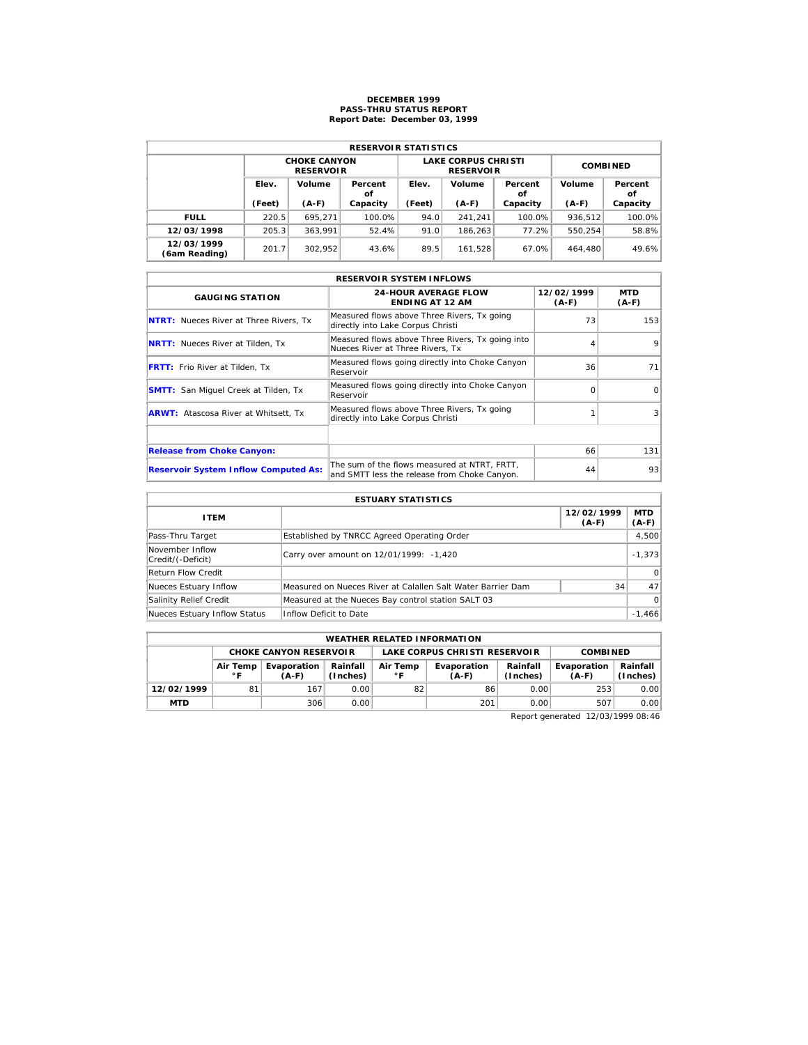## **DECEMBER 1999 PASS-THRU STATUS REPORT Report Date: December 03, 1999**

| <b>RESERVOIR STATISTICS</b> |        |                                         |               |        |                                                |                 |         |               |  |  |
|-----------------------------|--------|-----------------------------------------|---------------|--------|------------------------------------------------|-----------------|---------|---------------|--|--|
|                             |        | <b>CHOKE CANYON</b><br><b>RESERVOIR</b> |               |        | <b>LAKE CORPUS CHRISTI</b><br><b>RESERVOIR</b> | <b>COMBINED</b> |         |               |  |  |
|                             | Elev.  | Volume                                  | Percent<br>οf | Elev.  | Volume                                         | Percent<br>οf   | Volume  | Percent<br>οf |  |  |
|                             | (Feet) | $(A-F)$                                 | Capacity      | (Feet) | $(A-F)$                                        | Capacity        | $(A-F)$ | Capacity      |  |  |
| <b>FULL</b>                 | 220.5  | 695.271                                 | 100.0%        | 94.0   | 241.241                                        | $100.0\%$       | 936.512 | 100.0%        |  |  |
| 12/03/1998                  | 205.3  | 363.991                                 | 52.4%         | 91.0   | 186.263                                        | 77.2%           | 550.254 | 58.8%         |  |  |
| 12/03/1999<br>(6am Reading) | 201.7  | 302.952                                 | 43.6%         | 89.5   | 161.528                                        | 67.0%           | 464,480 | 49.6%         |  |  |

|                                               | <b>RESERVOIR SYSTEM INFLOWS</b>                                                              |                       |                       |
|-----------------------------------------------|----------------------------------------------------------------------------------------------|-----------------------|-----------------------|
| <b>GAUGING STATION</b>                        | <b>24-HOUR AVERAGE FLOW</b><br><b>ENDING AT 12 AM</b>                                        | 12/02/1999<br>$(A-F)$ | <b>MTD</b><br>$(A-F)$ |
| <b>NTRT:</b> Nueces River at Three Rivers, Tx | Measured flows above Three Rivers, Tx going<br>directly into Lake Corpus Christi             | 73                    | 153                   |
| <b>NRTT:</b> Nueces River at Tilden, Tx       | Measured flows above Three Rivers, Tx going into<br>Nueces River at Three Rivers, Tx         |                       | 9                     |
| <b>FRTT:</b> Frio River at Tilden, Tx         | Measured flows going directly into Choke Canyon<br>Reservoir                                 | 36                    | 71                    |
| <b>SMTT:</b> San Miquel Creek at Tilden, Tx   | Measured flows going directly into Choke Canyon<br>Reservoir                                 | ∩                     | $\Omega$              |
| <b>ARWT:</b> Atascosa River at Whitsett, Tx   | Measured flows above Three Rivers, Tx going<br>directly into Lake Corpus Christi             |                       | 3                     |
|                                               |                                                                                              |                       |                       |
| <b>Release from Choke Canyon:</b>             |                                                                                              | 66                    | 131                   |
| <b>Reservoir System Inflow Computed As:</b>   | The sum of the flows measured at NTRT, FRTT,<br>and SMTT less the release from Choke Canyon. | 44                    | 93                    |

| <b>ESTUARY STATISTICS</b>            |                                                             |                       |                       |  |  |  |  |  |
|--------------------------------------|-------------------------------------------------------------|-----------------------|-----------------------|--|--|--|--|--|
| <b>ITEM</b>                          |                                                             | 12/02/1999<br>$(A-F)$ | <b>MTD</b><br>$(A-F)$ |  |  |  |  |  |
| Pass-Thru Target                     | Established by TNRCC Agreed Operating Order                 |                       | 4,500                 |  |  |  |  |  |
| November Inflow<br>Credit/(-Deficit) | Carry over amount on 12/01/1999: -1,420                     |                       | $-1.373$              |  |  |  |  |  |
| Return Flow Credit                   |                                                             |                       | $\Omega$              |  |  |  |  |  |
| Nueces Estuary Inflow                | Measured on Nueces River at Calallen Salt Water Barrier Dam | 34                    | 47                    |  |  |  |  |  |
| Salinity Relief Credit               | Measured at the Nueces Bay control station SALT 03          |                       | $\Omega$              |  |  |  |  |  |
| Nueces Estuary Inflow Status         | Inflow Deficit to Date                                      |                       | $-1.466$              |  |  |  |  |  |

| <b>WEATHER RELATED INFORMATION</b> |                 |                               |                      |                               |                        |                      |                        |                        |  |  |
|------------------------------------|-----------------|-------------------------------|----------------------|-------------------------------|------------------------|----------------------|------------------------|------------------------|--|--|
|                                    |                 | <b>CHOKE CANYON RESERVOIR</b> |                      | LAKE CORPUS CHRISTI RESERVOIR |                        |                      | <b>COMBINED</b>        |                        |  |  |
|                                    | Air Temp<br>∘ ⊏ | Evaporation<br>$(A-F)$        | Rainfall<br>(Inches) | Air Temp<br>$^{\circ}$ C      | Evaporation<br>$(A-F)$ | Rainfall<br>(Inches) | Evaporation<br>$(A-F)$ | Rainfall  <br>(Inches) |  |  |
| 12/02/1999                         | 81              | 167                           | 0.00                 | 82                            | 86                     | 0.00                 | 253                    | 0.00                   |  |  |
| <b>MTD</b>                         |                 | 306                           | 0.00                 |                               | 201                    | 0.00                 | 507                    | 0.00                   |  |  |

Report generated 12/03/1999 08:46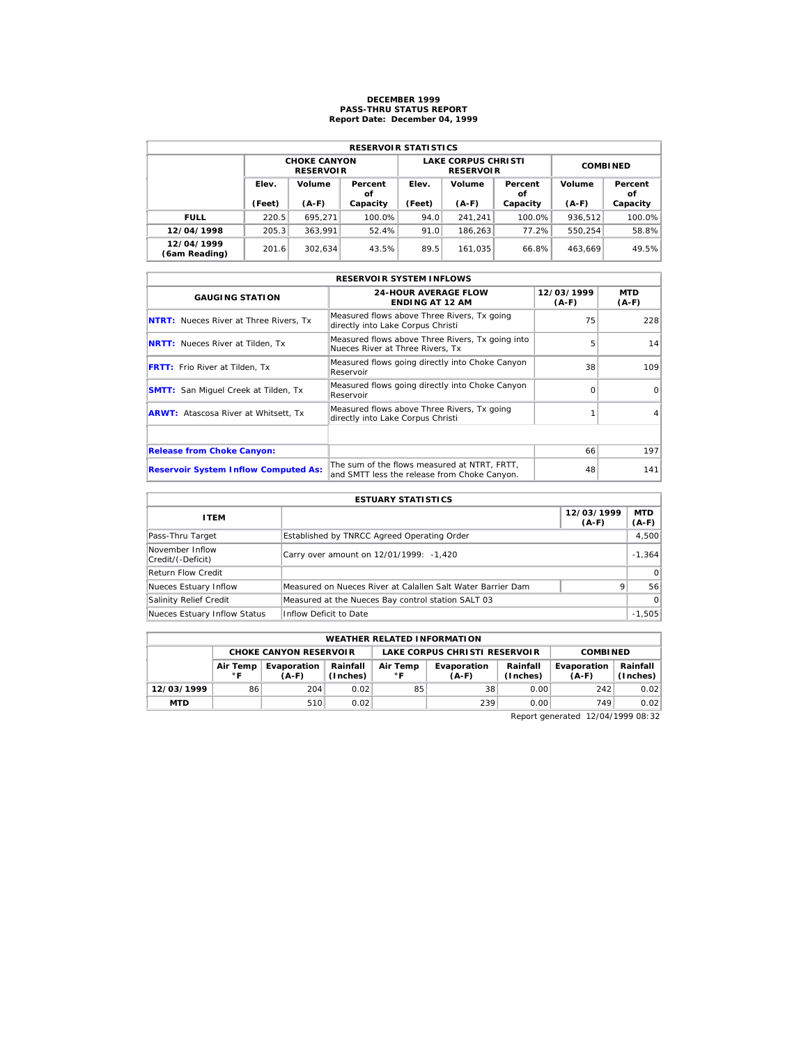## **DECEMBER 1999 PASS-THRU STATUS REPORT Report Date: December 04, 1999**

| <b>RESERVOIR STATISTICS</b> |        |                                         |          |        |                                                |                 |         |               |  |  |  |
|-----------------------------|--------|-----------------------------------------|----------|--------|------------------------------------------------|-----------------|---------|---------------|--|--|--|
|                             |        | <b>CHOKE CANYON</b><br><b>RESERVOIR</b> |          |        | <b>LAKE CORPUS CHRISTI</b><br><b>RESERVOIR</b> | <b>COMBINED</b> |         |               |  |  |  |
|                             | Elev.  | Volume<br>Percent<br>οf                 |          | Elev.  | Volume                                         | Percent<br>οf   | Volume  | Percent<br>οf |  |  |  |
|                             | (Feet) | $(A-F)$                                 | Capacity | (Feet) | $(A-F)$                                        | Capacity        | $(A-F)$ | Capacity      |  |  |  |
| <b>FULL</b>                 | 220.5  | 695.271                                 | 100.0%   | 94.0   | 241.241                                        | $100.0\%$       | 936.512 | 100.0%        |  |  |  |
| 12/04/1998                  | 205.3  | 363.991                                 | 52.4%    | 91.0   | 186.263                                        | 77.2%           | 550.254 | 58.8%         |  |  |  |
| 12/04/1999<br>(6am Reading) | 201.6  | 302.634                                 | 43.5%    | 89.5   | 161.035                                        | 66.8%           | 463.669 | 49.5%         |  |  |  |

| <b>RESERVOIR SYSTEM INFLOWS</b>               |                                                                                              |                       |                       |  |  |  |  |  |  |
|-----------------------------------------------|----------------------------------------------------------------------------------------------|-----------------------|-----------------------|--|--|--|--|--|--|
| <b>GAUGING STATION</b>                        | <b>24-HOUR AVERAGE FLOW</b><br><b>ENDING AT 12 AM</b>                                        | 12/03/1999<br>$(A-F)$ | <b>MTD</b><br>$(A-F)$ |  |  |  |  |  |  |
| <b>NTRT:</b> Nueces River at Three Rivers, Tx | Measured flows above Three Rivers, Tx going<br>directly into Lake Corpus Christi             | 75                    | 228                   |  |  |  |  |  |  |
| <b>NRTT:</b> Nueces River at Tilden, Tx       | Measured flows above Three Rivers, Tx going into<br>Nueces River at Three Rivers, Tx         | 5                     | 14                    |  |  |  |  |  |  |
| <b>FRTT:</b> Frio River at Tilden, Tx         | Measured flows going directly into Choke Canyon<br>Reservoir                                 | 38                    | 109                   |  |  |  |  |  |  |
| <b>SMTT:</b> San Miquel Creek at Tilden, Tx   | Measured flows going directly into Choke Canyon<br>Reservoir                                 | $\Omega$              | $\Omega$              |  |  |  |  |  |  |
| <b>ARWT:</b> Atascosa River at Whitsett, Tx   | Measured flows above Three Rivers, Tx going<br>directly into Lake Corpus Christi             |                       |                       |  |  |  |  |  |  |
|                                               |                                                                                              |                       |                       |  |  |  |  |  |  |
| <b>Release from Choke Canyon:</b>             |                                                                                              | 66                    | 197                   |  |  |  |  |  |  |
| <b>Reservoir System Inflow Computed As:</b>   | The sum of the flows measured at NTRT, FRTT,<br>and SMTT less the release from Choke Canyon. | 48                    | 141                   |  |  |  |  |  |  |

| <b>ESTUARY STATISTICS</b>            |                                                             |                       |                       |  |  |  |  |  |
|--------------------------------------|-------------------------------------------------------------|-----------------------|-----------------------|--|--|--|--|--|
| <b>ITEM</b>                          |                                                             | 12/03/1999<br>$(A-F)$ | <b>MTD</b><br>$(A-F)$ |  |  |  |  |  |
| Pass-Thru Target                     | Established by TNRCC Agreed Operating Order                 |                       | 4,500                 |  |  |  |  |  |
| November Inflow<br>Credit/(-Deficit) | Carry over amount on 12/01/1999: -1,420                     |                       | $-1.364$              |  |  |  |  |  |
| Return Flow Credit                   |                                                             |                       | $\Omega$              |  |  |  |  |  |
| Nueces Estuary Inflow                | Measured on Nueces River at Calallen Salt Water Barrier Dam |                       | 56                    |  |  |  |  |  |
| Salinity Relief Credit               | Measured at the Nueces Bay control station SALT 03          |                       | $\Omega$              |  |  |  |  |  |
| Nueces Estuary Inflow Status         | Inflow Deficit to Date                                      |                       | $-1.505$              |  |  |  |  |  |

| <b>WEATHER RELATED INFORMATION</b> |                                                                                        |                               |      |    |                               |                      |                        |                      |  |  |
|------------------------------------|----------------------------------------------------------------------------------------|-------------------------------|------|----|-------------------------------|----------------------|------------------------|----------------------|--|--|
|                                    |                                                                                        | <b>CHOKE CANYON RESERVOIR</b> |      |    | LAKE CORPUS CHRISTI RESERVOIR |                      | <b>COMBINED</b>        |                      |  |  |
|                                    | Rainfall<br>Air Temp<br>Evaporation<br>Air Temp<br>(Inches)<br>$^{\circ}$ F<br>$(A-F)$ |                               |      |    | Evaporation<br>$(A-F)$        | Rainfall<br>(Inches) | Evaporation<br>$(A-F)$ | Rainfall<br>(Inches) |  |  |
| 12/03/1999                         | 86                                                                                     | 204                           | 0.02 | 85 | 38                            | 0.00                 | 242                    | 0.02                 |  |  |
| <b>MTD</b>                         |                                                                                        | 510                           | 0.02 |    | 239                           | 0.00                 | 749                    | 0.02                 |  |  |

Report generated 12/04/1999 08:32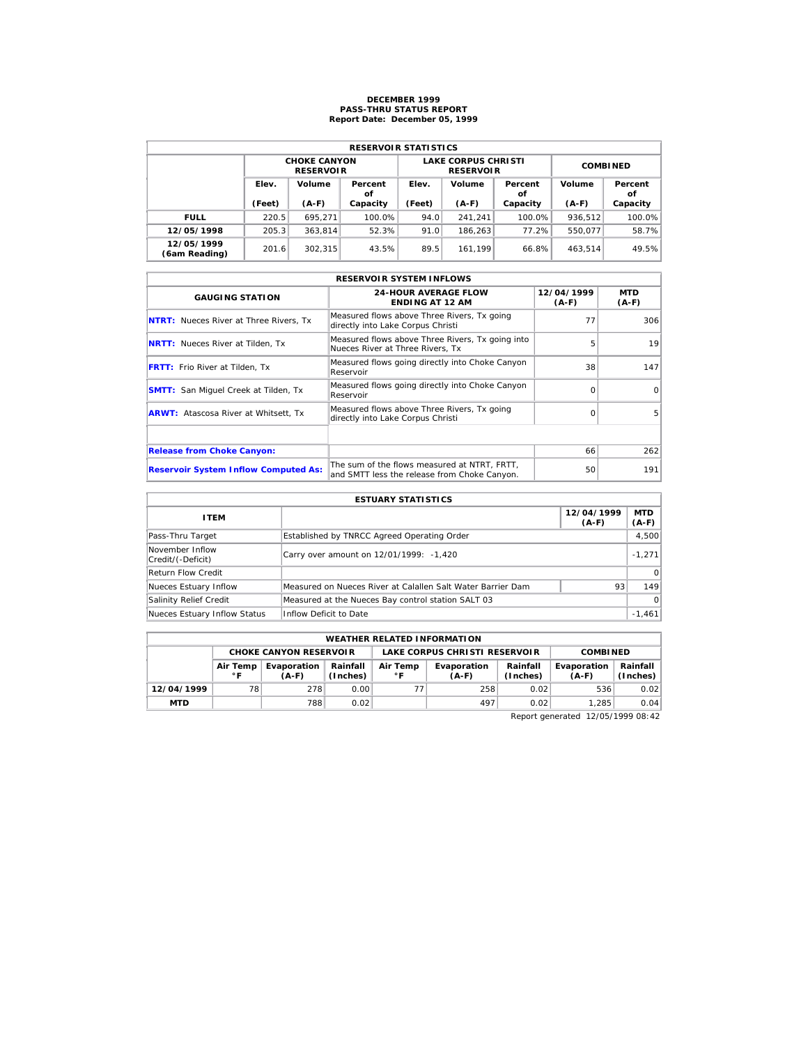## **DECEMBER 1999 PASS-THRU STATUS REPORT Report Date: December 05, 1999**

| <b>RESERVOIR STATISTICS</b> |        |                                         |          |        |                                                |                 |         |               |  |  |  |
|-----------------------------|--------|-----------------------------------------|----------|--------|------------------------------------------------|-----------------|---------|---------------|--|--|--|
|                             |        | <b>CHOKE CANYON</b><br><b>RESERVOIR</b> |          |        | <b>LAKE CORPUS CHRISTI</b><br><b>RESERVOIR</b> | <b>COMBINED</b> |         |               |  |  |  |
|                             | Elev.  | Volume<br>Percent<br>οf                 |          | Elev.  | Volume                                         | Percent<br>οf   | Volume  | Percent<br>οf |  |  |  |
|                             | (Feet) | $(A-F)$                                 | Capacity | (Feet) | $(A-F)$                                        | Capacity        | $(A-F)$ | Capacity      |  |  |  |
| <b>FULL</b>                 | 220.5  | 695.271                                 | 100.0%   | 94.0   | 241.241                                        | 100.0%          | 936.512 | 100.0%        |  |  |  |
| 12/05/1998                  | 205.3  | 363.814                                 | 52.3%    | 91.0   | 186.263                                        | 77.2%           | 550.077 | 58.7%         |  |  |  |
| 12/05/1999                  | 201.6  | 302.315                                 | 43.5%    | 89.5   | 161.199                                        | 66.8%           | 463.514 | 49.5%         |  |  |  |

| <b>RESERVOIR SYSTEM INFLOWS</b>               |                                                                                              |                       |                       |  |  |  |  |  |  |
|-----------------------------------------------|----------------------------------------------------------------------------------------------|-----------------------|-----------------------|--|--|--|--|--|--|
| <b>GAUGING STATION</b>                        | <b>24-HOUR AVERAGE FLOW</b><br><b>ENDING AT 12 AM</b>                                        | 12/04/1999<br>$(A-F)$ | <b>MTD</b><br>$(A-F)$ |  |  |  |  |  |  |
| <b>NTRT:</b> Nueces River at Three Rivers, Tx | Measured flows above Three Rivers, Tx going<br>directly into Lake Corpus Christi             | 77                    | 306                   |  |  |  |  |  |  |
| <b>NRTT:</b> Nueces River at Tilden, Tx       | Measured flows above Three Rivers, Tx going into<br>Nueces River at Three Rivers. Tx         | 5                     | 19                    |  |  |  |  |  |  |
| <b>FRTT:</b> Frio River at Tilden, Tx         | Measured flows going directly into Choke Canyon<br>Reservoir                                 | 38                    | 147                   |  |  |  |  |  |  |
| <b>SMTT:</b> San Miquel Creek at Tilden, Tx   | Measured flows going directly into Choke Canyon<br>Reservoir                                 | $\Omega$              | $\Omega$              |  |  |  |  |  |  |
| <b>ARWT:</b> Atascosa River at Whitsett, Tx   | Measured flows above Three Rivers, Tx going<br>directly into Lake Corpus Christi             | $\Omega$              | 5                     |  |  |  |  |  |  |
|                                               |                                                                                              |                       |                       |  |  |  |  |  |  |
| <b>Release from Choke Canyon:</b>             |                                                                                              | 66                    | 262                   |  |  |  |  |  |  |
| <b>Reservoir System Inflow Computed As:</b>   | The sum of the flows measured at NTRT, FRTT,<br>and SMTT less the release from Choke Canyon. | 50                    | 191                   |  |  |  |  |  |  |

| <b>ESTUARY STATISTICS</b>            |                                                             |                       |                       |  |  |  |  |  |
|--------------------------------------|-------------------------------------------------------------|-----------------------|-----------------------|--|--|--|--|--|
| <b>ITEM</b>                          |                                                             | 12/04/1999<br>$(A-F)$ | <b>MTD</b><br>$(A-F)$ |  |  |  |  |  |
| Pass-Thru Target                     | Established by TNRCC Agreed Operating Order                 |                       | 4,500                 |  |  |  |  |  |
| November Inflow<br>Credit/(-Deficit) | Carry over amount on 12/01/1999: -1,420                     |                       | $-1.271$              |  |  |  |  |  |
| Return Flow Credit                   |                                                             |                       | $\Omega$              |  |  |  |  |  |
| Nueces Estuary Inflow                | Measured on Nueces River at Calallen Salt Water Barrier Dam | 93                    | 149                   |  |  |  |  |  |
| Salinity Relief Credit               | Measured at the Nueces Bay control station SALT 03          |                       | $\Omega$              |  |  |  |  |  |
| Nueces Estuary Inflow Status         | Inflow Deficit to Date                                      |                       | $-1,461$              |  |  |  |  |  |

| <b>WEATHER RELATED INFORMATION</b> |                                                                            |                               |      |  |                               |                      |                        |                      |  |  |
|------------------------------------|----------------------------------------------------------------------------|-------------------------------|------|--|-------------------------------|----------------------|------------------------|----------------------|--|--|
|                                    |                                                                            | <b>CHOKE CANYON RESERVOIR</b> |      |  | LAKE CORPUS CHRISTI RESERVOIR |                      | <b>COMBINED</b>        |                      |  |  |
|                                    | Rainfall<br>Evaporation<br>Air Temp<br>(Inches)<br>$^{\circ}$ F<br>$(A-F)$ |                               |      |  | Evaporation<br>$(A-F)$        | Rainfall<br>(Inches) | Evaporation<br>$(A-F)$ | Rainfall<br>(Inches) |  |  |
| 12/04/1999                         | 78                                                                         | 278                           | 0.00 |  | 258                           | 0.02                 | 536                    | 0.02                 |  |  |
| <b>MTD</b>                         |                                                                            | 788                           | 0.02 |  | 497                           | 0.02                 | 1.285                  | 0.04                 |  |  |

Report generated 12/05/1999 08:42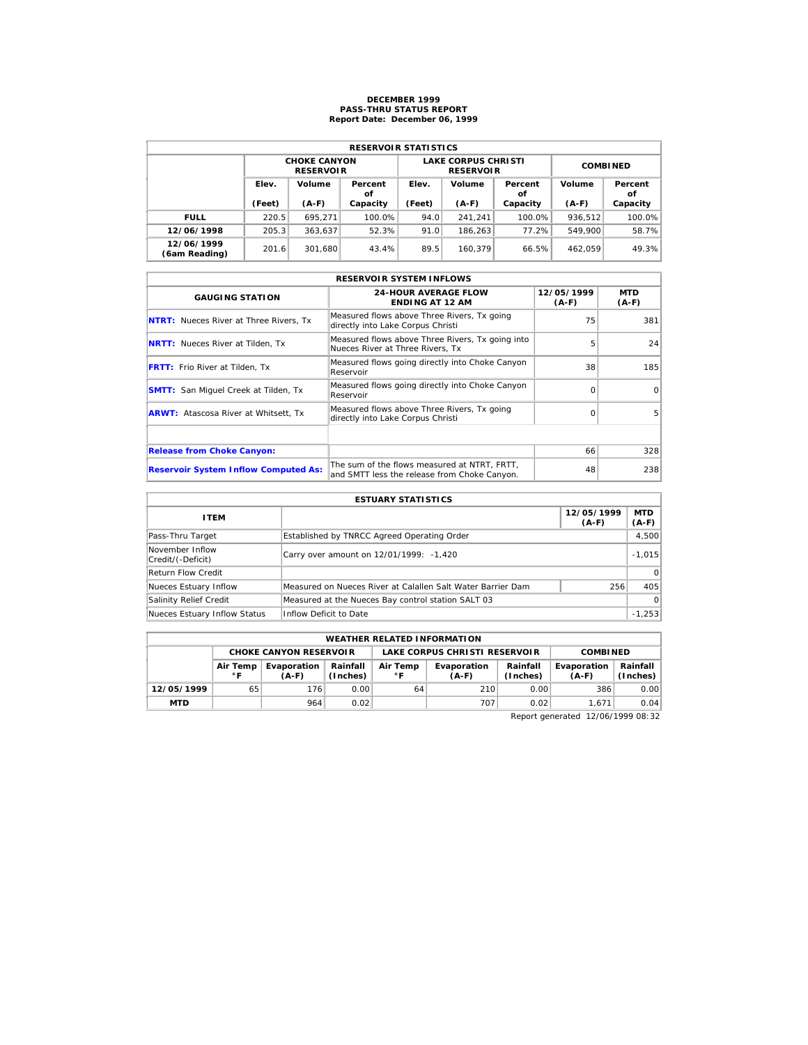## **DECEMBER 1999 PASS-THRU STATUS REPORT Report Date: December 06, 1999**

| <b>RESERVOIR STATISTICS</b> |        |                                         |          |        |                                                |                 |         |               |  |  |  |
|-----------------------------|--------|-----------------------------------------|----------|--------|------------------------------------------------|-----------------|---------|---------------|--|--|--|
|                             |        | <b>CHOKE CANYON</b><br><b>RESERVOIR</b> |          |        | <b>LAKE CORPUS CHRISTI</b><br><b>RESERVOIR</b> | <b>COMBINED</b> |         |               |  |  |  |
|                             | Elev.  | Volume<br>Percent<br>οf                 |          | Elev.  | Volume                                         | Percent<br>οf   | Volume  | Percent<br>οf |  |  |  |
|                             | (Feet) | $(A-F)$                                 | Capacity | (Feet) | $(A-F)$                                        | Capacity        | $(A-F)$ | Capacity      |  |  |  |
| <b>FULL</b>                 | 220.5  | 695.271                                 | 100.0%   | 94.0   | 241.241                                        | 100.0%          | 936.512 | 100.0%        |  |  |  |
| 12/06/1998                  | 205.3  | 363.637                                 | 52.3%    | 91.0   | 186.263                                        | 77.2%           | 549.900 | 58.7%         |  |  |  |
| 12/06/1999                  | 201.6  | 301.680                                 | 43.4%    | 89.5   | 160.379                                        | 66.5%           | 462.059 | 49.3%         |  |  |  |

| <b>RESERVOIR SYSTEM INFLOWS</b>               |                                                                                              |                     |                |  |  |  |  |  |  |
|-----------------------------------------------|----------------------------------------------------------------------------------------------|---------------------|----------------|--|--|--|--|--|--|
| <b>GAUGING STATION</b>                        | <b>24-HOUR AVERAGE FLOW</b><br><b>ENDING AT 12 AM</b>                                        | 12/05/1999<br>(A-F) | MTD<br>$(A-F)$ |  |  |  |  |  |  |
| <b>NTRT:</b> Nueces River at Three Rivers, Tx | Measured flows above Three Rivers, Tx going<br>directly into Lake Corpus Christi             | 75                  | 381            |  |  |  |  |  |  |
| <b>NRTT:</b> Nueces River at Tilden, Tx       | Measured flows above Three Rivers, Tx going into<br>Nueces River at Three Rivers, Tx         | 5                   | 24             |  |  |  |  |  |  |
| <b>FRTT:</b> Frio River at Tilden, Tx         | Measured flows going directly into Choke Canyon<br>Reservoir                                 | 38                  | 185            |  |  |  |  |  |  |
| <b>SMTT:</b> San Miquel Creek at Tilden, Tx   | Measured flows going directly into Choke Canyon<br>Reservoir                                 | $\Omega$            | $\Omega$       |  |  |  |  |  |  |
| <b>ARWT:</b> Atascosa River at Whitsett, Tx   | Measured flows above Three Rivers, Tx going<br>directly into Lake Corpus Christi             | $\Omega$            | 5              |  |  |  |  |  |  |
|                                               |                                                                                              |                     |                |  |  |  |  |  |  |
| <b>Release from Choke Canyon:</b>             |                                                                                              | 66                  | 328            |  |  |  |  |  |  |
| <b>Reservoir System Inflow Computed As:</b>   | The sum of the flows measured at NTRT, FRTT,<br>and SMTT less the release from Choke Canyon. | 48                  | 238            |  |  |  |  |  |  |

| <b>ESTUARY STATISTICS</b>            |                                                             |                       |                       |  |  |  |  |  |
|--------------------------------------|-------------------------------------------------------------|-----------------------|-----------------------|--|--|--|--|--|
| <b>ITEM</b>                          |                                                             | 12/05/1999<br>$(A-F)$ | <b>MTD</b><br>$(A-F)$ |  |  |  |  |  |
| Pass-Thru Target                     | Established by TNRCC Agreed Operating Order                 |                       | 4,500                 |  |  |  |  |  |
| November Inflow<br>Credit/(-Deficit) | Carry over amount on 12/01/1999: -1,420                     |                       | $-1.015$              |  |  |  |  |  |
| Return Flow Credit                   |                                                             |                       | $\Omega$              |  |  |  |  |  |
| Nueces Estuary Inflow                | Measured on Nueces River at Calallen Salt Water Barrier Dam | 256                   | 405                   |  |  |  |  |  |
| Salinity Relief Credit               | Measured at the Nueces Bay control station SALT 03          |                       | $\Omega$              |  |  |  |  |  |
| Nueces Estuary Inflow Status         | Inflow Deficit to Date                                      |                       | $-1.253$              |  |  |  |  |  |

| <b>WEATHER RELATED INFORMATION</b> |                                                                                        |                               |      |    |                               |                      |                        |                      |  |  |
|------------------------------------|----------------------------------------------------------------------------------------|-------------------------------|------|----|-------------------------------|----------------------|------------------------|----------------------|--|--|
|                                    |                                                                                        | <b>CHOKE CANYON RESERVOIR</b> |      |    | LAKE CORPUS CHRISTI RESERVOIR |                      | <b>COMBINED</b>        |                      |  |  |
|                                    | Rainfall<br>Air Temp<br>Evaporation<br>Air Temp<br>(Inches)<br>$^{\circ}$ F<br>$(A-F)$ |                               |      |    | Evaporation<br>$(A-F)$        | Rainfall<br>(Inches) | Evaporation<br>$(A-F)$ | Rainfall<br>(Inches) |  |  |
| 12/05/1999                         | 65                                                                                     | 176                           | 0.00 | 64 | 210                           | 0.00                 | 386                    | 0.00                 |  |  |
| <b>MTD</b>                         |                                                                                        | 964                           | 0.02 |    | 707                           | 0.02                 | 1.671                  | 0.04                 |  |  |

Report generated 12/06/1999 08:32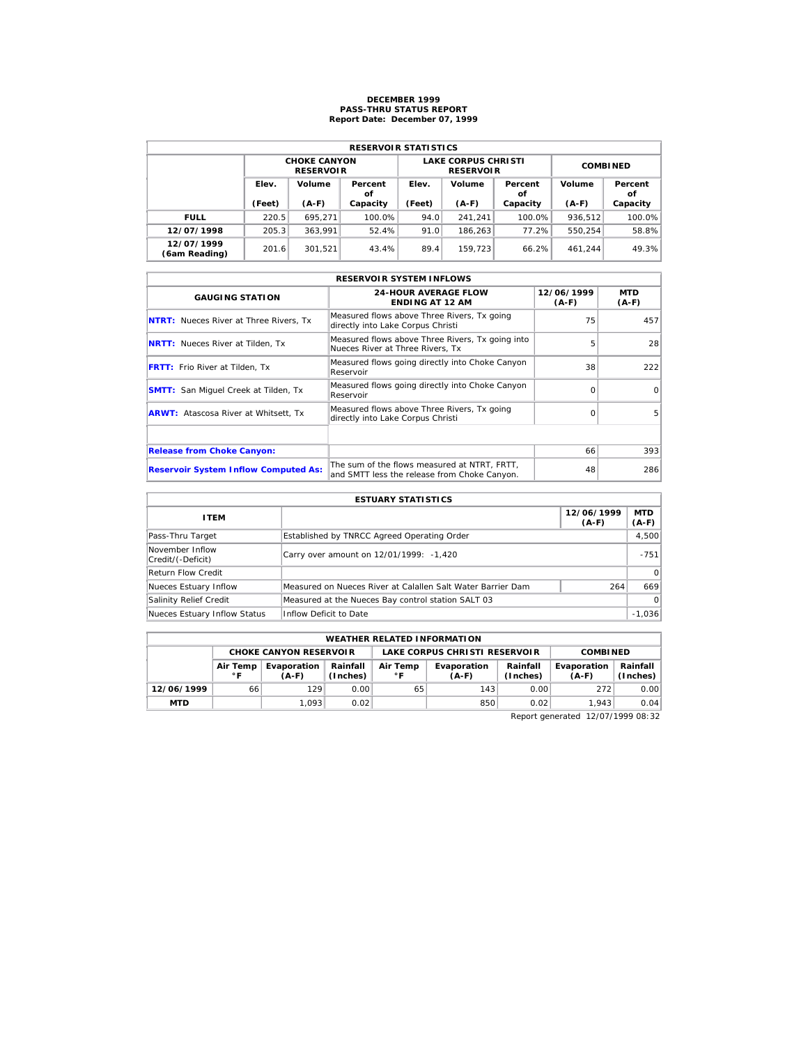## **DECEMBER 1999 PASS-THRU STATUS REPORT Report Date: December 07, 1999**

| <b>RESERVOIR STATISTICS</b> |        |                                         |               |        |                                                |                 |         |               |  |  |  |
|-----------------------------|--------|-----------------------------------------|---------------|--------|------------------------------------------------|-----------------|---------|---------------|--|--|--|
|                             |        | <b>CHOKE CANYON</b><br><b>RESERVOIR</b> |               |        | <b>LAKE CORPUS CHRISTI</b><br><b>RESERVOIR</b> | <b>COMBINED</b> |         |               |  |  |  |
|                             | Elev.  | Volume                                  | Percent<br>οf | Elev.  | Volume                                         | Percent<br>οf   | Volume  | Percent<br>οf |  |  |  |
|                             | (Feet) | $(A-F)$                                 | Capacity      | (Feet) | $(A-F)$                                        | Capacity        | $(A-F)$ | Capacity      |  |  |  |
| <b>FULL</b>                 | 220.5  | 695.271                                 | 100.0%        | 94.0   | 241.241                                        | 100.0%          | 936.512 | 100.0%        |  |  |  |
| 12/07/1998                  | 205.3  | 363.991                                 | 52.4%         | 91.0   | 186.263                                        | 77.2%           | 550.254 | 58.8%         |  |  |  |
| 12/07/1999<br>(6am Reading) | 201.6  | 301.521                                 | 43.4%         | 89.4   | 159.723                                        | 66.2%           | 461.244 | 49.3%         |  |  |  |

| <b>RESERVOIR SYSTEM INFLOWS</b>               |                                                                                              |                       |                       |  |  |  |  |  |  |
|-----------------------------------------------|----------------------------------------------------------------------------------------------|-----------------------|-----------------------|--|--|--|--|--|--|
| <b>GAUGING STATION</b>                        | <b>24-HOUR AVERAGE FLOW</b><br><b>ENDING AT 12 AM</b>                                        | 12/06/1999<br>$(A-F)$ | <b>MTD</b><br>$(A-F)$ |  |  |  |  |  |  |
| <b>NTRT:</b> Nueces River at Three Rivers, Tx | Measured flows above Three Rivers, Tx going<br>directly into Lake Corpus Christi             | 75                    | 457                   |  |  |  |  |  |  |
| <b>NRTT:</b> Nueces River at Tilden, Tx       | Measured flows above Three Rivers, Tx going into<br>Nueces River at Three Rivers. Tx         | 5                     | 28                    |  |  |  |  |  |  |
| <b>FRTT:</b> Frio River at Tilden, Tx         | Measured flows going directly into Choke Canyon<br>Reservoir                                 | 38                    | 222                   |  |  |  |  |  |  |
| <b>SMTT:</b> San Miquel Creek at Tilden, Tx   | Measured flows going directly into Choke Canyon<br>Reservoir                                 | $\Omega$              | $\Omega$              |  |  |  |  |  |  |
| <b>ARWT:</b> Atascosa River at Whitsett, Tx   | Measured flows above Three Rivers, Tx going<br>directly into Lake Corpus Christi             | $\Omega$              | 5                     |  |  |  |  |  |  |
|                                               |                                                                                              |                       |                       |  |  |  |  |  |  |
| <b>Release from Choke Canyon:</b>             |                                                                                              | 66                    | 393                   |  |  |  |  |  |  |
| <b>Reservoir System Inflow Computed As:</b>   | The sum of the flows measured at NTRT. FRTT.<br>and SMTT less the release from Choke Canyon. | 48                    | 286                   |  |  |  |  |  |  |

| <b>ESTUARY STATISTICS</b>            |                                                             |                       |                       |  |  |  |  |  |
|--------------------------------------|-------------------------------------------------------------|-----------------------|-----------------------|--|--|--|--|--|
| <b>ITEM</b>                          |                                                             | 12/06/1999<br>$(A-F)$ | <b>MTD</b><br>$(A-F)$ |  |  |  |  |  |
| Pass-Thru Target                     | Established by TNRCC Agreed Operating Order                 |                       | 4,500                 |  |  |  |  |  |
| November Inflow<br>Credit/(-Deficit) | Carry over amount on 12/01/1999: -1,420                     |                       | $-751$                |  |  |  |  |  |
| Return Flow Credit                   |                                                             |                       | $\Omega$              |  |  |  |  |  |
| Nueces Estuary Inflow                | Measured on Nueces River at Calallen Salt Water Barrier Dam | 264                   | 669                   |  |  |  |  |  |
| Salinity Relief Credit               | Measured at the Nueces Bay control station SALT 03          |                       | $\Omega$              |  |  |  |  |  |
| Nueces Estuary Inflow Status         | Inflow Deficit to Date                                      |                       | $-1.036$              |  |  |  |  |  |

| <b>WEATHER RELATED INFORMATION</b> |    |                        |                      |                          |                               |                 |                        |                      |  |  |
|------------------------------------|----|------------------------|----------------------|--------------------------|-------------------------------|-----------------|------------------------|----------------------|--|--|
| <b>CHOKE CANYON RESERVOIR</b>      |    |                        |                      |                          | LAKE CORPUS CHRISTI RESERVOIR | <b>COMBINED</b> |                        |                      |  |  |
| Air Temp<br>$^{\circ}$ F           |    | Evaporation<br>$(A-F)$ | Rainfall<br>(Inches) | Air Temp<br>$^{\circ}$ F | Evaporation<br>$(A-F)$        |                 | Evaporation<br>$(A-F)$ | Rainfall<br>(Inches) |  |  |
| 12/06/1999                         | 66 | 129                    | 0.00                 | 65                       | 143                           | 0.00            | 272                    | 0.00                 |  |  |
| <b>MTD</b>                         |    | 1.093                  | 0.02                 |                          | 850                           | 0.02            | 1.943                  | 0.04                 |  |  |

Report generated 12/07/1999 08:32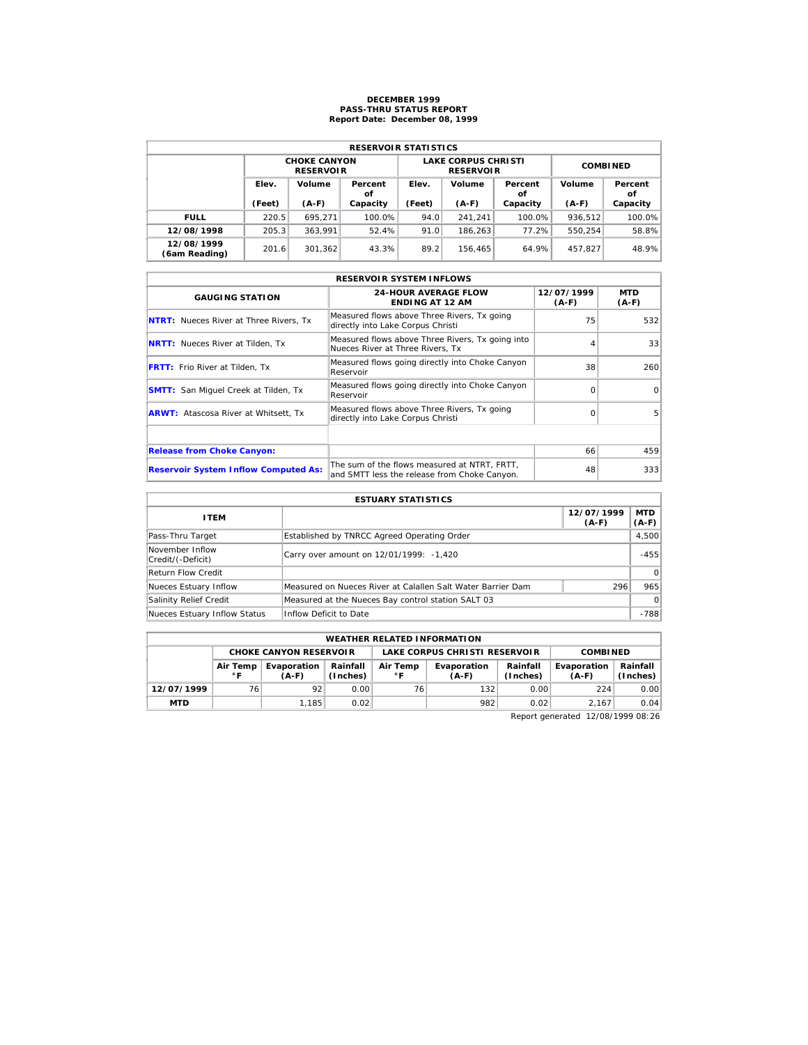## **DECEMBER 1999 PASS-THRU STATUS REPORT Report Date: December 08, 1999**

| <b>RESERVOIR STATISTICS</b> |                 |                                         |               |                 |                                                |                 |         |               |  |  |  |
|-----------------------------|-----------------|-----------------------------------------|---------------|-----------------|------------------------------------------------|-----------------|---------|---------------|--|--|--|
|                             |                 | <b>CHOKE CANYON</b><br><b>RESERVOIR</b> |               |                 | <b>LAKE CORPUS CHRISTI</b><br><b>RESERVOIR</b> | <b>COMBINED</b> |         |               |  |  |  |
|                             | Elev.<br>Volume |                                         | Percent<br>οf | Volume<br>Elev. |                                                | Percent<br>οf   | Volume  | Percent<br>οf |  |  |  |
|                             | (Feet)          | $(A-F)$                                 | Capacity      | (Feet)          | $(A-F)$                                        | Capacity        | $(A-F)$ | Capacity      |  |  |  |
| <b>FULL</b>                 | 220.5           | 695.271                                 | 100.0%        | 94.0            | 241.241                                        | 100.0%          | 936.512 | 100.0%        |  |  |  |
| 12/08/1998                  | 205.3           | 363.991                                 | 52.4%         | 91.0            | 186.263                                        | 77.2%           | 550.254 | 58.8%         |  |  |  |
| 12/08/1999<br>(6am Reading) | 201.6           | 301.362                                 | 43.3%         | 89.2            | 156.465                                        | 64.9%           | 457.827 | 48.9%         |  |  |  |

| <b>RESERVOIR SYSTEM INFLOWS</b>               |                                                                                              |                     |                |  |  |  |  |  |  |
|-----------------------------------------------|----------------------------------------------------------------------------------------------|---------------------|----------------|--|--|--|--|--|--|
| <b>GAUGING STATION</b>                        | <b>24-HOUR AVERAGE FLOW</b><br><b>ENDING AT 12 AM</b>                                        | 12/07/1999<br>(A-F) | MTD<br>$(A-F)$ |  |  |  |  |  |  |
| <b>NTRT:</b> Nueces River at Three Rivers, Tx | Measured flows above Three Rivers, Tx going<br>directly into Lake Corpus Christi             | 75                  | 532            |  |  |  |  |  |  |
| <b>NRTT:</b> Nueces River at Tilden, Tx       | Measured flows above Three Rivers, Tx going into<br>Nueces River at Three Rivers, Tx         |                     | 33             |  |  |  |  |  |  |
| <b>FRTT:</b> Frio River at Tilden, Tx         | Measured flows going directly into Choke Canyon<br>Reservoir                                 | 38                  | 260            |  |  |  |  |  |  |
| <b>SMTT:</b> San Miquel Creek at Tilden, Tx   | Measured flows going directly into Choke Canyon<br>Reservoir                                 | $\Omega$            | $\Omega$       |  |  |  |  |  |  |
| <b>ARWT:</b> Atascosa River at Whitsett, Tx   | Measured flows above Three Rivers, Tx going<br>directly into Lake Corpus Christi             | $\Omega$            | 5              |  |  |  |  |  |  |
|                                               |                                                                                              |                     |                |  |  |  |  |  |  |
| <b>Release from Choke Canyon:</b>             |                                                                                              | 66                  | 459            |  |  |  |  |  |  |
| <b>Reservoir System Inflow Computed As:</b>   | The sum of the flows measured at NTRT, FRTT,<br>and SMTT less the release from Choke Canyon. | 48                  | 333            |  |  |  |  |  |  |

| <b>ESTUARY STATISTICS</b>            |                                                             |                       |                       |  |  |  |  |  |
|--------------------------------------|-------------------------------------------------------------|-----------------------|-----------------------|--|--|--|--|--|
| <b>ITEM</b>                          |                                                             | 12/07/1999<br>$(A-F)$ | <b>MTD</b><br>$(A-F)$ |  |  |  |  |  |
| Pass-Thru Target                     | Established by TNRCC Agreed Operating Order                 |                       | 4,500                 |  |  |  |  |  |
| November Inflow<br>Credit/(-Deficit) | Carry over amount on 12/01/1999: -1,420                     |                       | $-455$                |  |  |  |  |  |
| Return Flow Credit                   |                                                             |                       | $\Omega$              |  |  |  |  |  |
| Nueces Estuary Inflow                | Measured on Nueces River at Calallen Salt Water Barrier Dam | 296                   | 965                   |  |  |  |  |  |
| Salinity Relief Credit               | Measured at the Nueces Bay control station SALT 03          |                       | $\Omega$              |  |  |  |  |  |
| Nueces Estuary Inflow Status         | Inflow Deficit to Date                                      |                       | $-788$                |  |  |  |  |  |

| <b>WEATHER RELATED INFORMATION</b> |                          |                                                                                                      |      |                                                  |     |                      |                        |                      |  |  |
|------------------------------------|--------------------------|------------------------------------------------------------------------------------------------------|------|--------------------------------------------------|-----|----------------------|------------------------|----------------------|--|--|
| <b>CHOKE CANYON RESERVOIR</b>      |                          |                                                                                                      |      | LAKE CORPUS CHRISTI RESERVOIR<br><b>COMBINED</b> |     |                      |                        |                      |  |  |
|                                    | Air Temp<br>$^{\circ}$ F | Rainfall<br>Air Temp<br>Evaporation<br>Evaporation<br>(Inches)<br>$^{\circ}$ F<br>$(A-F)$<br>$(A-F)$ |      |                                                  |     | Rainfall<br>(Inches) | Evaporation<br>$(A-F)$ | Rainfall<br>(Inches) |  |  |
| 12/07/1999                         | 76                       | 92                                                                                                   | 0.00 | 76                                               | 132 | 0.00                 | 224                    | 0.00                 |  |  |
| <b>MTD</b>                         |                          | 1.185                                                                                                | 0.02 |                                                  | 982 | 0.02                 | 2.167                  | 0.04                 |  |  |

Report generated 12/08/1999 08:26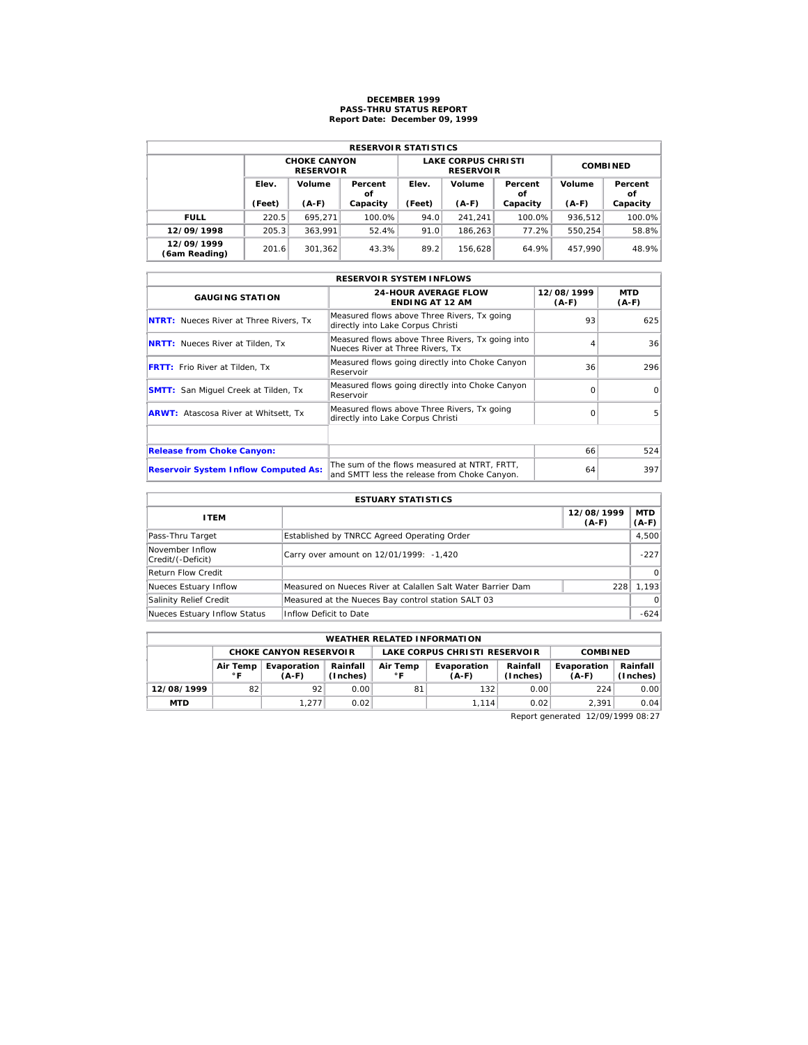### **DECEMBER 1999 PASS-THRU STATUS REPORT Report Date: December 09, 1999**

| <b>RESERVOIR STATISTICS</b> |        |                                         |               |        |                                                |                 |         |               |  |  |
|-----------------------------|--------|-----------------------------------------|---------------|--------|------------------------------------------------|-----------------|---------|---------------|--|--|
|                             |        | <b>CHOKE CANYON</b><br><b>RESERVOIR</b> |               |        | <b>LAKE CORPUS CHRISTI</b><br><b>RESERVOIR</b> | <b>COMBINED</b> |         |               |  |  |
|                             | Elev.  | Volume                                  | Percent<br>οf | Elev.  | Volume                                         | Percent<br>οf   | Volume  | Percent<br>οf |  |  |
|                             | (Feet) | $(A-F)$                                 | Capacity      | (Feet) | $(A-F)$                                        | Capacity        | $(A-F)$ | Capacity      |  |  |
| <b>FULL</b>                 | 220.5  | 695.271                                 | 100.0%        | 94.0   | 241.241                                        | 100.0%          | 936.512 | 100.0%        |  |  |
| 12/09/1998                  | 205.3  | 363.991                                 | 52.4%         | 91.0   | 186.263                                        | 77.2%           | 550.254 | 58.8%         |  |  |
| 12/09/1999<br>(6am Reading) | 201.6  | 301.362                                 | 43.3%         | 89.2   | 156.628                                        | 64.9%           | 457.990 | 48.9%         |  |  |

| <b>RESERVOIR SYSTEM INFLOWS</b>               |                                                                                              |                       |                       |  |  |  |  |  |  |
|-----------------------------------------------|----------------------------------------------------------------------------------------------|-----------------------|-----------------------|--|--|--|--|--|--|
| <b>GAUGING STATION</b>                        | <b>24-HOUR AVERAGE FLOW</b><br><b>ENDING AT 12 AM</b>                                        | 12/08/1999<br>$(A-F)$ | <b>MTD</b><br>$(A-F)$ |  |  |  |  |  |  |
| <b>NTRT:</b> Nueces River at Three Rivers. Tx | Measured flows above Three Rivers, Tx going<br>directly into Lake Corpus Christi             | 93                    | 625                   |  |  |  |  |  |  |
| <b>NRTT:</b> Nueces River at Tilden, Tx       | Measured flows above Three Rivers, Tx going into<br>Nueces River at Three Rivers, Tx         |                       | 36                    |  |  |  |  |  |  |
| <b>FRTT:</b> Frio River at Tilden, Tx         | Measured flows going directly into Choke Canyon<br>Reservoir                                 | 36                    | 296                   |  |  |  |  |  |  |
| <b>SMTT:</b> San Miguel Creek at Tilden, Tx   | Measured flows going directly into Choke Canyon<br>Reservoir                                 | $\Omega$              | $\Omega$              |  |  |  |  |  |  |
| <b>ARWT:</b> Atascosa River at Whitsett. Tx   | Measured flows above Three Rivers, Tx going<br>directly into Lake Corpus Christi             | $\Omega$              | 5                     |  |  |  |  |  |  |
|                                               |                                                                                              |                       |                       |  |  |  |  |  |  |
| <b>Release from Choke Canyon:</b>             |                                                                                              | 66                    | 524                   |  |  |  |  |  |  |
| <b>Reservoir System Inflow Computed As:</b>   | The sum of the flows measured at NTRT, FRTT,<br>and SMTT less the release from Choke Canyon. | 64                    | 397                   |  |  |  |  |  |  |

| <b>ESTUARY STATISTICS</b>            |                                                             |                       |                       |  |  |  |  |  |
|--------------------------------------|-------------------------------------------------------------|-----------------------|-----------------------|--|--|--|--|--|
| <b>ITEM</b>                          |                                                             | 12/08/1999<br>$(A-F)$ | <b>MTD</b><br>$(A-F)$ |  |  |  |  |  |
| Pass-Thru Target                     | Established by TNRCC Agreed Operating Order                 |                       | 4,500                 |  |  |  |  |  |
| November Inflow<br>Credit/(-Deficit) | Carry over amount on 12/01/1999: -1,420                     |                       | $-227$                |  |  |  |  |  |
| Return Flow Credit                   |                                                             |                       | $\Omega$              |  |  |  |  |  |
| Nueces Estuary Inflow                | Measured on Nueces River at Calallen Salt Water Barrier Dam | 228                   | 1.193                 |  |  |  |  |  |
| Salinity Relief Credit               | Measured at the Nueces Bay control station SALT 03          |                       | $\Omega$              |  |  |  |  |  |
| Nueces Estuary Inflow Status         | Inflow Deficit to Date                                      |                       | $-624$                |  |  |  |  |  |

| <b>WEATHER RELATED INFORMATION</b> |                                                                            |                               |      |                          |                               |                      |                        |                      |  |  |
|------------------------------------|----------------------------------------------------------------------------|-------------------------------|------|--------------------------|-------------------------------|----------------------|------------------------|----------------------|--|--|
|                                    |                                                                            | <b>CHOKE CANYON RESERVOIR</b> |      |                          | LAKE CORPUS CHRISTI RESERVOIR | <b>COMBINED</b>      |                        |                      |  |  |
|                                    | Rainfall<br>Evaporation<br>Air Temp<br>(Inches)<br>$^{\circ}$ F<br>$(A-F)$ |                               |      | Air Temp<br>$^{\circ}$ F | Evaporation<br>$(A-F)$        | Rainfall<br>(Inches) | Evaporation<br>$(A-F)$ | Rainfall<br>(Inches) |  |  |
| 12/08/1999                         | 82                                                                         | 92                            | 0.00 | 81                       | 132                           | 0.00                 | 224                    | 0.00                 |  |  |
| <b>MTD</b>                         |                                                                            | 1.277                         | 0.02 |                          | 1.114                         | 0.02                 | 2.391                  | 0.04                 |  |  |

Report generated 12/09/1999 08:27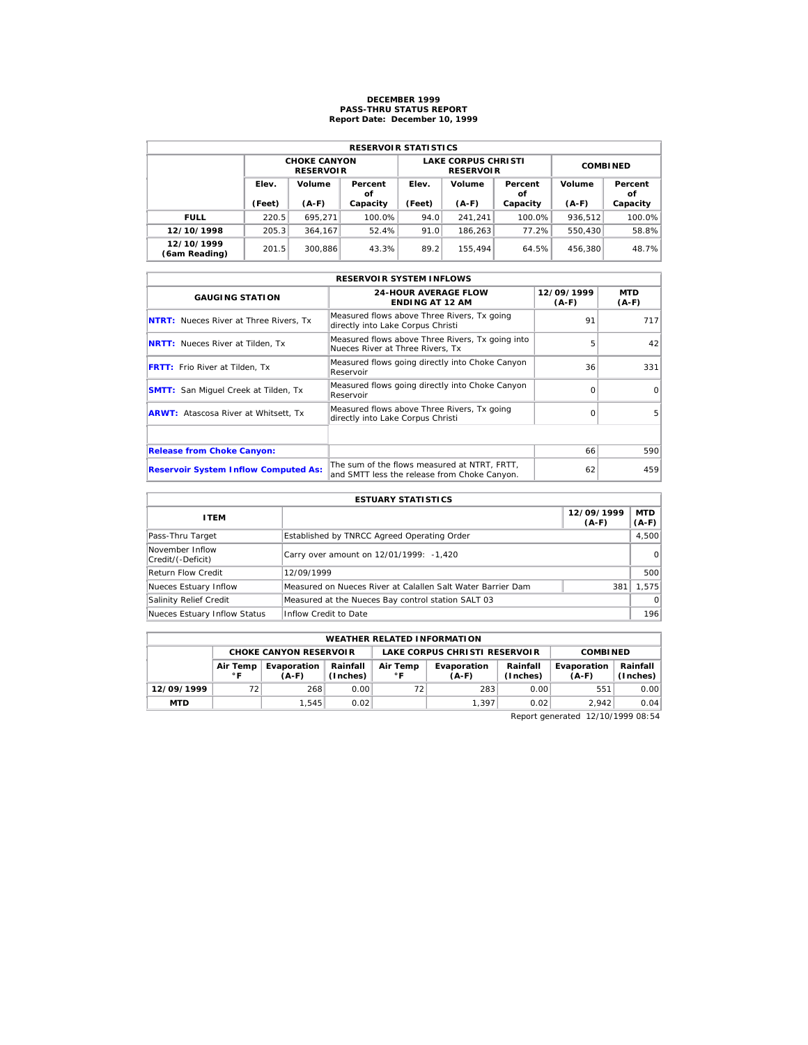## **DECEMBER 1999 PASS-THRU STATUS REPORT Report Date: December 10, 1999**

| <b>RESERVOIR STATISTICS</b> |                 |                                         |               |        |                                                |                 |         |               |  |  |  |
|-----------------------------|-----------------|-----------------------------------------|---------------|--------|------------------------------------------------|-----------------|---------|---------------|--|--|--|
|                             |                 | <b>CHOKE CANYON</b><br><b>RESERVOIR</b> |               |        | <b>LAKE CORPUS CHRISTI</b><br><b>RESERVOIR</b> | <b>COMBINED</b> |         |               |  |  |  |
|                             | Elev.<br>Volume |                                         | Percent<br>οf | Elev.  | Volume                                         | Percent<br>οf   | Volume  | Percent<br>οf |  |  |  |
|                             | (Feet)          | $(A-F)$                                 | Capacity      | (Feet) | $(A-F)$                                        | Capacity        | $(A-F)$ | Capacity      |  |  |  |
| <b>FULL</b>                 | 220.5           | 695.271                                 | 100.0%        | 94.0   | 241.241                                        | 100.0%          | 936.512 | 100.0%        |  |  |  |
| 12/10/1998                  | 205.3           | 364.167                                 | 52.4%         | 91.0   | 186.263                                        | 77.2%           | 550,430 | 58.8%         |  |  |  |
| 12/10/1999                  | 201.5           | 300.886                                 | 43.3%         | 89.2   | 155.494                                        | 64.5%           | 456,380 | 48.7%         |  |  |  |

| <b>RESERVOIR SYSTEM INFLOWS</b>               |                                                                                              |                       |                       |  |  |  |  |  |  |
|-----------------------------------------------|----------------------------------------------------------------------------------------------|-----------------------|-----------------------|--|--|--|--|--|--|
| <b>GAUGING STATION</b>                        | <b>24-HOUR AVERAGE FLOW</b><br><b>ENDING AT 12 AM</b>                                        | 12/09/1999<br>$(A-F)$ | <b>MTD</b><br>$(A-F)$ |  |  |  |  |  |  |
| <b>NTRT:</b> Nueces River at Three Rivers, Tx | Measured flows above Three Rivers, Tx going<br>directly into Lake Corpus Christi             | 91                    | 717                   |  |  |  |  |  |  |
| <b>NRTT:</b> Nueces River at Tilden, Tx       | Measured flows above Three Rivers, Tx going into<br>Nueces River at Three Rivers, Tx         | 5                     | 42                    |  |  |  |  |  |  |
| <b>FRTT:</b> Frio River at Tilden, Tx         | Measured flows going directly into Choke Canyon<br>Reservoir                                 | 36                    | 331                   |  |  |  |  |  |  |
| <b>SMTT:</b> San Miguel Creek at Tilden, Tx   | Measured flows going directly into Choke Canyon<br>Reservoir                                 | $\Omega$              | $\Omega$              |  |  |  |  |  |  |
| <b>ARWT:</b> Atascosa River at Whitsett, Tx   | Measured flows above Three Rivers, Tx going<br>directly into Lake Corpus Christi             | $\Omega$              | 5                     |  |  |  |  |  |  |
|                                               |                                                                                              |                       |                       |  |  |  |  |  |  |
| <b>Release from Choke Canyon:</b>             |                                                                                              | 66                    | 590                   |  |  |  |  |  |  |
| <b>Reservoir System Inflow Computed As:</b>   | The sum of the flows measured at NTRT. FRTT.<br>and SMTT less the release from Choke Canyon. | 62                    | 459                   |  |  |  |  |  |  |

| <b>ESTUARY STATISTICS</b>            |                                                             |                       |                       |  |  |  |  |  |
|--------------------------------------|-------------------------------------------------------------|-----------------------|-----------------------|--|--|--|--|--|
| <b>ITEM</b>                          |                                                             | 12/09/1999<br>$(A-F)$ | <b>MTD</b><br>$(A-F)$ |  |  |  |  |  |
| Pass-Thru Target                     | Established by TNRCC Agreed Operating Order                 |                       | 4,500                 |  |  |  |  |  |
| November Inflow<br>Credit/(-Deficit) | Carry over amount on 12/01/1999: -1,420                     |                       | $\Omega$              |  |  |  |  |  |
| Return Flow Credit                   | 12/09/1999                                                  |                       | 500                   |  |  |  |  |  |
| Nueces Estuary Inflow                | Measured on Nueces River at Calallen Salt Water Barrier Dam | 381                   | 1.575                 |  |  |  |  |  |
| Salinity Relief Credit               | Measured at the Nueces Bay control station SALT 03          |                       | $\Omega$              |  |  |  |  |  |
| Nueces Estuary Inflow Status         | Inflow Credit to Date                                       |                       | 196                   |  |  |  |  |  |

| <b>WEATHER RELATED INFORMATION</b>                                                                                               |    |       |      |  |                      |                        |                      |      |  |  |
|----------------------------------------------------------------------------------------------------------------------------------|----|-------|------|--|----------------------|------------------------|----------------------|------|--|--|
| <b>CHOKE CANYON RESERVOIR</b><br>LAKE CORPUS CHRISTI RESERVOIR<br><b>COMBINED</b>                                                |    |       |      |  |                      |                        |                      |      |  |  |
| Rainfall<br>Air Temp<br>Evaporation<br>Evaporation<br>Air Temp<br>(Inches)<br>$^{\circ}$ F<br>$^{\circ}$ F<br>$(A-F)$<br>$(A-F)$ |    |       |      |  | Rainfall<br>(Inches) | Evaporation<br>$(A-F)$ | Rainfall<br>(Inches) |      |  |  |
| 12/09/1999                                                                                                                       | 72 | 268   | 0.00 |  | 283                  | 0.00                   | 551                  | 0.00 |  |  |
| <b>MTD</b>                                                                                                                       |    | 1.545 | 0.02 |  | 1.397                | 0.02                   | 2.942                | 0.04 |  |  |

Report generated 12/10/1999 08:54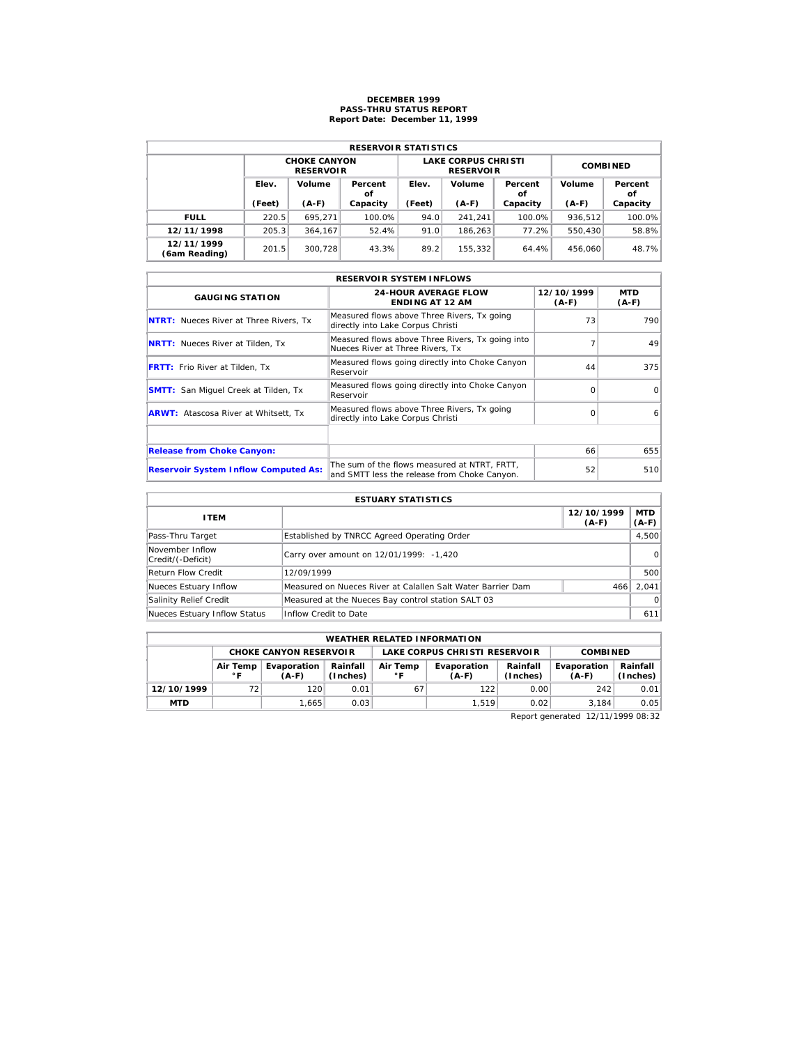## **DECEMBER 1999 PASS-THRU STATUS REPORT Report Date: December 11, 1999**

| <b>RESERVOIR STATISTICS</b> |                 |                                         |               |        |                                                |                 |         |               |  |  |  |
|-----------------------------|-----------------|-----------------------------------------|---------------|--------|------------------------------------------------|-----------------|---------|---------------|--|--|--|
|                             |                 | <b>CHOKE CANYON</b><br><b>RESERVOIR</b> |               |        | <b>LAKE CORPUS CHRISTI</b><br><b>RESERVOIR</b> | <b>COMBINED</b> |         |               |  |  |  |
|                             | Elev.<br>Volume |                                         | Percent<br>οf | Elev.  | Volume                                         | Percent<br>οf   | Volume  | Percent<br>οf |  |  |  |
|                             | (Feet)          | $(A-F)$                                 | Capacity      | (Feet) | $(A-F)$                                        | Capacity        | $(A-F)$ | Capacity      |  |  |  |
| <b>FULL</b>                 | 220.5           | 695.271                                 | 100.0%        | 94.0   | 241.241                                        | 100.0%          | 936.512 | 100.0%        |  |  |  |
| 12/11/1998                  | 205.3           | 364.167                                 | 52.4%         | 91.0   | 186.263                                        | 77.2%           | 550,430 | 58.8%         |  |  |  |
| 12/11/1999                  | 201.5           | 300.728                                 | 43.3%         | 89.2   | 155,332                                        | 64.4%           | 456,060 | 48.7%         |  |  |  |

| <b>RESERVOIR SYSTEM INFLOWS</b>               |                                                                                              |                       |                       |  |  |  |  |  |  |
|-----------------------------------------------|----------------------------------------------------------------------------------------------|-----------------------|-----------------------|--|--|--|--|--|--|
| <b>GAUGING STATION</b>                        | <b>24-HOUR AVERAGE FLOW</b><br><b>ENDING AT 12 AM</b>                                        | 12/10/1999<br>$(A-F)$ | <b>MTD</b><br>$(A-F)$ |  |  |  |  |  |  |
| <b>NTRT:</b> Nueces River at Three Rivers, Tx | Measured flows above Three Rivers, Tx going<br>directly into Lake Corpus Christi             | 73                    | 790                   |  |  |  |  |  |  |
| <b>NRTT:</b> Nueces River at Tilden, Tx       | Measured flows above Three Rivers, Tx going into<br>Nueces River at Three Rivers. Tx         |                       | 49                    |  |  |  |  |  |  |
| <b>FRTT:</b> Frio River at Tilden, Tx         | Measured flows going directly into Choke Canyon<br>Reservoir                                 | 44                    | 375                   |  |  |  |  |  |  |
| <b>SMTT:</b> San Miquel Creek at Tilden, Tx   | Measured flows going directly into Choke Canyon<br>Reservoir                                 | $\Omega$              | $\Omega$              |  |  |  |  |  |  |
| <b>ARWT:</b> Atascosa River at Whitsett, Tx   | Measured flows above Three Rivers, Tx going<br>directly into Lake Corpus Christi             | $\Omega$              | 6                     |  |  |  |  |  |  |
|                                               |                                                                                              |                       |                       |  |  |  |  |  |  |
| <b>Release from Choke Canyon:</b>             |                                                                                              | 66                    | 655                   |  |  |  |  |  |  |
| <b>Reservoir System Inflow Computed As:</b>   | The sum of the flows measured at NTRT. FRTT.<br>and SMTT less the release from Choke Canyon. | 52                    | 510                   |  |  |  |  |  |  |

| <b>ESTUARY STATISTICS</b>            |                                                             |                       |                       |  |  |  |  |  |
|--------------------------------------|-------------------------------------------------------------|-----------------------|-----------------------|--|--|--|--|--|
| <b>ITEM</b>                          |                                                             | 12/10/1999<br>$(A-F)$ | <b>MTD</b><br>$(A-F)$ |  |  |  |  |  |
| Pass-Thru Target                     | Established by TNRCC Agreed Operating Order                 |                       | 4,500                 |  |  |  |  |  |
| November Inflow<br>Credit/(-Deficit) | Carry over amount on 12/01/1999: -1,420                     |                       | $\Omega$              |  |  |  |  |  |
| Return Flow Credit                   | 12/09/1999                                                  |                       | 500                   |  |  |  |  |  |
| Nueces Estuary Inflow                | Measured on Nueces River at Calallen Salt Water Barrier Dam | 466                   | 2.041                 |  |  |  |  |  |
| Salinity Relief Credit               | Measured at the Nueces Bay control station SALT 03          |                       | $\Omega$              |  |  |  |  |  |
| Nueces Estuary Inflow Status         | Inflow Credit to Date                                       |                       | 611                   |  |  |  |  |  |

| <b>WEATHER RELATED INFORMATION</b>                             |                                                                                                                       |       |      |    |       |                      |                        |                      |  |  |
|----------------------------------------------------------------|-----------------------------------------------------------------------------------------------------------------------|-------|------|----|-------|----------------------|------------------------|----------------------|--|--|
| LAKE CORPUS CHRISTI RESERVOIR<br><b>CHOKE CANYON RESERVOIR</b> |                                                                                                                       |       |      |    |       |                      | <b>COMBINED</b>        |                      |  |  |
|                                                                | Rainfall<br>Air Temp<br>Evaporation<br>Air Temp<br>Evaporation<br>(Inches)<br>$^{\circ}$ F<br>$^{\circ}$ F<br>$(A-F)$ |       |      |    |       | Rainfall<br>(Inches) | Evaporation<br>$(A-F)$ | Rainfall<br>(Inches) |  |  |
| 12/10/1999                                                     | 72                                                                                                                    | 120   | 0.01 | 67 | 122   | 0.00                 | 242                    | 0.01                 |  |  |
| <b>MTD</b>                                                     |                                                                                                                       | 1.665 | 0.03 |    | 1.519 | 0.02                 | 3.184                  | 0.05                 |  |  |

Report generated 12/11/1999 08:32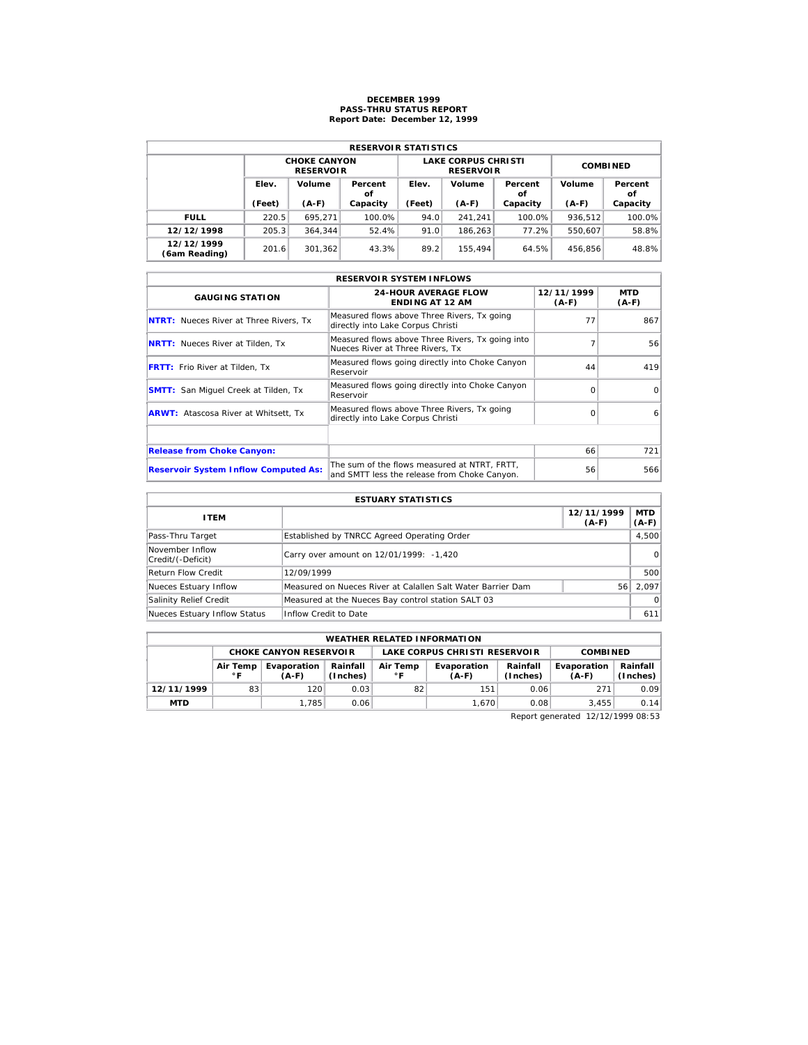## **DECEMBER 1999 PASS-THRU STATUS REPORT Report Date: December 12, 1999**

| <b>RESERVOIR STATISTICS</b> |                 |                                         |               |        |                                                |                 |         |               |  |  |  |
|-----------------------------|-----------------|-----------------------------------------|---------------|--------|------------------------------------------------|-----------------|---------|---------------|--|--|--|
|                             |                 | <b>CHOKE CANYON</b><br><b>RESERVOIR</b> |               |        | <b>LAKE CORPUS CHRISTI</b><br><b>RESERVOIR</b> | <b>COMBINED</b> |         |               |  |  |  |
|                             | Elev.<br>Volume |                                         | Percent<br>οf | Elev.  | Volume                                         | Percent<br>οf   | Volume  | Percent<br>οf |  |  |  |
|                             | (Feet)          | $(A-F)$                                 | Capacity      | (Feet) | $(A-F)$                                        | Capacity        | $(A-F)$ | Capacity      |  |  |  |
| <b>FULL</b>                 | 220.5           | 695.271                                 | 100.0%        | 94.0   | 241.241                                        | 100.0%          | 936.512 | 100.0%        |  |  |  |
| 12/12/1998                  | 205.3           | 364.344                                 | 52.4%         | 91.0   | 186.263                                        | 77.2%           | 550.607 | 58.8%         |  |  |  |
| 12/12/1999                  | 201.6           | 301.362                                 | 43.3%         | 89.2   | 155.494                                        | 64.5%           | 456.856 | 48.8%         |  |  |  |

| <b>RESERVOIR SYSTEM INFLOWS</b>               |                                                                                              |                     |                       |  |  |  |  |  |  |
|-----------------------------------------------|----------------------------------------------------------------------------------------------|---------------------|-----------------------|--|--|--|--|--|--|
| <b>GAUGING STATION</b>                        | <b>24-HOUR AVERAGE FLOW</b><br><b>ENDING AT 12 AM</b>                                        | 12/11/1999<br>(A-F) | <b>MTD</b><br>$(A-F)$ |  |  |  |  |  |  |
| <b>NTRT:</b> Nueces River at Three Rivers, Tx | Measured flows above Three Rivers, Tx going<br>directly into Lake Corpus Christi             | 77                  | 867                   |  |  |  |  |  |  |
| <b>NRTT:</b> Nueces River at Tilden, Tx       | Measured flows above Three Rivers, Tx going into<br>Nueces River at Three Rivers. Tx         |                     | 56                    |  |  |  |  |  |  |
| <b>FRTT:</b> Frio River at Tilden, Tx         | Measured flows going directly into Choke Canyon<br>Reservoir                                 | 44                  | 419                   |  |  |  |  |  |  |
| <b>SMTT:</b> San Miguel Creek at Tilden, Tx   | Measured flows going directly into Choke Canyon<br>Reservoir                                 | $\Omega$            | $\Omega$              |  |  |  |  |  |  |
| <b>ARWT:</b> Atascosa River at Whitsett, Tx   | Measured flows above Three Rivers, Tx going<br>directly into Lake Corpus Christi             | $\Omega$            | 6                     |  |  |  |  |  |  |
|                                               |                                                                                              |                     |                       |  |  |  |  |  |  |
| <b>Release from Choke Canyon:</b>             |                                                                                              | 66                  | 721                   |  |  |  |  |  |  |
| <b>Reservoir System Inflow Computed As:</b>   | The sum of the flows measured at NTRT, FRTT,<br>and SMTT less the release from Choke Canyon. | 56                  | 566                   |  |  |  |  |  |  |

| <b>ESTUARY STATISTICS</b>            |                                                             |                       |                       |  |  |  |  |  |
|--------------------------------------|-------------------------------------------------------------|-----------------------|-----------------------|--|--|--|--|--|
| <b>ITEM</b>                          |                                                             | 12/11/1999<br>$(A-F)$ | <b>MTD</b><br>$(A-F)$ |  |  |  |  |  |
| Pass-Thru Target                     | Established by TNRCC Agreed Operating Order                 |                       | 4,500                 |  |  |  |  |  |
| November Inflow<br>Credit/(-Deficit) | Carry over amount on 12/01/1999: -1,420                     |                       | $\Omega$              |  |  |  |  |  |
| Return Flow Credit                   | 12/09/1999                                                  |                       | 500                   |  |  |  |  |  |
| Nueces Estuary Inflow                | Measured on Nueces River at Calallen Salt Water Barrier Dam | 56                    | 2.097                 |  |  |  |  |  |
| Salinity Relief Credit               | Measured at the Nueces Bay control station SALT 03          |                       | $\Omega$              |  |  |  |  |  |
| Nueces Estuary Inflow Status         | Inflow Credit to Date                                       |                       | 611                   |  |  |  |  |  |

| <b>WEATHER RELATED INFORMATION</b>                             |                                                                                                                                  |       |      |    |       |                      |                        |                      |  |  |
|----------------------------------------------------------------|----------------------------------------------------------------------------------------------------------------------------------|-------|------|----|-------|----------------------|------------------------|----------------------|--|--|
| LAKE CORPUS CHRISTI RESERVOIR<br><b>CHOKE CANYON RESERVOIR</b> |                                                                                                                                  |       |      |    |       |                      | <b>COMBINED</b>        |                      |  |  |
|                                                                | Rainfall<br>Air Temp<br>Evaporation<br>Evaporation<br>Air Temp<br>(Inches)<br>$^{\circ}$ F<br>$^{\circ}$ F<br>$(A-F)$<br>$(A-F)$ |       |      |    |       | Rainfall<br>(Inches) | Evaporation<br>$(A-F)$ | Rainfall<br>(Inches) |  |  |
| 12/11/1999                                                     | 83                                                                                                                               | 120   | 0.03 | 82 | 151   | 0.06                 | 271                    | 0.09                 |  |  |
| <b>MTD</b>                                                     |                                                                                                                                  | 1.785 | 0.06 |    | 1.670 | 0.08                 | 3.455                  | 0.14                 |  |  |

Report generated 12/12/1999 08:53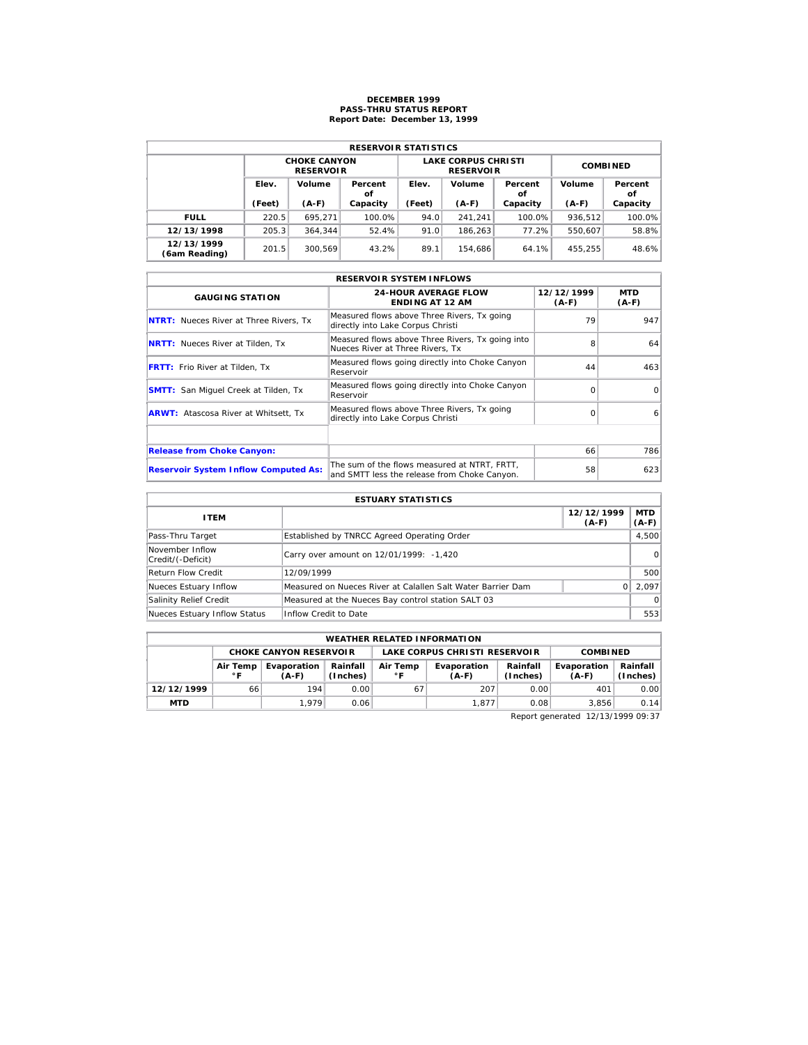## **DECEMBER 1999 PASS-THRU STATUS REPORT Report Date: December 13, 1999**

| <b>RESERVOIR STATISTICS</b> |        |                                         |               |        |                                                |                 |         |               |  |  |  |
|-----------------------------|--------|-----------------------------------------|---------------|--------|------------------------------------------------|-----------------|---------|---------------|--|--|--|
|                             |        | <b>CHOKE CANYON</b><br><b>RESERVOIR</b> |               |        | <b>LAKE CORPUS CHRISTI</b><br><b>RESERVOIR</b> | <b>COMBINED</b> |         |               |  |  |  |
|                             | Elev.  | Volume                                  | Percent<br>οf | Elev.  | Volume                                         | Percent<br>οf   | Volume  | Percent<br>οf |  |  |  |
|                             | (Feet) | $(A-F)$                                 | Capacity      | (Feet) | $(A-F)$                                        | Capacity        | $(A-F)$ | Capacity      |  |  |  |
| <b>FULL</b>                 | 220.5  | 695.271                                 | 100.0%        | 94.0   | 241.241                                        | $100.0\%$       | 936.512 | 100.0%        |  |  |  |
| 12/13/1998                  | 205.3  | 364.344                                 | 52.4%         | 91.0   | 186.263                                        | 77.2%           | 550.607 | 58.8%         |  |  |  |
| 12/13/1999<br>(6am Reading) | 201.5  | 300.569                                 | 43.2%         | 89.1   | 154.686                                        | 64.1%           | 455,255 | 48.6%         |  |  |  |

| <b>RESERVOIR SYSTEM INFLOWS</b>               |                                                                                              |                       |                       |  |  |  |  |  |  |
|-----------------------------------------------|----------------------------------------------------------------------------------------------|-----------------------|-----------------------|--|--|--|--|--|--|
| <b>GAUGING STATION</b>                        | <b>24-HOUR AVERAGE FLOW</b><br><b>ENDING AT 12 AM</b>                                        | 12/12/1999<br>$(A-F)$ | <b>MTD</b><br>$(A-F)$ |  |  |  |  |  |  |
| <b>NTRT:</b> Nueces River at Three Rivers, Tx | Measured flows above Three Rivers, Tx going<br>directly into Lake Corpus Christi             | 79                    | 947                   |  |  |  |  |  |  |
| <b>NRTT:</b> Nueces River at Tilden, Tx       | Measured flows above Three Rivers, Tx going into<br>Nueces River at Three Rivers, Tx         | 8                     | 64                    |  |  |  |  |  |  |
| <b>FRTT:</b> Frio River at Tilden, Tx         | Measured flows going directly into Choke Canyon<br>Reservoir                                 | 44                    | 463                   |  |  |  |  |  |  |
| <b>SMTT:</b> San Miquel Creek at Tilden, Tx   | Measured flows going directly into Choke Canyon<br>Reservoir                                 | $\Omega$              | $\Omega$              |  |  |  |  |  |  |
| <b>ARWT:</b> Atascosa River at Whitsett, Tx   | Measured flows above Three Rivers, Tx going<br>directly into Lake Corpus Christi             | $\Omega$              | 6                     |  |  |  |  |  |  |
|                                               |                                                                                              |                       |                       |  |  |  |  |  |  |
| <b>Release from Choke Canyon:</b>             |                                                                                              | 66                    | 786                   |  |  |  |  |  |  |
| <b>Reservoir System Inflow Computed As:</b>   | The sum of the flows measured at NTRT, FRTT,<br>and SMTT less the release from Choke Canyon. | 58                    | 623                   |  |  |  |  |  |  |

| <b>ESTUARY STATISTICS</b>            |                                                             |                       |                       |  |  |  |  |
|--------------------------------------|-------------------------------------------------------------|-----------------------|-----------------------|--|--|--|--|
| <b>ITEM</b>                          |                                                             | 12/12/1999<br>$(A-F)$ | <b>MTD</b><br>$(A-F)$ |  |  |  |  |
| Pass-Thru Target                     | Established by TNRCC Agreed Operating Order                 |                       | 4,500                 |  |  |  |  |
| November Inflow<br>Credit/(-Deficit) | Carry over amount on 12/01/1999: -1,420                     |                       | $\Omega$              |  |  |  |  |
| <b>Return Flow Credit</b>            | 12/09/1999                                                  |                       | 500                   |  |  |  |  |
| Nueces Estuary Inflow                | Measured on Nueces River at Calallen Salt Water Barrier Dam |                       | 2.097                 |  |  |  |  |
| Salinity Relief Credit               | Measured at the Nueces Bay control station SALT 03          |                       | $\Omega$              |  |  |  |  |
| Nueces Estuary Inflow Status         | Inflow Credit to Date                                       |                       | 553                   |  |  |  |  |

| <b>WEATHER RELATED INFORMATION</b> |                                                                                                        |                               |      |    |                               |                      |                        |                      |  |  |
|------------------------------------|--------------------------------------------------------------------------------------------------------|-------------------------------|------|----|-------------------------------|----------------------|------------------------|----------------------|--|--|
|                                    |                                                                                                        | <b>CHOKE CANYON RESERVOIR</b> |      |    | LAKE CORPUS CHRISTI RESERVOIR | <b>COMBINED</b>      |                        |                      |  |  |
|                                    | Rainfall<br>Air Temp<br>Evaporation<br>Air Temp<br>(Inches)<br>$^{\circ}$ F<br>$^{\circ}$ F<br>$(A-F)$ |                               |      |    | Evaporation<br>$(A-F)$        | Rainfall<br>(Inches) | Evaporation<br>$(A-F)$ | Rainfall<br>(Inches) |  |  |
| 12/12/1999                         | 66                                                                                                     | 194                           | 0.00 | 67 | 207                           | 0.00                 | 401                    | 0.00                 |  |  |
| <b>MTD</b>                         |                                                                                                        | 1.979                         | 0.06 |    | 1.877                         | 0.08                 | 3.856                  | 0.14                 |  |  |

Report generated 12/13/1999 09:37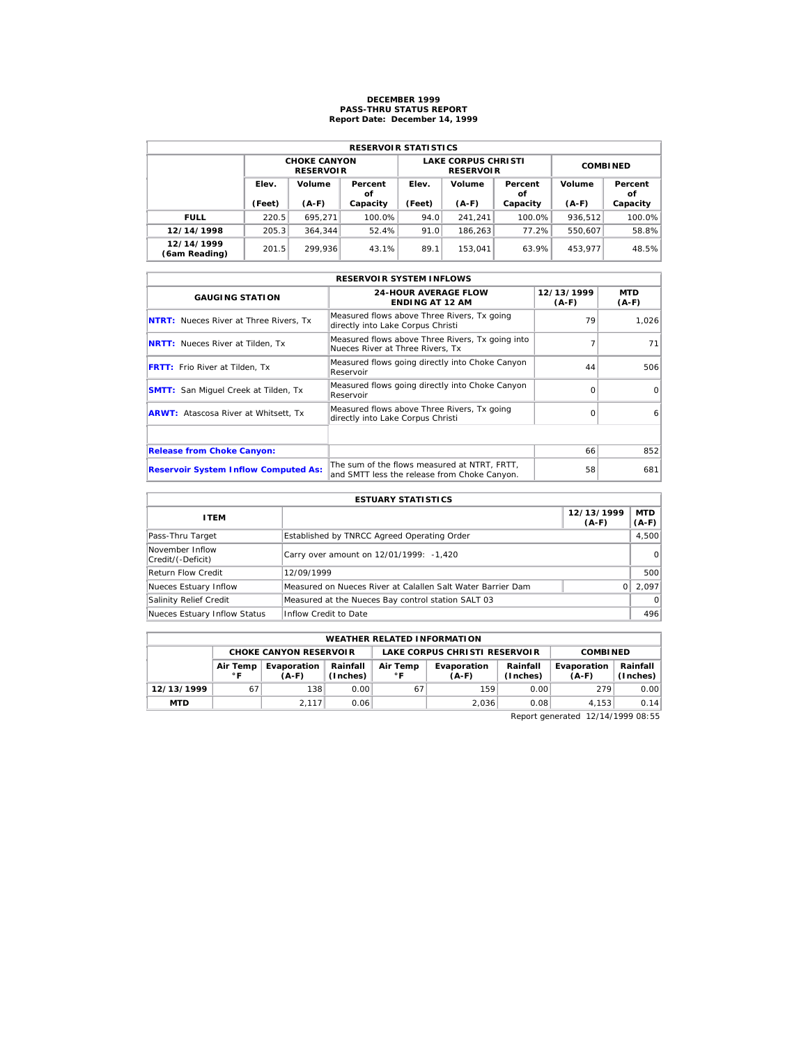## **DECEMBER 1999 PASS-THRU STATUS REPORT Report Date: December 14, 1999**

| <b>RESERVOIR STATISTICS</b> |        |                                         |               |        |                                                |                 |         |               |  |  |  |
|-----------------------------|--------|-----------------------------------------|---------------|--------|------------------------------------------------|-----------------|---------|---------------|--|--|--|
|                             |        | <b>CHOKE CANYON</b><br><b>RESERVOIR</b> |               |        | <b>LAKE CORPUS CHRISTI</b><br><b>RESERVOIR</b> | <b>COMBINED</b> |         |               |  |  |  |
|                             | Elev.  | Volume                                  | Percent<br>οf | Elev.  | Volume                                         | Percent<br>οf   | Volume  | Percent<br>οf |  |  |  |
|                             | (Feet) | $(A-F)$                                 | Capacity      | (Feet) | $(A-F)$                                        | Capacity        | $(A-F)$ | Capacity      |  |  |  |
| <b>FULL</b>                 | 220.5  | 695.271                                 | 100.0%        | 94.0   | 241.241                                        | $100.0\%$       | 936.512 | 100.0%        |  |  |  |
| 12/14/1998                  | 205.3  | 364.344                                 | 52.4%         | 91.0   | 186.263                                        | 77.2%           | 550.607 | 58.8%         |  |  |  |
| 12/14/1999<br>(6am Reading) | 201.5  | 299.936                                 | 43.1%         | 89.1   | 153.041                                        | 63.9%           | 453.977 | 48.5%         |  |  |  |

| <b>RESERVOIR SYSTEM INFLOWS</b>               |                                                                                              |                       |                       |  |  |  |  |  |  |
|-----------------------------------------------|----------------------------------------------------------------------------------------------|-----------------------|-----------------------|--|--|--|--|--|--|
| <b>GAUGING STATION</b>                        | <b>24-HOUR AVERAGE FLOW</b><br><b>ENDING AT 12 AM</b>                                        | 12/13/1999<br>$(A-F)$ | <b>MTD</b><br>$(A-F)$ |  |  |  |  |  |  |
| <b>NTRT:</b> Nueces River at Three Rivers, Tx | Measured flows above Three Rivers, Tx going<br>directly into Lake Corpus Christi             | 79                    | 1.026                 |  |  |  |  |  |  |
| <b>NRTT:</b> Nueces River at Tilden, Tx       | Measured flows above Three Rivers, Tx going into<br>Nueces River at Three Rivers, Tx         |                       | 71                    |  |  |  |  |  |  |
| <b>FRTT:</b> Frio River at Tilden, Tx         | Measured flows going directly into Choke Canyon<br>Reservoir                                 | 44                    | 506                   |  |  |  |  |  |  |
| <b>SMTT:</b> San Miquel Creek at Tilden, Tx   | Measured flows going directly into Choke Canyon<br>Reservoir                                 | $\Omega$              | $\Omega$              |  |  |  |  |  |  |
| <b>ARWT:</b> Atascosa River at Whitsett, Tx   | Measured flows above Three Rivers, Tx going<br>directly into Lake Corpus Christi             | $\Omega$              | 6                     |  |  |  |  |  |  |
|                                               |                                                                                              |                       |                       |  |  |  |  |  |  |
| <b>Release from Choke Canyon:</b>             |                                                                                              | 66                    | 852                   |  |  |  |  |  |  |
| <b>Reservoir System Inflow Computed As:</b>   | The sum of the flows measured at NTRT, FRTT,<br>and SMTT less the release from Choke Canyon. | 58                    | 681                   |  |  |  |  |  |  |

| <b>ESTUARY STATISTICS</b>            |                                                             |                       |                       |  |  |  |  |
|--------------------------------------|-------------------------------------------------------------|-----------------------|-----------------------|--|--|--|--|
| <b>ITEM</b>                          |                                                             | 12/13/1999<br>$(A-F)$ | <b>MTD</b><br>$(A-F)$ |  |  |  |  |
| Pass-Thru Target                     | Established by TNRCC Agreed Operating Order                 |                       | 4,500                 |  |  |  |  |
| November Inflow<br>Credit/(-Deficit) | Carry over amount on 12/01/1999: -1,420                     |                       | $\Omega$              |  |  |  |  |
| Return Flow Credit                   | 12/09/1999                                                  |                       | 500                   |  |  |  |  |
| Nueces Estuary Inflow                | Measured on Nueces River at Calallen Salt Water Barrier Dam |                       | 2.097                 |  |  |  |  |
| Salinity Relief Credit               | Measured at the Nueces Bay control station SALT 03          |                       | $\Omega$              |  |  |  |  |
| Nueces Estuary Inflow Status         | Inflow Credit to Date                                       |                       | 496                   |  |  |  |  |

| <b>WEATHER RELATED INFORMATION</b>                               |    |                               |      |                          |                               |                      |                        |                        |  |  |
|------------------------------------------------------------------|----|-------------------------------|------|--------------------------|-------------------------------|----------------------|------------------------|------------------------|--|--|
|                                                                  |    | <b>CHOKE CANYON RESERVOIR</b> |      |                          | LAKE CORPUS CHRISTI RESERVOIR |                      | <b>COMBINED</b>        |                        |  |  |
| Rainfall<br>Evaporation<br>Air Temp<br>(Inches)<br>∘г<br>$(A-F)$ |    |                               |      | Air Temp<br>$^{\circ}$ C | Evaporation<br>$(A-F)$        | Rainfall<br>(Inches) | Evaporation<br>$(A-F)$ | Rainfall  <br>(Inches) |  |  |
| 12/13/1999                                                       | 67 | 138                           | 0.00 | 67                       | 159                           | 0.00                 | 279                    | 0.00                   |  |  |
| <b>MTD</b>                                                       |    | 2.117                         | 0.06 |                          | 2.036                         | 0.08                 | 4.153                  | 0.14                   |  |  |

Report generated 12/14/1999 08:55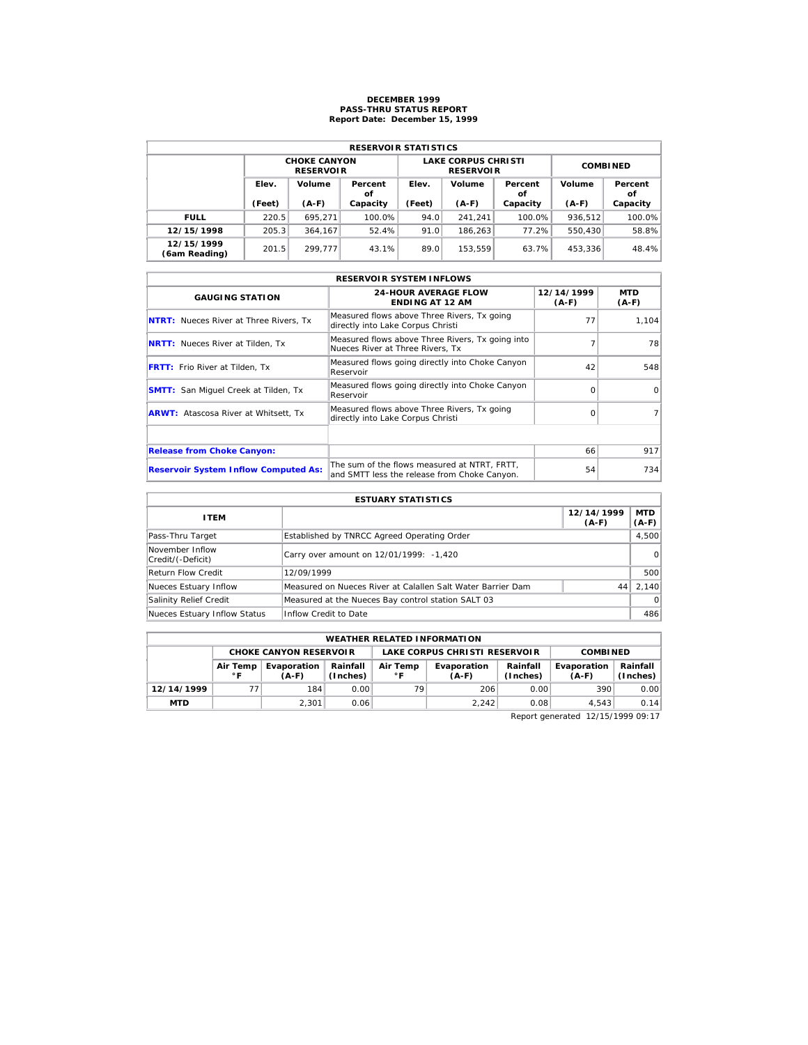## **DECEMBER 1999 PASS-THRU STATUS REPORT Report Date: December 15, 1999**

| <b>RESERVOIR STATISTICS</b> |                 |                                         |               |        |                                                |                 |         |               |  |  |  |
|-----------------------------|-----------------|-----------------------------------------|---------------|--------|------------------------------------------------|-----------------|---------|---------------|--|--|--|
|                             |                 | <b>CHOKE CANYON</b><br><b>RESERVOIR</b> |               |        | <b>LAKE CORPUS CHRISTI</b><br><b>RESERVOIR</b> | <b>COMBINED</b> |         |               |  |  |  |
|                             | Elev.<br>Volume |                                         | Percent<br>οf | Elev.  | Volume                                         | Percent<br>οf   | Volume  | Percent<br>οf |  |  |  |
|                             | (Feet)          | $(A-F)$                                 | Capacity      | (Feet) | $(A-F)$                                        | Capacity        | $(A-F)$ | Capacity      |  |  |  |
| <b>FULL</b>                 | 220.5           | 695.271                                 | 100.0%        | 94.0   | 241.241                                        | 100.0%          | 936.512 | 100.0%        |  |  |  |
| 12/15/1998                  | 205.3           | 364.167                                 | 52.4%         | 91.0   | 186.263                                        | 77.2%           | 550,430 | 58.8%         |  |  |  |
| 12/15/1999                  | 201.5           | 299.777                                 | 43.1%         | 89.0   | 153.559                                        | 63.7%           | 453.336 | 48.4%         |  |  |  |

| <b>RESERVOIR SYSTEM INFLOWS</b>               |                                                                                              |                       |                       |  |  |  |  |  |
|-----------------------------------------------|----------------------------------------------------------------------------------------------|-----------------------|-----------------------|--|--|--|--|--|
| <b>GAUGING STATION</b>                        | <b>24-HOUR AVERAGE FLOW</b><br><b>ENDING AT 12 AM</b>                                        | 12/14/1999<br>$(A-F)$ | <b>MTD</b><br>$(A-F)$ |  |  |  |  |  |
| <b>NTRT:</b> Nueces River at Three Rivers, Tx | Measured flows above Three Rivers, Tx going<br>directly into Lake Corpus Christi             | 77                    | 1.104                 |  |  |  |  |  |
| <b>NRTT:</b> Nueces River at Tilden, Tx       | Measured flows above Three Rivers, Tx going into<br>Nueces River at Three Rivers. Tx         |                       | 78                    |  |  |  |  |  |
| <b>FRTT:</b> Frio River at Tilden, Tx         | Measured flows going directly into Choke Canyon<br>Reservoir                                 | 42                    | 548                   |  |  |  |  |  |
| <b>SMTT:</b> San Miquel Creek at Tilden, Tx   | Measured flows going directly into Choke Canyon<br>Reservoir                                 | $\Omega$              | $\Omega$              |  |  |  |  |  |
| <b>ARWT:</b> Atascosa River at Whitsett, Tx   | Measured flows above Three Rivers, Tx going<br>directly into Lake Corpus Christi             | $\Omega$              |                       |  |  |  |  |  |
|                                               |                                                                                              |                       |                       |  |  |  |  |  |
| <b>Release from Choke Canyon:</b>             |                                                                                              | 66                    | 917                   |  |  |  |  |  |
| <b>Reservoir System Inflow Computed As:</b>   | The sum of the flows measured at NTRT, FRTT,<br>and SMTT less the release from Choke Canyon. | 54                    | 734                   |  |  |  |  |  |

| <b>ESTUARY STATISTICS</b>            |                                                             |                       |                       |  |  |  |  |  |
|--------------------------------------|-------------------------------------------------------------|-----------------------|-----------------------|--|--|--|--|--|
| <b>ITEM</b>                          |                                                             | 12/14/1999<br>$(A-F)$ | <b>MTD</b><br>$(A-F)$ |  |  |  |  |  |
| Pass-Thru Target                     | Established by TNRCC Agreed Operating Order                 |                       | 4,500                 |  |  |  |  |  |
| November Inflow<br>Credit/(-Deficit) | Carry over amount on 12/01/1999: -1,420                     |                       | $\Omega$              |  |  |  |  |  |
| Return Flow Credit                   | 12/09/1999                                                  |                       | 500                   |  |  |  |  |  |
| Nueces Estuary Inflow                | Measured on Nueces River at Calallen Salt Water Barrier Dam | 44                    | 2.140                 |  |  |  |  |  |
| Salinity Relief Credit               | Measured at the Nueces Bay control station SALT 03          |                       | $\Omega$              |  |  |  |  |  |
| Nueces Estuary Inflow Status         | Inflow Credit to Date                                       |                       | 486                   |  |  |  |  |  |

| <b>WEATHER RELATED INFORMATION</b> |                 |                               |                      |                          |                               |                      |                        |                        |  |  |
|------------------------------------|-----------------|-------------------------------|----------------------|--------------------------|-------------------------------|----------------------|------------------------|------------------------|--|--|
|                                    |                 | <b>CHOKE CANYON RESERVOIR</b> |                      |                          | LAKE CORPUS CHRISTI RESERVOIR |                      | <b>COMBINED</b>        |                        |  |  |
|                                    | Air Temp<br>∘ ⊏ | Evaporation<br>$(A-F)$        | Rainfall<br>(Inches) | Air Temp<br>$^{\circ}$ C | Evaporation<br>$(A-F)$        | Rainfall<br>(Inches) | Evaporation<br>$(A-F)$ | Rainfall  <br>(Inches) |  |  |
| 12/14/1999                         |                 | 184                           | 0.00                 | 79                       | 206                           | 0.00                 | 390                    | 0.00                   |  |  |
| <b>MTD</b>                         |                 | 2.301                         | 0.06                 |                          | 2.242                         | 0.08                 | 4.543                  | 0.14                   |  |  |

Report generated 12/15/1999 09:17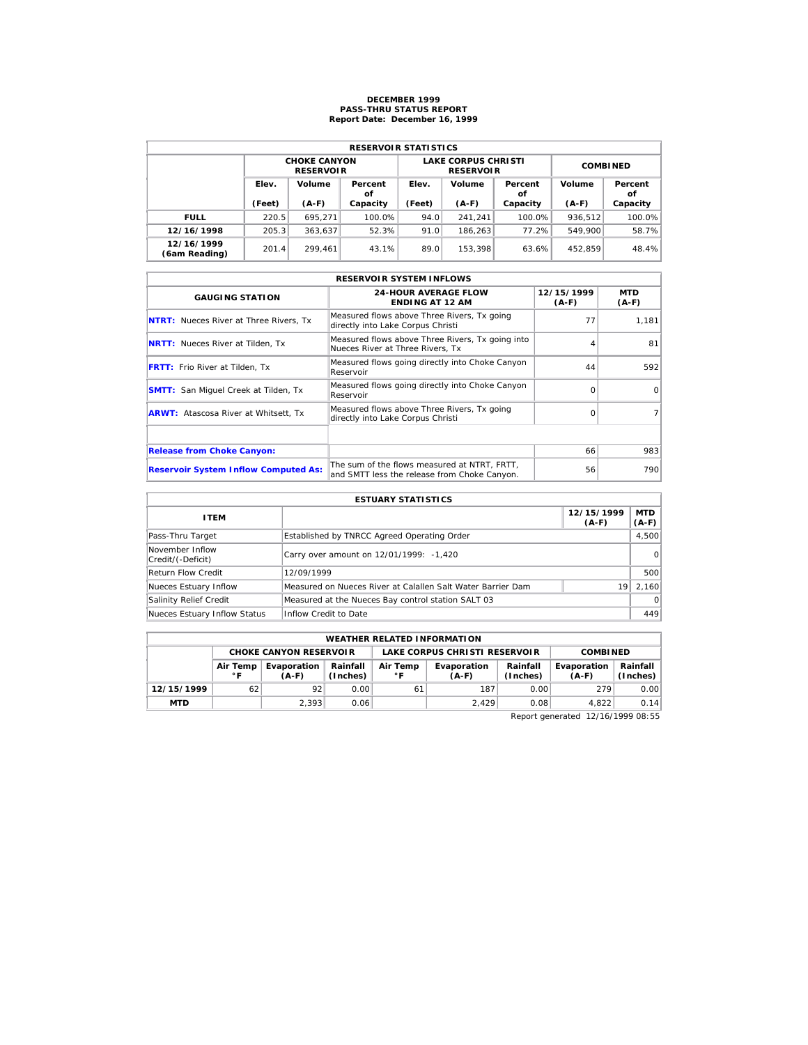### **DECEMBER 1999 PASS-THRU STATUS REPORT Report Date: December 16, 1999**

| <b>RESERVOIR STATISTICS</b> |        |                                         |          |        |                                                |                 |         |               |  |  |  |
|-----------------------------|--------|-----------------------------------------|----------|--------|------------------------------------------------|-----------------|---------|---------------|--|--|--|
|                             |        | <b>CHOKE CANYON</b><br><b>RESERVOIR</b> |          |        | <b>LAKE CORPUS CHRISTI</b><br><b>RESERVOIR</b> | <b>COMBINED</b> |         |               |  |  |  |
|                             | Elev.  | Volume<br>Percent                       |          | Elev.  | Volume                                         | Percent<br>οf   | Volume  | Percent<br>οf |  |  |  |
|                             | (Feet) | $(A-F)$                                 | Capacity | (Feet) | $(A-F)$                                        | Capacity        | $(A-F)$ | Capacity      |  |  |  |
| <b>FULL</b>                 | 220.5  | 695.271                                 | 100.0%   | 94.0   | 241.241                                        | 100.0%          | 936.512 | 100.0%        |  |  |  |
| 12/16/1998                  | 205.3  | 363.637                                 | 52.3%    | 91.0   | 186.263                                        | 77.2%           | 549.900 | 58.7%         |  |  |  |
| 12/16/1999                  | 201.4  | 299.461                                 | 43.1%    | 89.0   | 153.398                                        | 63.6%           | 452.859 | 48.4%         |  |  |  |

| <b>RESERVOIR SYSTEM INFLOWS</b>               |                                                                                              |                     |                |  |  |  |  |  |  |
|-----------------------------------------------|----------------------------------------------------------------------------------------------|---------------------|----------------|--|--|--|--|--|--|
| <b>GAUGING STATION</b>                        | <b>24-HOUR AVERAGE FLOW</b><br><b>ENDING AT 12 AM</b>                                        | 12/15/1999<br>(A-F) | MTD<br>$(A-F)$ |  |  |  |  |  |  |
| <b>NTRT:</b> Nueces River at Three Rivers, Tx | Measured flows above Three Rivers, Tx going<br>directly into Lake Corpus Christi             | 77                  | 1,181          |  |  |  |  |  |  |
| <b>NRTT:</b> Nueces River at Tilden, Tx       | Measured flows above Three Rivers, Tx going into<br>Nueces River at Three Rivers, Tx         |                     | 81             |  |  |  |  |  |  |
| <b>FRTT:</b> Frio River at Tilden, Tx         | Measured flows going directly into Choke Canyon<br>Reservoir                                 | 44                  | 592            |  |  |  |  |  |  |
| <b>SMTT:</b> San Miquel Creek at Tilden, Tx   | Measured flows going directly into Choke Canyon<br>Reservoir                                 | $\Omega$            | $\Omega$       |  |  |  |  |  |  |
| <b>ARWT:</b> Atascosa River at Whitsett, Tx   | Measured flows above Three Rivers, Tx going<br>directly into Lake Corpus Christi             | $\Omega$            |                |  |  |  |  |  |  |
|                                               |                                                                                              |                     |                |  |  |  |  |  |  |
| <b>Release from Choke Canyon:</b>             |                                                                                              | 66                  | 983            |  |  |  |  |  |  |
| <b>Reservoir System Inflow Computed As:</b>   | The sum of the flows measured at NTRT, FRTT,<br>and SMTT less the release from Choke Canyon. | 56                  | 790            |  |  |  |  |  |  |

| <b>ESTUARY STATISTICS</b>            |                                                             |                       |                       |  |  |  |  |  |
|--------------------------------------|-------------------------------------------------------------|-----------------------|-----------------------|--|--|--|--|--|
| <b>ITEM</b>                          |                                                             | 12/15/1999<br>$(A-F)$ | <b>MTD</b><br>$(A-F)$ |  |  |  |  |  |
| Pass-Thru Target                     | Established by TNRCC Agreed Operating Order                 |                       | 4,500                 |  |  |  |  |  |
| November Inflow<br>Credit/(-Deficit) | Carry over amount on 12/01/1999: -1,420                     |                       | $\Omega$              |  |  |  |  |  |
| Return Flow Credit                   | 12/09/1999                                                  |                       | 500                   |  |  |  |  |  |
| Nueces Estuary Inflow                | Measured on Nueces River at Calallen Salt Water Barrier Dam | 19                    | 2.160                 |  |  |  |  |  |
| Salinity Relief Credit               | Measured at the Nueces Bay control station SALT 03          |                       | $\Omega$              |  |  |  |  |  |
| Nueces Estuary Inflow Status         | Inflow Credit to Date                                       |                       | 449                   |  |  |  |  |  |

| <b>WEATHER RELATED INFORMATION</b> |                                                                                               |                               |      |    |                               |                      |                        |                        |  |  |
|------------------------------------|-----------------------------------------------------------------------------------------------|-------------------------------|------|----|-------------------------------|----------------------|------------------------|------------------------|--|--|
|                                    |                                                                                               | <b>CHOKE CANYON RESERVOIR</b> |      |    | LAKE CORPUS CHRISTI RESERVOIR |                      | <b>COMBINED</b>        |                        |  |  |
|                                    | Rainfall<br>Air Temp<br>Evaporation<br>Air Temp<br>(Inches)<br>$^{\circ}$ C<br>∘ ⊏<br>$(A-F)$ |                               |      |    | Evaporation<br>$(A-F)$        | Rainfall<br>(Inches) | Evaporation<br>$(A-F)$ | Rainfall  <br>(Inches) |  |  |
| 12/15/1999                         | 62                                                                                            | 92                            | 0.00 | 61 | 187                           | 0.00                 | 279                    | 0.00                   |  |  |
| <b>MTD</b>                         |                                                                                               | 2.393                         | 0.06 |    | 2.429                         | 0.08                 | 4.822                  | 0.14                   |  |  |

Report generated 12/16/1999 08:55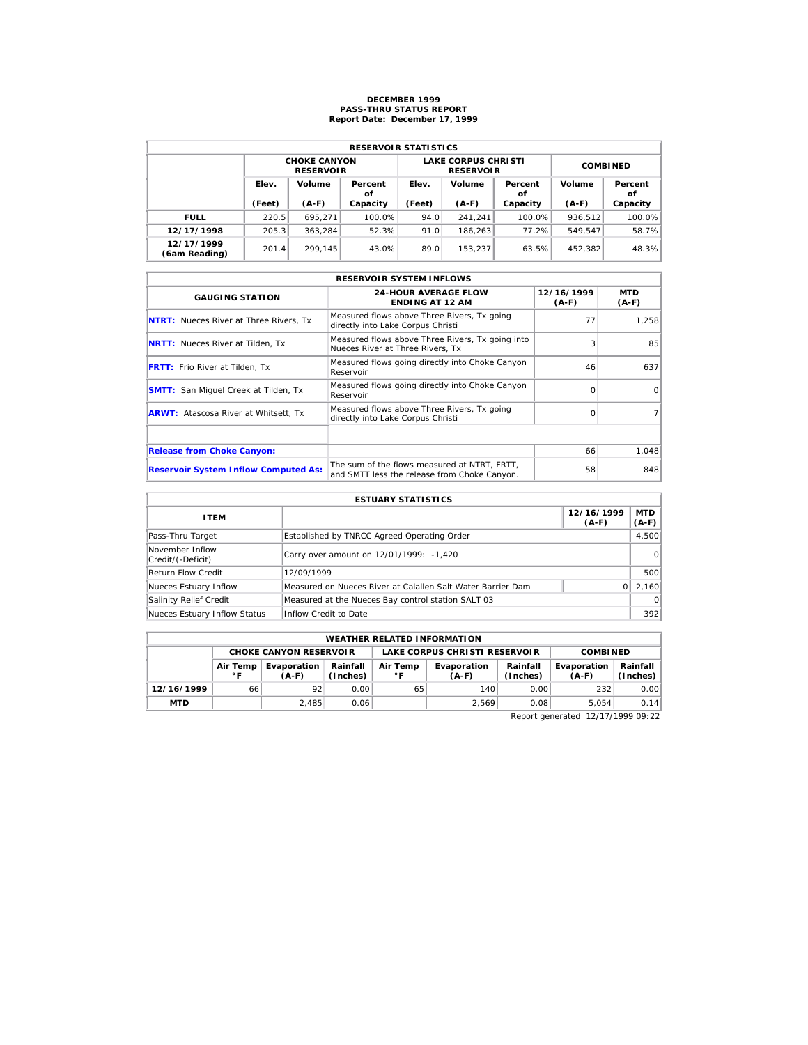## **DECEMBER 1999 PASS-THRU STATUS REPORT Report Date: December 17, 1999**

| <b>RESERVOIR STATISTICS</b> |        |                                         |          |                 |                                                |                 |         |               |  |  |  |
|-----------------------------|--------|-----------------------------------------|----------|-----------------|------------------------------------------------|-----------------|---------|---------------|--|--|--|
|                             |        | <b>CHOKE CANYON</b><br><b>RESERVOIR</b> |          |                 | <b>LAKE CORPUS CHRISTI</b><br><b>RESERVOIR</b> | <b>COMBINED</b> |         |               |  |  |  |
|                             | Elev.  | Volume<br>Percent<br>οf                 |          | Volume<br>Elev. |                                                | Percent<br>οf   | Volume  | Percent<br>οf |  |  |  |
|                             | (Feet) | $(A-F)$                                 | Capacity | (Feet)          | $(A-F)$                                        | Capacity        | $(A-F)$ | Capacity      |  |  |  |
| <b>FULL</b>                 | 220.5  | 695.271                                 | 100.0%   | 94.0            | 241.241                                        | 100.0%          | 936.512 | 100.0%        |  |  |  |
| 12/17/1998                  | 205.3  | 363.284                                 | 52.3%    | 91.0            | 186.263                                        | 77.2%           | 549.547 | 58.7%         |  |  |  |
| 12/17/1999<br>(6am Reading) | 201.4  | 299.145                                 | 43.0%    | 89.0            | 153.237                                        | 63.5%           | 452.382 | 48.3%         |  |  |  |

| <b>RESERVOIR SYSTEM INFLOWS</b>               |                                                                                              |                       |                       |  |  |  |  |  |  |
|-----------------------------------------------|----------------------------------------------------------------------------------------------|-----------------------|-----------------------|--|--|--|--|--|--|
| <b>GAUGING STATION</b>                        | <b>24-HOUR AVERAGE FLOW</b><br><b>ENDING AT 12 AM</b>                                        | 12/16/1999<br>$(A-F)$ | <b>MTD</b><br>$(A-F)$ |  |  |  |  |  |  |
| <b>NTRT:</b> Nueces River at Three Rivers, Tx | Measured flows above Three Rivers, Tx going<br>directly into Lake Corpus Christi             | 77                    | 1.258                 |  |  |  |  |  |  |
| <b>NRTT:</b> Nueces River at Tilden, Tx       | Measured flows above Three Rivers, Tx going into<br>Nueces River at Three Rivers. Tx         | 3                     | 85                    |  |  |  |  |  |  |
| <b>FRTT:</b> Frio River at Tilden, Tx         | Measured flows going directly into Choke Canyon<br>Reservoir                                 | 46                    | 637                   |  |  |  |  |  |  |
| <b>SMTT:</b> San Miquel Creek at Tilden, Tx   | Measured flows going directly into Choke Canyon<br>Reservoir                                 | $\Omega$              | $\Omega$              |  |  |  |  |  |  |
| <b>ARWT:</b> Atascosa River at Whitsett, Tx   | Measured flows above Three Rivers, Tx going<br>directly into Lake Corpus Christi             | $\Omega$              |                       |  |  |  |  |  |  |
|                                               |                                                                                              |                       |                       |  |  |  |  |  |  |
| <b>Release from Choke Canyon:</b>             |                                                                                              | 66                    | 1,048                 |  |  |  |  |  |  |
| <b>Reservoir System Inflow Computed As:</b>   | The sum of the flows measured at NTRT. FRTT.<br>and SMTT less the release from Choke Canyon. | 58                    | 848                   |  |  |  |  |  |  |

| <b>ESTUARY STATISTICS</b>            |                                                             |                       |                       |  |  |  |  |
|--------------------------------------|-------------------------------------------------------------|-----------------------|-----------------------|--|--|--|--|
| <b>ITEM</b>                          |                                                             | 12/16/1999<br>$(A-F)$ | <b>MTD</b><br>$(A-F)$ |  |  |  |  |
| Pass-Thru Target                     | Established by TNRCC Agreed Operating Order                 |                       | 4,500                 |  |  |  |  |
| November Inflow<br>Credit/(-Deficit) | Carry over amount on 12/01/1999: -1,420                     |                       | $\Omega$              |  |  |  |  |
| Return Flow Credit                   | 12/09/1999                                                  |                       | 500                   |  |  |  |  |
| Nueces Estuary Inflow                | Measured on Nueces River at Calallen Salt Water Barrier Dam |                       | 2.160                 |  |  |  |  |
| Salinity Relief Credit               | Measured at the Nueces Bay control station SALT 03          |                       | $\Omega$              |  |  |  |  |
| Nueces Estuary Inflow Status         | Inflow Credit to Date                                       |                       | 392                   |  |  |  |  |

| <b>WEATHER RELATED INFORMATION</b>                             |                                                                                               |       |      |    |                        |                      |                        |                        |  |  |
|----------------------------------------------------------------|-----------------------------------------------------------------------------------------------|-------|------|----|------------------------|----------------------|------------------------|------------------------|--|--|
| LAKE CORPUS CHRISTI RESERVOIR<br><b>CHOKE CANYON RESERVOIR</b> |                                                                                               |       |      |    |                        | <b>COMBINED</b>      |                        |                        |  |  |
|                                                                | Rainfall<br>Air Temp<br>Evaporation<br>Air Temp<br>(Inches)<br>$^{\circ}$ C<br>∘ ⊏<br>$(A-F)$ |       |      |    | Evaporation<br>$(A-F)$ | Rainfall<br>(Inches) | Evaporation<br>$(A-F)$ | Rainfall  <br>(Inches) |  |  |
| 12/16/1999                                                     | 66                                                                                            | 92    | 0.00 | 65 | 140                    | 0.00                 | 232                    | 0.00                   |  |  |
| <b>MTD</b>                                                     |                                                                                               | 2.485 | 0.06 |    | 2.569                  | 0.08                 | 5.054                  | 0.14                   |  |  |

Report generated 12/17/1999 09:22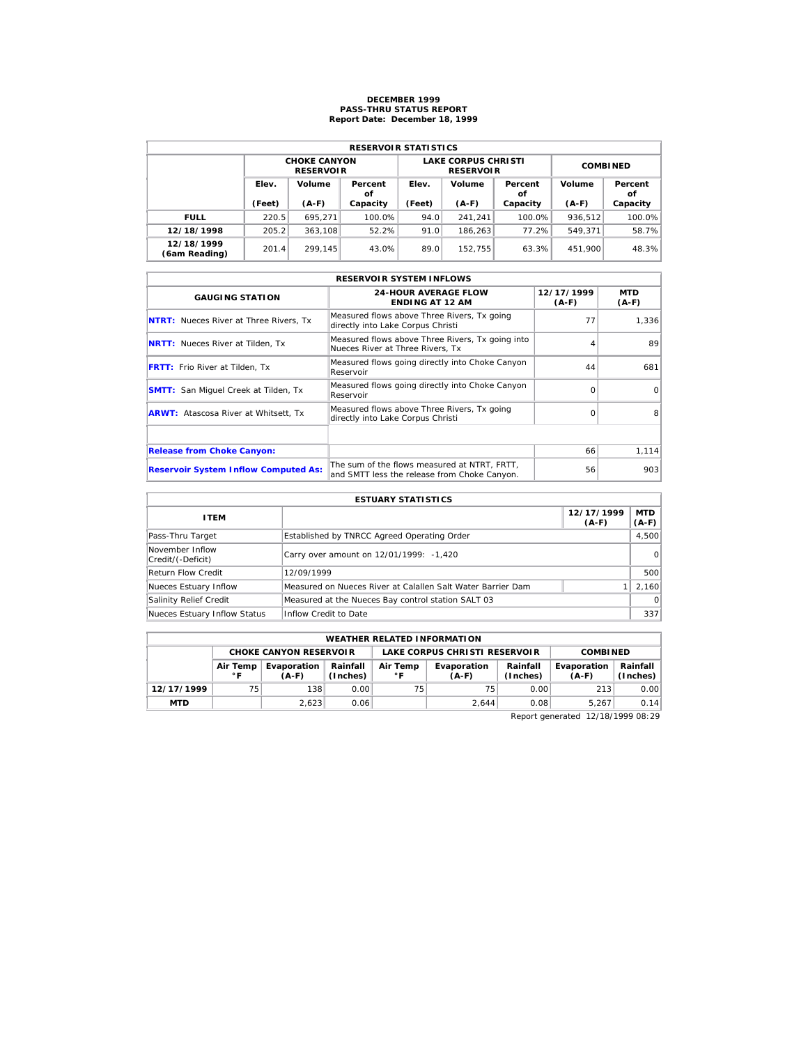## **DECEMBER 1999 PASS-THRU STATUS REPORT Report Date: December 18, 1999**

| <b>RESERVOIR STATISTICS</b> |        |                                         |          |        |                                                |                 |         |               |  |  |  |
|-----------------------------|--------|-----------------------------------------|----------|--------|------------------------------------------------|-----------------|---------|---------------|--|--|--|
|                             |        | <b>CHOKE CANYON</b><br><b>RESERVOIR</b> |          |        | <b>LAKE CORPUS CHRISTI</b><br><b>RESERVOIR</b> | <b>COMBINED</b> |         |               |  |  |  |
|                             | Elev.  | Volume<br>Percent                       |          | Elev.  | Volume                                         | Percent<br>οf   | Volume  | Percent<br>οf |  |  |  |
|                             | (Feet) | $(A-F)$                                 | Capacity | (Feet) | $(A-F)$                                        | Capacity        | $(A-F)$ | Capacity      |  |  |  |
| <b>FULL</b>                 | 220.5  | 695.271                                 | 100.0%   | 94.0   | 241.241                                        | 100.0%          | 936.512 | 100.0%        |  |  |  |
| 12/18/1998                  | 205.2  | 363.108                                 | 52.2%    | 91.0   | 186.263                                        | 77.2%           | 549.371 | 58.7%         |  |  |  |
| 12/18/1999                  | 201.4  | 299.145                                 | 43.0%    | 89.0   | 152.755                                        | 63.3%           | 451,900 | 48.3%         |  |  |  |

| <b>RESERVOIR SYSTEM INFLOWS</b>               |                                                                                              |                       |                       |  |  |  |  |  |  |
|-----------------------------------------------|----------------------------------------------------------------------------------------------|-----------------------|-----------------------|--|--|--|--|--|--|
| <b>GAUGING STATION</b>                        | <b>24-HOUR AVERAGE FLOW</b><br><b>ENDING AT 12 AM</b>                                        | 12/17/1999<br>$(A-F)$ | <b>MTD</b><br>$(A-F)$ |  |  |  |  |  |  |
| <b>NTRT:</b> Nueces River at Three Rivers, Tx | Measured flows above Three Rivers, Tx going<br>directly into Lake Corpus Christi             | 77                    | 1,336                 |  |  |  |  |  |  |
| <b>NRTT:</b> Nueces River at Tilden, Tx       | Measured flows above Three Rivers, Tx going into<br>Nueces River at Three Rivers. Tx         |                       | 89                    |  |  |  |  |  |  |
| <b>FRTT:</b> Frio River at Tilden, Tx         | Measured flows going directly into Choke Canyon<br>Reservoir                                 | 44                    | 681                   |  |  |  |  |  |  |
| <b>SMTT:</b> San Miquel Creek at Tilden, Tx   | Measured flows going directly into Choke Canyon<br>Reservoir                                 | $\Omega$              | $\Omega$              |  |  |  |  |  |  |
| <b>ARWT:</b> Atascosa River at Whitsett, Tx   | Measured flows above Three Rivers, Tx going<br>directly into Lake Corpus Christi             | $\Omega$              | 8                     |  |  |  |  |  |  |
|                                               |                                                                                              |                       |                       |  |  |  |  |  |  |
| <b>Release from Choke Canyon:</b>             |                                                                                              | 66                    | 1, 114                |  |  |  |  |  |  |
| <b>Reservoir System Inflow Computed As:</b>   | The sum of the flows measured at NTRT. FRTT.<br>and SMTT less the release from Choke Canyon. | 56                    | 903                   |  |  |  |  |  |  |

| <b>ESTUARY STATISTICS</b>            |                                                             |                       |                       |  |  |  |  |  |
|--------------------------------------|-------------------------------------------------------------|-----------------------|-----------------------|--|--|--|--|--|
| <b>ITEM</b>                          |                                                             | 12/17/1999<br>$(A-F)$ | <b>MTD</b><br>$(A-F)$ |  |  |  |  |  |
| Pass-Thru Target                     | Established by TNRCC Agreed Operating Order                 |                       | 4,500                 |  |  |  |  |  |
| November Inflow<br>Credit/(-Deficit) | Carry over amount on 12/01/1999: -1,420                     |                       | $\Omega$              |  |  |  |  |  |
| Return Flow Credit                   | 12/09/1999                                                  |                       | 500                   |  |  |  |  |  |
| Nueces Estuary Inflow                | Measured on Nueces River at Calallen Salt Water Barrier Dam |                       | 2.160                 |  |  |  |  |  |
| Salinity Relief Credit               | Measured at the Nueces Bay control station SALT 03          |                       | $\Omega$              |  |  |  |  |  |
| Nueces Estuary Inflow Status         | Inflow Credit to Date                                       |                       | 337                   |  |  |  |  |  |

|            | <b>WEATHER RELATED INFORMATION</b>                                                           |                               |      |    |                               |                      |                        |                        |  |  |  |
|------------|----------------------------------------------------------------------------------------------|-------------------------------|------|----|-------------------------------|----------------------|------------------------|------------------------|--|--|--|
|            |                                                                                              | <b>CHOKE CANYON RESERVOIR</b> |      |    | LAKE CORPUS CHRISTI RESERVOIR |                      | <b>COMBINED</b>        |                        |  |  |  |
|            | Rainfall<br>Air Temp<br>Evaporation<br>Air Temp<br>(Inches)<br>$^{\circ}$ C<br>∘г<br>$(A-F)$ |                               |      |    | Evaporation<br>$(A-F)$        | Rainfall<br>(Inches) | Evaporation<br>$(A-F)$ | Rainfall  <br>(Inches) |  |  |  |
| 12/17/1999 | 75                                                                                           | 138                           | 0.00 | 75 | 75                            | 0.00                 | 213                    | 0.00                   |  |  |  |
| <b>MTD</b> |                                                                                              | 2.623                         | 0.06 |    | 2.644                         | 0.08                 | 5.267                  | 0.14                   |  |  |  |

Report generated 12/18/1999 08:29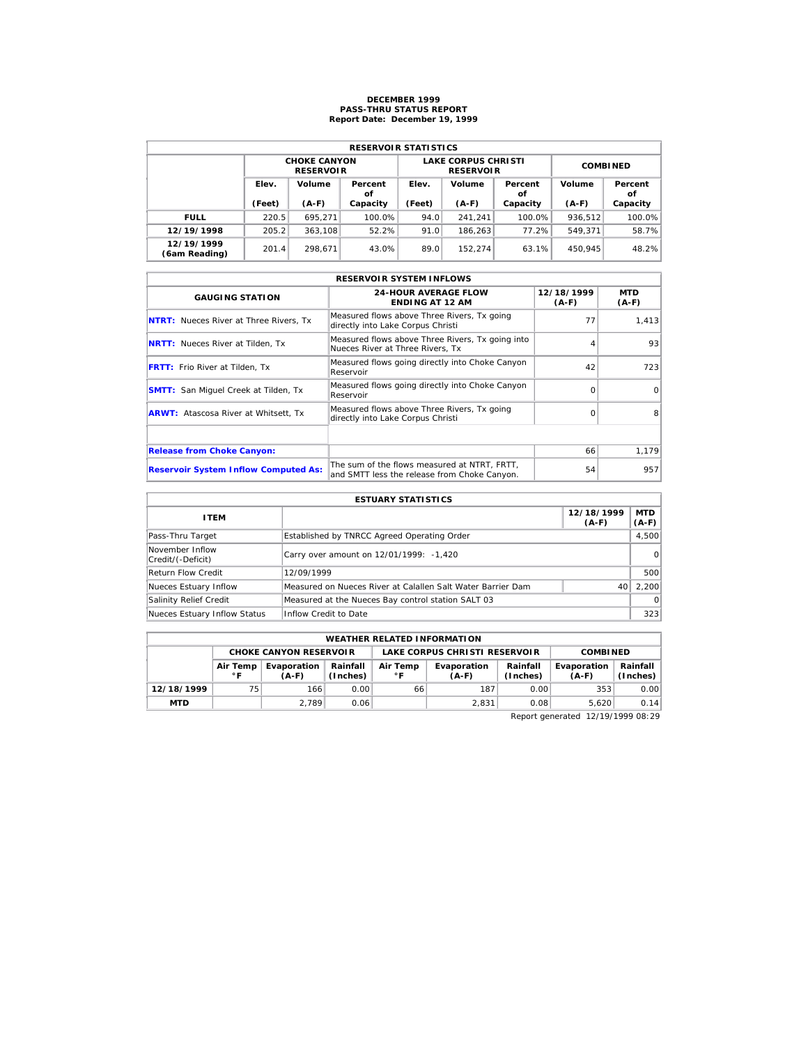### **DECEMBER 1999 PASS-THRU STATUS REPORT Report Date: December 19, 1999**

| <b>RESERVOIR STATISTICS</b> |        |                                         |          |        |                                                |                 |         |               |  |  |  |
|-----------------------------|--------|-----------------------------------------|----------|--------|------------------------------------------------|-----------------|---------|---------------|--|--|--|
|                             |        | <b>CHOKE CANYON</b><br><b>RESERVOIR</b> |          |        | <b>LAKE CORPUS CHRISTI</b><br><b>RESERVOIR</b> | <b>COMBINED</b> |         |               |  |  |  |
|                             | Elev.  | Volume<br>Percent<br>οf                 |          | Elev.  | Volume                                         | Percent<br>οf   | Volume  | Percent<br>οf |  |  |  |
|                             | (Feet) | $(A-F)$                                 | Capacity | (Feet) | $(A-F)$                                        | Capacity        | $(A-F)$ | Capacity      |  |  |  |
| <b>FULL</b>                 | 220.5  | 695.271                                 | 100.0%   | 94.0   | 241.241                                        | 100.0%          | 936.512 | 100.0%        |  |  |  |
| 12/19/1998                  | 205.2  | 363.108                                 | 52.2%    | 91.0   | 186.263                                        | 77.2%           | 549.371 | 58.7%         |  |  |  |
| 12/19/1999                  | 201.4  | 298.671                                 | 43.0%    | 89.0   | 152.274                                        | 63.1%           | 450.945 | 48.2%         |  |  |  |

| <b>RESERVOIR SYSTEM INFLOWS</b>               |                                                                                              |                       |                       |  |  |  |  |  |  |
|-----------------------------------------------|----------------------------------------------------------------------------------------------|-----------------------|-----------------------|--|--|--|--|--|--|
| <b>GAUGING STATION</b>                        | <b>24-HOUR AVERAGE FLOW</b><br><b>ENDING AT 12 AM</b>                                        | 12/18/1999<br>$(A-F)$ | <b>MTD</b><br>$(A-F)$ |  |  |  |  |  |  |
| <b>NTRT:</b> Nueces River at Three Rivers. Tx | Measured flows above Three Rivers, Tx going<br>directly into Lake Corpus Christi             | 77                    | 1.413                 |  |  |  |  |  |  |
| <b>NRTT:</b> Nueces River at Tilden, Tx       | Measured flows above Three Rivers, Tx going into<br>Nueces River at Three Rivers. Tx         |                       | 93                    |  |  |  |  |  |  |
| <b>FRTT:</b> Frio River at Tilden, Tx         | Measured flows going directly into Choke Canyon<br>Reservoir                                 | 42                    | 723                   |  |  |  |  |  |  |
| <b>SMTT:</b> San Miguel Creek at Tilden, Tx   | Measured flows going directly into Choke Canyon<br>Reservoir                                 | $\Omega$              | $\Omega$              |  |  |  |  |  |  |
| <b>ARWT:</b> Atascosa River at Whitsett, Tx   | Measured flows above Three Rivers, Tx going<br>directly into Lake Corpus Christi             | $\Omega$              | 8                     |  |  |  |  |  |  |
|                                               |                                                                                              |                       |                       |  |  |  |  |  |  |
| <b>Release from Choke Canyon:</b>             |                                                                                              | 66                    | 1,179                 |  |  |  |  |  |  |
| <b>Reservoir System Inflow Computed As:</b>   | The sum of the flows measured at NTRT, FRTT,<br>and SMTT less the release from Choke Canyon. | 54                    | 957                   |  |  |  |  |  |  |

| <b>ESTUARY STATISTICS</b>            |                                                             |                       |                       |  |  |  |  |  |
|--------------------------------------|-------------------------------------------------------------|-----------------------|-----------------------|--|--|--|--|--|
| <b>ITEM</b>                          |                                                             | 12/18/1999<br>$(A-F)$ | <b>MTD</b><br>$(A-F)$ |  |  |  |  |  |
| Pass-Thru Target                     | Established by TNRCC Agreed Operating Order                 |                       | 4,500                 |  |  |  |  |  |
| November Inflow<br>Credit/(-Deficit) | Carry over amount on 12/01/1999: -1,420                     |                       | $\Omega$              |  |  |  |  |  |
| Return Flow Credit                   | 12/09/1999                                                  |                       | 500                   |  |  |  |  |  |
| Nueces Estuary Inflow                | Measured on Nueces River at Calallen Salt Water Barrier Dam | 40                    | 2.200                 |  |  |  |  |  |
| Salinity Relief Credit               | Measured at the Nueces Bay control station SALT 03          |                       | $\Omega$              |  |  |  |  |  |
| Nueces Estuary Inflow Status         | Inflow Credit to Date                                       |                       | 323                   |  |  |  |  |  |

| <b>WEATHER RELATED INFORMATION</b>                             |                                                                               |       |      |    |                        |                      |                        |                        |  |  |
|----------------------------------------------------------------|-------------------------------------------------------------------------------|-------|------|----|------------------------|----------------------|------------------------|------------------------|--|--|
| LAKE CORPUS CHRISTI RESERVOIR<br><b>CHOKE CANYON RESERVOIR</b> |                                                                               |       |      |    |                        |                      | <b>COMBINED</b>        |                        |  |  |
|                                                                | Rainfall<br>Air Temp<br>Evaporation<br>Air Temp<br>(Inches)<br>∘ ⊏<br>$(A-F)$ |       |      |    | Evaporation<br>$(A-F)$ | Rainfall<br>(Inches) | Evaporation<br>$(A-F)$ | Rainfall  <br>(Inches) |  |  |
| 12/18/1999                                                     | 75                                                                            | 166   | 0.00 | 66 | 187                    | 0.00                 | 353                    | 0.00                   |  |  |
| <b>MTD</b>                                                     |                                                                               | 2.789 | 0.06 |    | 2.831                  | 0.08                 | 5.620                  | 0.14                   |  |  |

Report generated 12/19/1999 08:29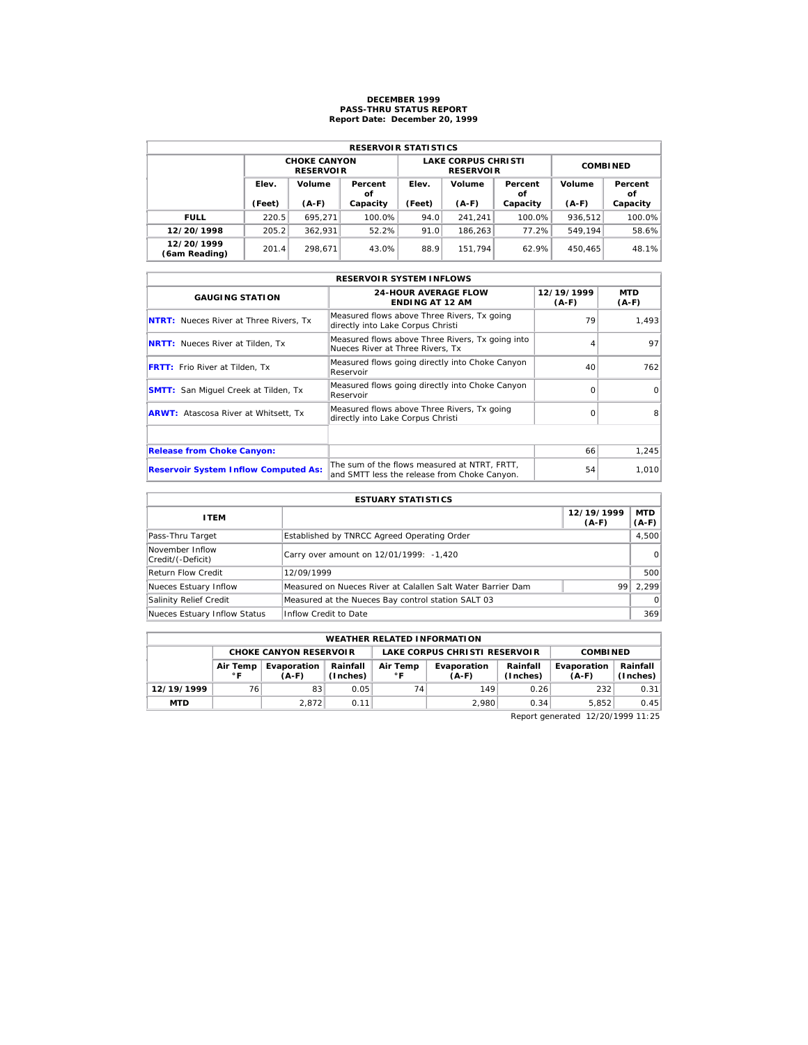## **DECEMBER 1999 PASS-THRU STATUS REPORT Report Date: December 20, 1999**

| <b>RESERVOIR STATISTICS</b> |        |                                         |               |        |                                                |                 |         |               |  |  |  |
|-----------------------------|--------|-----------------------------------------|---------------|--------|------------------------------------------------|-----------------|---------|---------------|--|--|--|
|                             |        | <b>CHOKE CANYON</b><br><b>RESERVOIR</b> |               |        | <b>LAKE CORPUS CHRISTI</b><br><b>RESERVOIR</b> | <b>COMBINED</b> |         |               |  |  |  |
|                             | Elev.  | Volume                                  | Percent<br>οf | Elev.  | Volume                                         | Percent<br>οf   | Volume  | Percent<br>οf |  |  |  |
|                             | (Feet) | $(A-F)$                                 | Capacity      | (Feet) | $(A-F)$                                        | Capacity        | $(A-F)$ | Capacity      |  |  |  |
| <b>FULL</b>                 | 220.5  | 695.271                                 | 100.0%        | 94.0   | 241.241                                        | $100.0\%$       | 936.512 | 100.0%        |  |  |  |
| 12/20/1998                  | 205.2  | 362.931                                 | 52.2%         | 91.0   | 186.263                                        | 77.2%           | 549.194 | 58.6%         |  |  |  |
| 12/20/1999                  | 201.4  | 298.671                                 | 43.0%         | 88.9   | 151.794                                        | 62.9%           | 450.465 | 48.1%         |  |  |  |

|                                               | <b>RESERVOIR SYSTEM INFLOWS</b>                                                              |                       |                       |
|-----------------------------------------------|----------------------------------------------------------------------------------------------|-----------------------|-----------------------|
| <b>GAUGING STATION</b>                        | <b>24-HOUR AVERAGE FLOW</b><br><b>ENDING AT 12 AM</b>                                        | 12/19/1999<br>$(A-F)$ | <b>MTD</b><br>$(A-F)$ |
| <b>NTRT:</b> Nueces River at Three Rivers, Tx | Measured flows above Three Rivers, Tx going<br>directly into Lake Corpus Christi             | 79                    | 1.493                 |
| <b>NRTT:</b> Nueces River at Tilden, Tx       | Measured flows above Three Rivers, Tx going into<br>Nueces River at Three Rivers, Tx         |                       | 97                    |
| <b>FRTT:</b> Frio River at Tilden, Tx         | Measured flows going directly into Choke Canyon<br>Reservoir                                 | 40                    | 762                   |
| <b>SMTT:</b> San Miquel Creek at Tilden, Tx   | Measured flows going directly into Choke Canyon<br>Reservoir                                 | $\Omega$              | $\Omega$              |
| <b>ARWT:</b> Atascosa River at Whitsett, Tx   | Measured flows above Three Rivers, Tx going<br>directly into Lake Corpus Christi             | $\Omega$              | 8                     |
|                                               |                                                                                              |                       |                       |
| <b>Release from Choke Canyon:</b>             |                                                                                              | 66                    | 1,245                 |
| <b>Reservoir System Inflow Computed As:</b>   | The sum of the flows measured at NTRT, FRTT,<br>and SMTT less the release from Choke Canyon. | 54                    | 1,010                 |

| <b>ESTUARY STATISTICS</b>            |                                                             |                       |                       |  |  |  |  |  |
|--------------------------------------|-------------------------------------------------------------|-----------------------|-----------------------|--|--|--|--|--|
| <b>ITEM</b>                          |                                                             | 12/19/1999<br>$(A-F)$ | <b>MTD</b><br>$(A-F)$ |  |  |  |  |  |
| Pass-Thru Target                     | Established by TNRCC Agreed Operating Order                 |                       | 4,500                 |  |  |  |  |  |
| November Inflow<br>Credit/(-Deficit) | Carry over amount on 12/01/1999: -1,420                     |                       | $\Omega$              |  |  |  |  |  |
| Return Flow Credit                   | 12/09/1999                                                  |                       | 500                   |  |  |  |  |  |
| Nueces Estuary Inflow                | Measured on Nueces River at Calallen Salt Water Barrier Dam | 99                    | 2.299                 |  |  |  |  |  |
| Salinity Relief Credit               | Measured at the Nueces Bay control station SALT 03          |                       | $\Omega$              |  |  |  |  |  |
| Nueces Estuary Inflow Status         | Inflow Credit to Date                                       |                       | 369                   |  |  |  |  |  |

| <b>WEATHER RELATED INFORMATION</b>                                         |    |                               |      |                          |                               |                      |                        |                      |  |  |
|----------------------------------------------------------------------------|----|-------------------------------|------|--------------------------|-------------------------------|----------------------|------------------------|----------------------|--|--|
|                                                                            |    | <b>CHOKE CANYON RESERVOIR</b> |      |                          | LAKE CORPUS CHRISTI RESERVOIR |                      | <b>COMBINED</b>        |                      |  |  |
| Rainfall<br>Evaporation<br>Air Temp<br>(Inches)<br>$^{\circ}$ F<br>$(A-F)$ |    |                               |      | Air Temp<br>$^{\circ}$ F | Evaporation<br>$(A-F)$        | Rainfall<br>(Inches) | Evaporation<br>$(A-F)$ | Rainfall<br>(Inches) |  |  |
| 12/19/1999                                                                 | 76 | 83                            | 0.05 | 74                       | 149                           | 0.26                 | 232                    | 0.31                 |  |  |
| <b>MTD</b>                                                                 |    | 2.872                         | 0.11 |                          | 2.980                         | 0.34                 | 5.852                  | 0.45                 |  |  |

Report generated 12/20/1999 11:25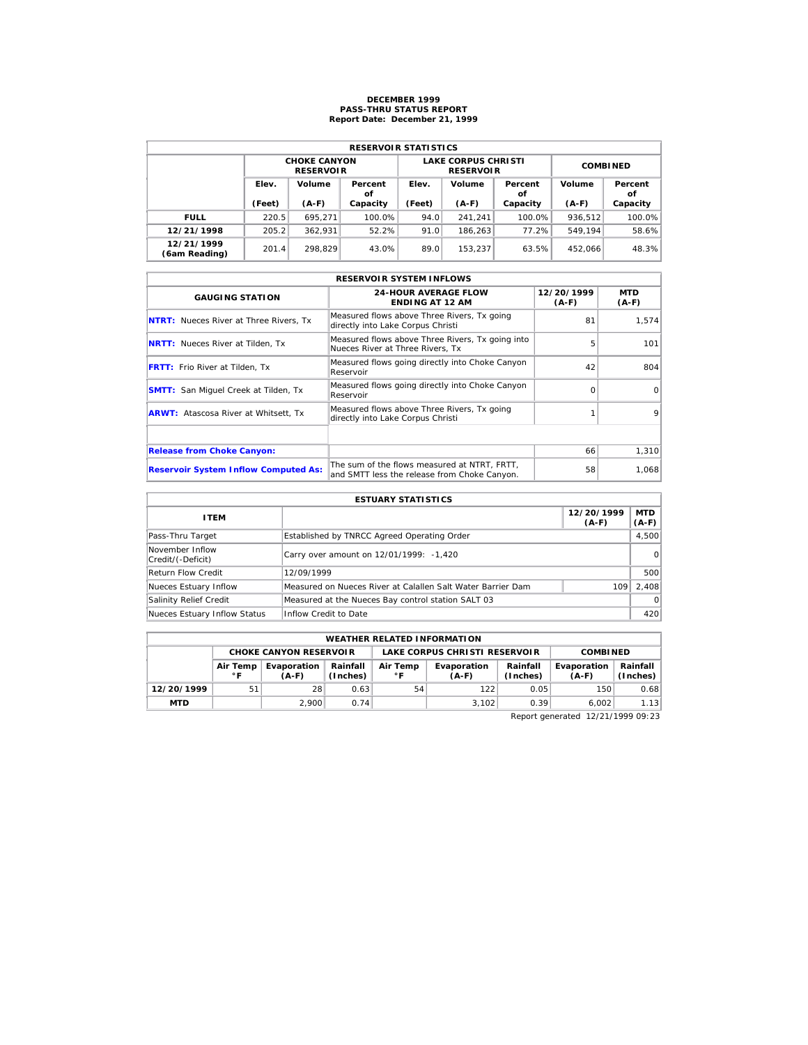## **DECEMBER 1999 PASS-THRU STATUS REPORT Report Date: December 21, 1999**

| <b>RESERVOIR STATISTICS</b> |        |                                         |               |        |                                                |                 |         |               |  |  |  |
|-----------------------------|--------|-----------------------------------------|---------------|--------|------------------------------------------------|-----------------|---------|---------------|--|--|--|
|                             |        | <b>CHOKE CANYON</b><br><b>RESERVOIR</b> |               |        | <b>LAKE CORPUS CHRISTI</b><br><b>RESERVOIR</b> | <b>COMBINED</b> |         |               |  |  |  |
|                             | Elev.  | Volume                                  | Percent<br>οf | Elev.  | Volume                                         | Percent<br>οf   | Volume  | Percent<br>οf |  |  |  |
|                             | (Feet) | $(A-F)$                                 | Capacity      | (Feet) | $(A-F)$                                        | Capacity        | $(A-F)$ | Capacity      |  |  |  |
| <b>FULL</b>                 | 220.5  | 695.271                                 | 100.0%        | 94.0   | 241.241                                        | $100.0\%$       | 936.512 | 100.0%        |  |  |  |
| 12/21/1998                  | 205.2  | 362.931                                 | 52.2%         | 91.0   | 186.263                                        | 77.2%           | 549.194 | 58.6%         |  |  |  |
| 12/21/1999                  | 201.4  | 298.829                                 | 43.0%         | 89.0   | 153.237                                        | 63.5%           | 452.066 | 48.3%         |  |  |  |

|                                               | <b>RESERVOIR SYSTEM INFLOWS</b>                                                              |                       |                       |
|-----------------------------------------------|----------------------------------------------------------------------------------------------|-----------------------|-----------------------|
| <b>GAUGING STATION</b>                        | <b>24-HOUR AVERAGE FLOW</b><br><b>ENDING AT 12 AM</b>                                        | 12/20/1999<br>$(A-F)$ | <b>MTD</b><br>$(A-F)$ |
| <b>NTRT:</b> Nueces River at Three Rivers, Tx | Measured flows above Three Rivers, Tx going<br>directly into Lake Corpus Christi             | 81                    | 1.574                 |
| <b>NRTT:</b> Nueces River at Tilden, Tx       | Measured flows above Three Rivers, Tx going into<br>Nueces River at Three Rivers, Tx         | 5                     | 101                   |
| <b>FRTT:</b> Frio River at Tilden, Tx         | Measured flows going directly into Choke Canyon<br>Reservoir                                 | 42                    | 804                   |
| <b>SMTT:</b> San Miquel Creek at Tilden, Tx   | Measured flows going directly into Choke Canyon<br>Reservoir                                 | $\Omega$              | $\Omega$              |
| <b>ARWT:</b> Atascosa River at Whitsett, Tx   | Measured flows above Three Rivers, Tx going<br>directly into Lake Corpus Christi             |                       | $\mathbf Q$           |
|                                               |                                                                                              |                       |                       |
| <b>Release from Choke Canyon:</b>             |                                                                                              | 66                    | 1,310                 |
| <b>Reservoir System Inflow Computed As:</b>   | The sum of the flows measured at NTRT, FRTT,<br>and SMTT less the release from Choke Canyon. | 58                    | 1,068                 |

| <b>ESTUARY STATISTICS</b>            |                                                             |                       |                       |  |  |  |  |  |
|--------------------------------------|-------------------------------------------------------------|-----------------------|-----------------------|--|--|--|--|--|
| <b>ITEM</b>                          |                                                             | 12/20/1999<br>$(A-F)$ | <b>MTD</b><br>$(A-F)$ |  |  |  |  |  |
| Pass-Thru Target                     | Established by TNRCC Agreed Operating Order                 |                       | 4,500                 |  |  |  |  |  |
| November Inflow<br>Credit/(-Deficit) | Carry over amount on 12/01/1999: -1,420                     |                       | $\Omega$              |  |  |  |  |  |
| <b>Return Flow Credit</b>            | 12/09/1999                                                  |                       | 500                   |  |  |  |  |  |
| Nueces Estuary Inflow                | Measured on Nueces River at Calallen Salt Water Barrier Dam | 109                   | 2.408                 |  |  |  |  |  |
| Salinity Relief Credit               | Measured at the Nueces Bay control station SALT 03          |                       | $\Omega$              |  |  |  |  |  |
| Nueces Estuary Inflow Status         | Inflow Credit to Date                                       |                       | 420                   |  |  |  |  |  |

| <b>WEATHER RELATED INFORMATION</b> |                                                                                                        |                               |      |    |                               |                      |                        |                      |  |  |
|------------------------------------|--------------------------------------------------------------------------------------------------------|-------------------------------|------|----|-------------------------------|----------------------|------------------------|----------------------|--|--|
|                                    |                                                                                                        | <b>CHOKE CANYON RESERVOIR</b> |      |    | LAKE CORPUS CHRISTI RESERVOIR |                      | <b>COMBINED</b>        |                      |  |  |
|                                    | Rainfall<br>Air Temp<br>Evaporation<br>Air Temp<br>(Inches)<br>$^{\circ}$ F<br>$^{\circ}$ F<br>$(A-F)$ |                               |      |    | Evaporation<br>$(A-F)$        | Rainfall<br>(Inches) | Evaporation<br>$(A-F)$ | Rainfall<br>(Inches) |  |  |
| 12/20/1999                         | 51                                                                                                     | 28                            | 0.63 | 54 | 122                           | 0.05                 | 150                    | 0.68                 |  |  |
| <b>MTD</b>                         |                                                                                                        | 2.900                         | 0.74 |    | 3.102                         | 0.39                 | 6.002                  | 1.13                 |  |  |

Report generated 12/21/1999 09:23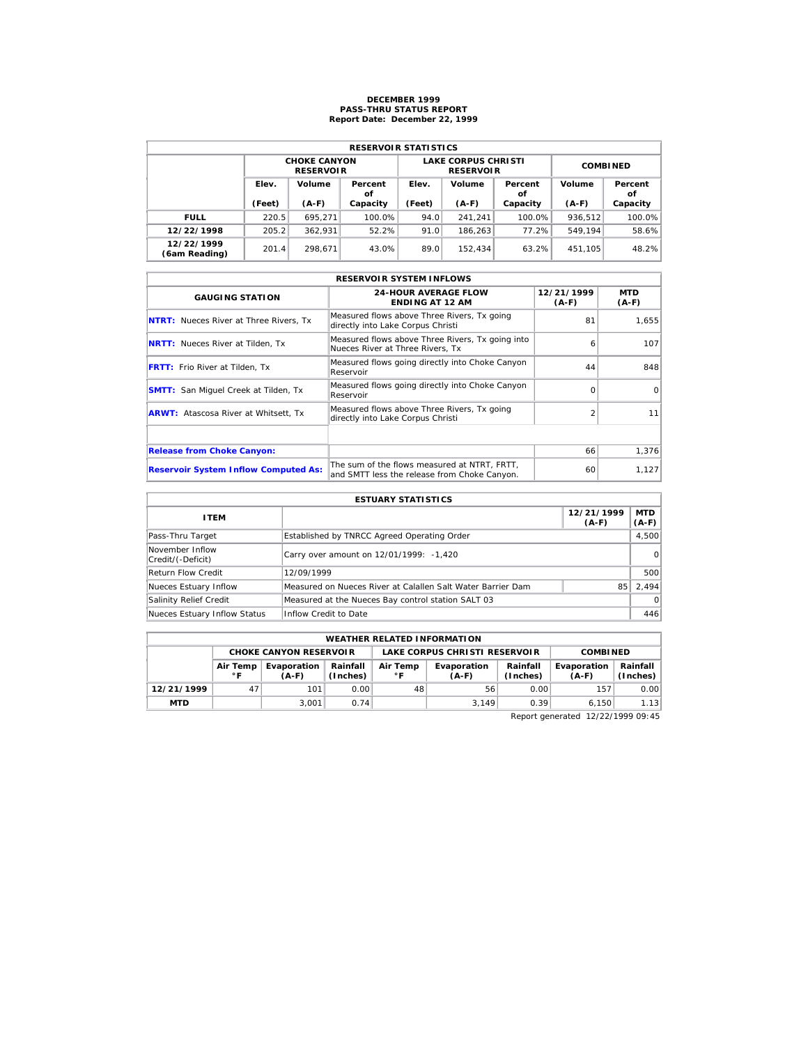## **DECEMBER 1999 PASS-THRU STATUS REPORT Report Date: December 22, 1999**

| <b>RESERVOIR STATISTICS</b> |        |                                         |          |        |                                                |                 |         |               |  |  |  |
|-----------------------------|--------|-----------------------------------------|----------|--------|------------------------------------------------|-----------------|---------|---------------|--|--|--|
|                             |        | <b>CHOKE CANYON</b><br><b>RESERVOIR</b> |          |        | <b>LAKE CORPUS CHRISTI</b><br><b>RESERVOIR</b> | <b>COMBINED</b> |         |               |  |  |  |
|                             | Elev.  | Volume<br>Percent<br>οf                 |          | Elev.  | Volume                                         | Percent<br>οf   | Volume  | Percent<br>οf |  |  |  |
|                             | (Feet) | $(A-F)$                                 | Capacity | (Feet) | $(A-F)$                                        | Capacity        | $(A-F)$ | Capacity      |  |  |  |
| <b>FULL</b>                 | 220.5  | 695.271                                 | 100.0%   | 94.0   | 241.241                                        | $100.0\%$       | 936.512 | 100.0%        |  |  |  |
| 12/22/1998                  | 205.2  | 362.931                                 | 52.2%    | 91.0   | 186.263                                        | 77.2%           | 549.194 | 58.6%         |  |  |  |
| 12/22/1999                  | 201.4  | 298.671                                 | 43.0%    | 89.0   | 152.434                                        | 63.2%           | 451.105 | 48.2%         |  |  |  |

|                                               | <b>RESERVOIR SYSTEM INFLOWS</b>                                                              |                       |                       |
|-----------------------------------------------|----------------------------------------------------------------------------------------------|-----------------------|-----------------------|
| <b>GAUGING STATION</b>                        | <b>24-HOUR AVERAGE FLOW</b><br><b>ENDING AT 12 AM</b>                                        | 12/21/1999<br>$(A-F)$ | <b>MTD</b><br>$(A-F)$ |
| <b>NTRT:</b> Nueces River at Three Rivers, Tx | Measured flows above Three Rivers, Tx going<br>directly into Lake Corpus Christi             | 81                    | 1,655                 |
| <b>NRTT:</b> Nueces River at Tilden, Tx       | Measured flows above Three Rivers, Tx going into<br>Nueces River at Three Rivers, Tx         | 6                     | 107                   |
| <b>FRTT:</b> Frio River at Tilden, Tx         | Measured flows going directly into Choke Canyon<br>Reservoir                                 | 44                    | 848                   |
| <b>SMTT:</b> San Miquel Creek at Tilden, Tx   | Measured flows going directly into Choke Canyon<br>Reservoir                                 | $\Omega$              | $\Omega$              |
| <b>ARWT:</b> Atascosa River at Whitsett, Tx   | Measured flows above Three Rivers, Tx going<br>directly into Lake Corpus Christi             |                       | 11                    |
|                                               |                                                                                              |                       |                       |
| <b>Release from Choke Canyon:</b>             |                                                                                              | 66                    | 1,376                 |
| <b>Reservoir System Inflow Computed As:</b>   | The sum of the flows measured at NTRT, FRTT,<br>and SMTT less the release from Choke Canyon. | 60                    | 1,127                 |

| <b>ESTUARY STATISTICS</b>            |                                                             |                       |                       |  |  |  |  |  |
|--------------------------------------|-------------------------------------------------------------|-----------------------|-----------------------|--|--|--|--|--|
| <b>ITEM</b>                          |                                                             | 12/21/1999<br>$(A-F)$ | <b>MTD</b><br>$(A-F)$ |  |  |  |  |  |
| Pass-Thru Target                     | Established by TNRCC Agreed Operating Order                 |                       | 4,500                 |  |  |  |  |  |
| November Inflow<br>Credit/(-Deficit) | Carry over amount on 12/01/1999: -1,420                     |                       | $\Omega$              |  |  |  |  |  |
| Return Flow Credit                   | 12/09/1999                                                  |                       | 500                   |  |  |  |  |  |
| Nueces Estuary Inflow                | Measured on Nueces River at Calallen Salt Water Barrier Dam | 85                    | 2.494                 |  |  |  |  |  |
| Salinity Relief Credit               | Measured at the Nueces Bay control station SALT 03          |                       | $\Omega$              |  |  |  |  |  |
| Nueces Estuary Inflow Status         | Inflow Credit to Date                                       |                       | 446                   |  |  |  |  |  |

|                                                                                   | <b>WEATHER RELATED INFORMATION</b>                                           |       |      |    |                        |                      |                        |                        |  |  |  |
|-----------------------------------------------------------------------------------|------------------------------------------------------------------------------|-------|------|----|------------------------|----------------------|------------------------|------------------------|--|--|--|
| LAKE CORPUS CHRISTI RESERVOIR<br><b>CHOKE CANYON RESERVOIR</b><br><b>COMBINED</b> |                                                                              |       |      |    |                        |                      |                        |                        |  |  |  |
|                                                                                   | Rainfall<br>Air Temp<br>Evaporation<br>Air Temp<br>(Inches)<br>∘г<br>$(A-F)$ |       |      |    | Evaporation<br>$(A-F)$ | Rainfall<br>(Inches) | Evaporation<br>$(A-F)$ | Rainfall  <br>(Inches) |  |  |  |
| 12/21/1999                                                                        | 47                                                                           | 101   | 0.00 | 48 | 56                     | 0.00                 | 157                    | 0.00                   |  |  |  |
| <b>MTD</b>                                                                        |                                                                              | 3.001 | 0.74 |    | 3.149                  | 0.39                 | 6.150                  | 1.13                   |  |  |  |

Report generated 12/22/1999 09:45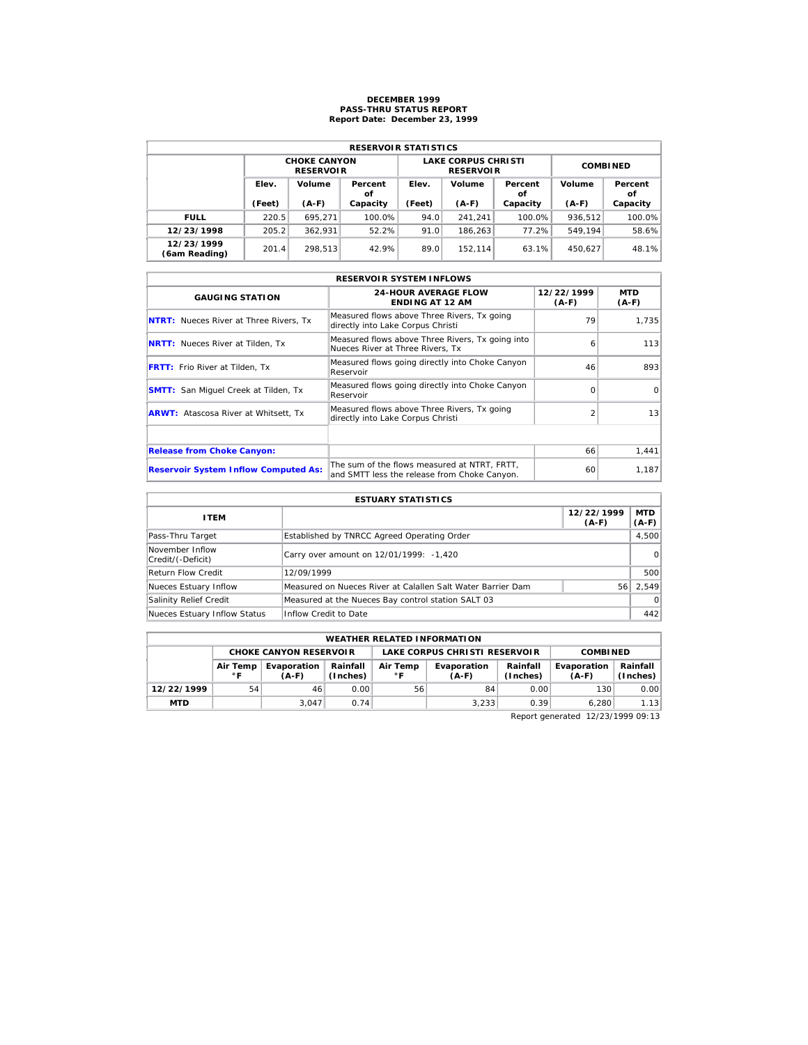## **DECEMBER 1999 PASS-THRU STATUS REPORT Report Date: December 23, 1999**

| <b>RESERVOIR STATISTICS</b> |        |                                         |          |        |                                                |                 |         |               |  |  |  |
|-----------------------------|--------|-----------------------------------------|----------|--------|------------------------------------------------|-----------------|---------|---------------|--|--|--|
|                             |        | <b>CHOKE CANYON</b><br><b>RESERVOIR</b> |          |        | <b>LAKE CORPUS CHRISTI</b><br><b>RESERVOIR</b> | <b>COMBINED</b> |         |               |  |  |  |
|                             | Elev.  | Volume<br>Percent<br>οf                 |          | Elev.  | Volume                                         | Percent<br>οf   | Volume  | Percent<br>οf |  |  |  |
|                             | (Feet) | $(A-F)$                                 | Capacity | (Feet) | $(A-F)$                                        | Capacity        | $(A-F)$ | Capacity      |  |  |  |
| <b>FULL</b>                 | 220.5  | 695.271                                 | 100.0%   | 94.0   | 241.241                                        | $100.0\%$       | 936.512 | 100.0%        |  |  |  |
| 12/23/1998                  | 205.2  | 362.931                                 | 52.2%    | 91.0   | 186.263                                        | 77.2%           | 549.194 | 58.6%         |  |  |  |
| 12/23/1999                  | 201.4  | 298.513                                 | 42.9%    | 89.0   | 152.114                                        | 63.1%           | 450.627 | 48.1%         |  |  |  |

| <b>RESERVOIR SYSTEM INFLOWS</b>               |                                                                                              |                       |                       |  |  |  |  |  |  |
|-----------------------------------------------|----------------------------------------------------------------------------------------------|-----------------------|-----------------------|--|--|--|--|--|--|
| <b>GAUGING STATION</b>                        | <b>24-HOUR AVERAGE FLOW</b><br><b>ENDING AT 12 AM</b>                                        | 12/22/1999<br>$(A-F)$ | <b>MTD</b><br>$(A-F)$ |  |  |  |  |  |  |
| <b>NTRT:</b> Nueces River at Three Rivers, Tx | Measured flows above Three Rivers, Tx going<br>directly into Lake Corpus Christi             | 79                    | 1.735                 |  |  |  |  |  |  |
| <b>NRTT:</b> Nueces River at Tilden, Tx       | Measured flows above Three Rivers, Tx going into<br>Nueces River at Three Rivers, Tx         | 6                     | 113                   |  |  |  |  |  |  |
| <b>FRTT:</b> Frio River at Tilden, Tx         | Measured flows going directly into Choke Canyon<br>Reservoir                                 | 46                    | 893                   |  |  |  |  |  |  |
| <b>SMTT:</b> San Miquel Creek at Tilden, Tx   | Measured flows going directly into Choke Canyon<br>Reservoir                                 | $\Omega$              | $\Omega$              |  |  |  |  |  |  |
| <b>ARWT:</b> Atascosa River at Whitsett, Tx   | Measured flows above Three Rivers, Tx going<br>directly into Lake Corpus Christi             |                       | 13                    |  |  |  |  |  |  |
|                                               |                                                                                              |                       |                       |  |  |  |  |  |  |
| <b>Release from Choke Canyon:</b>             |                                                                                              | 66                    | 1,441                 |  |  |  |  |  |  |
| <b>Reservoir System Inflow Computed As:</b>   | The sum of the flows measured at NTRT, FRTT,<br>and SMTT less the release from Choke Canyon. | 60                    | 1,187                 |  |  |  |  |  |  |

| <b>ESTUARY STATISTICS</b>            |                                                             |                       |                       |  |  |  |  |
|--------------------------------------|-------------------------------------------------------------|-----------------------|-----------------------|--|--|--|--|
| <b>ITEM</b>                          |                                                             | 12/22/1999<br>$(A-F)$ | <b>MTD</b><br>$(A-F)$ |  |  |  |  |
| Pass-Thru Target                     | Established by TNRCC Agreed Operating Order                 |                       | 4,500                 |  |  |  |  |
| November Inflow<br>Credit/(-Deficit) | Carry over amount on 12/01/1999: -1,420                     |                       | $\Omega$              |  |  |  |  |
| <b>Return Flow Credit</b>            | 12/09/1999                                                  |                       | 500                   |  |  |  |  |
| Nueces Estuary Inflow                | Measured on Nueces River at Calallen Salt Water Barrier Dam | 56                    | 2.549                 |  |  |  |  |
| Salinity Relief Credit               | Measured at the Nueces Bay control station SALT 03          |                       | $\Omega$              |  |  |  |  |
| Nueces Estuary Inflow Status         | Inflow Credit to Date                                       |                       | 442                   |  |  |  |  |

|                                                                                   | <b>WEATHER RELATED INFORMATION</b>                                            |       |      |    |                        |                      |                        |                        |  |  |  |
|-----------------------------------------------------------------------------------|-------------------------------------------------------------------------------|-------|------|----|------------------------|----------------------|------------------------|------------------------|--|--|--|
| LAKE CORPUS CHRISTI RESERVOIR<br><b>CHOKE CANYON RESERVOIR</b><br><b>COMBINED</b> |                                                                               |       |      |    |                        |                      |                        |                        |  |  |  |
|                                                                                   | Rainfall<br>Air Temp<br>Evaporation<br>Air Temp<br>(Inches)<br>∘ ⊏<br>$(A-F)$ |       |      |    | Evaporation<br>$(A-F)$ | Rainfall<br>(Inches) | Evaporation<br>$(A-F)$ | Rainfall  <br>(Inches) |  |  |  |
| 12/22/1999                                                                        | 54                                                                            | 46    | 0.00 | 56 | 84                     | 0.00                 | 130                    | 0.00                   |  |  |  |
| <b>MTD</b>                                                                        |                                                                               | 3.047 | 0.74 |    | 3,233                  | 0.39                 | 6.280                  | 1.13                   |  |  |  |

Report generated 12/23/1999 09:13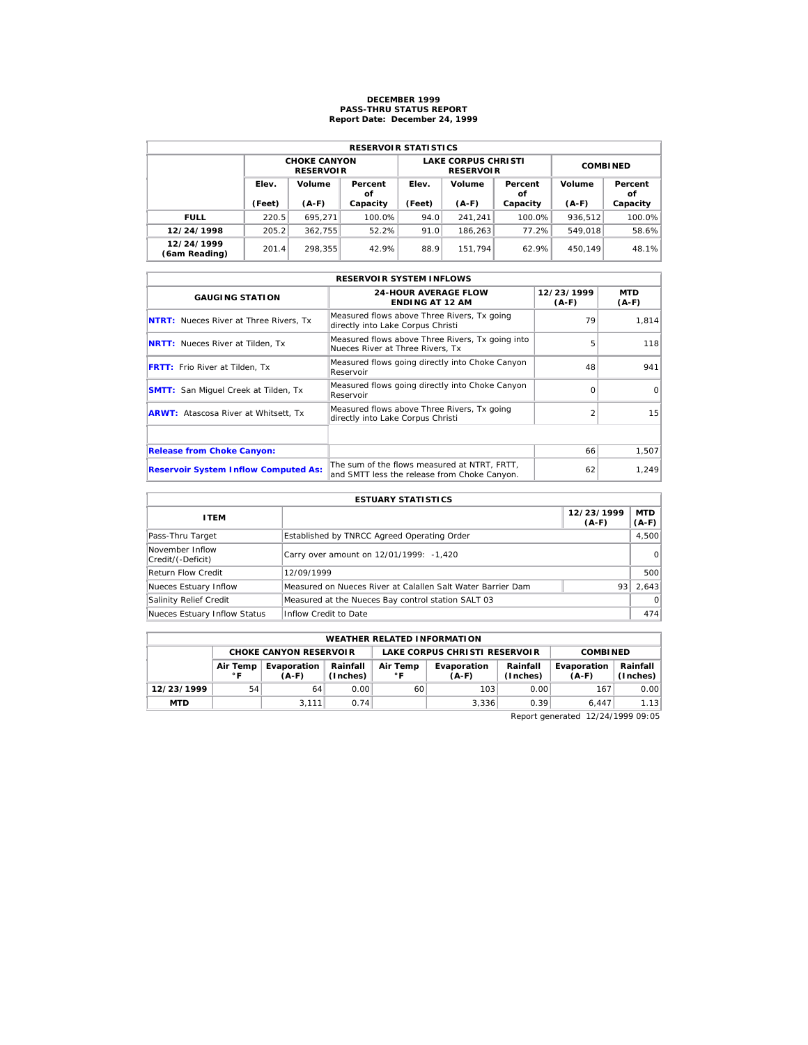## **DECEMBER 1999 PASS-THRU STATUS REPORT Report Date: December 24, 1999**

| <b>RESERVOIR STATISTICS</b> |        |                                         |          |        |                                                |                 |         |               |  |  |  |
|-----------------------------|--------|-----------------------------------------|----------|--------|------------------------------------------------|-----------------|---------|---------------|--|--|--|
|                             |        | <b>CHOKE CANYON</b><br><b>RESERVOIR</b> |          |        | <b>LAKE CORPUS CHRISTI</b><br><b>RESERVOIR</b> | <b>COMBINED</b> |         |               |  |  |  |
|                             | Elev.  | Volume<br>Percent                       |          | Elev.  | Volume                                         | Percent<br>οf   | Volume  | Percent<br>οf |  |  |  |
|                             | (Feet) | $(A-F)$                                 | Capacity | (Feet) | $(A-F)$                                        | Capacity        | $(A-F)$ | Capacity      |  |  |  |
| <b>FULL</b>                 | 220.5  | 695.271                                 | 100.0%   | 94.0   | 241.241                                        | 100.0%          | 936.512 | 100.0%        |  |  |  |
| 12/24/1998                  | 205.2  | 362.755                                 | 52.2%    | 91.0   | 186.263                                        | 77.2%           | 549.018 | 58.6%         |  |  |  |
| 12/24/1999                  | 201.4  | 298.355                                 | 42.9%    | 88.9   | 151.794                                        | 62.9%           | 450.149 | 48.1%         |  |  |  |

| <b>RESERVOIR SYSTEM INFLOWS</b>               |                                                                                              |                       |                 |  |  |  |  |  |  |
|-----------------------------------------------|----------------------------------------------------------------------------------------------|-----------------------|-----------------|--|--|--|--|--|--|
| <b>GAUGING STATION</b>                        | <b>24-HOUR AVERAGE FLOW</b><br><b>ENDING AT 12 AM</b>                                        | 12/23/1999<br>$(A-F)$ | MTD<br>$(A-F)$  |  |  |  |  |  |  |
| <b>NTRT:</b> Nueces River at Three Rivers, Tx | Measured flows above Three Rivers, Tx going<br>directly into Lake Corpus Christi             | 79                    | 1.814           |  |  |  |  |  |  |
| <b>NRTT:</b> Nueces River at Tilden, Tx       | Measured flows above Three Rivers, Tx going into<br>Nueces River at Three Rivers, Tx         | 5                     | 118             |  |  |  |  |  |  |
| <b>FRTT:</b> Frio River at Tilden, Tx         | Measured flows going directly into Choke Canyon<br>Reservoir                                 | 48                    | 941             |  |  |  |  |  |  |
| <b>SMTT:</b> San Miquel Creek at Tilden, Tx   | Measured flows going directly into Choke Canyon<br>Reservoir                                 | $\Omega$              | $\Omega$        |  |  |  |  |  |  |
| <b>ARWT:</b> Atascosa River at Whitsett, Tx   | Measured flows above Three Rivers, Tx going<br>directly into Lake Corpus Christi             |                       | 15 <sup>1</sup> |  |  |  |  |  |  |
|                                               |                                                                                              |                       |                 |  |  |  |  |  |  |
| <b>Release from Choke Canyon:</b>             |                                                                                              | 66                    | 1,507           |  |  |  |  |  |  |
| <b>Reservoir System Inflow Computed As:</b>   | The sum of the flows measured at NTRT, FRTT,<br>and SMTT less the release from Choke Canyon. | 62                    | 1,249           |  |  |  |  |  |  |

| <b>ESTUARY STATISTICS</b>            |                                                             |                       |                       |  |  |  |  |  |
|--------------------------------------|-------------------------------------------------------------|-----------------------|-----------------------|--|--|--|--|--|
| <b>ITEM</b>                          |                                                             | 12/23/1999<br>$(A-F)$ | <b>MTD</b><br>$(A-F)$ |  |  |  |  |  |
| Pass-Thru Target                     | Established by TNRCC Agreed Operating Order                 |                       | 4,500                 |  |  |  |  |  |
| November Inflow<br>Credit/(-Deficit) | Carry over amount on 12/01/1999: -1,420                     |                       | $\Omega$              |  |  |  |  |  |
| Return Flow Credit                   | 12/09/1999                                                  |                       | 500                   |  |  |  |  |  |
| Nueces Estuary Inflow                | Measured on Nueces River at Calallen Salt Water Barrier Dam | 93                    | 2.643                 |  |  |  |  |  |
| Salinity Relief Credit               | Measured at the Nueces Bay control station SALT 03          |                       | $\Omega$              |  |  |  |  |  |
| Nueces Estuary Inflow Status         | Inflow Credit to Date                                       |                       | 474                   |  |  |  |  |  |

|                                                                                   | <b>WEATHER RELATED INFORMATION</b>                               |       |      |    |                        |                      |                        |                        |  |  |  |  |
|-----------------------------------------------------------------------------------|------------------------------------------------------------------|-------|------|----|------------------------|----------------------|------------------------|------------------------|--|--|--|--|
| LAKE CORPUS CHRISTI RESERVOIR<br><b>CHOKE CANYON RESERVOIR</b><br><b>COMBINED</b> |                                                                  |       |      |    |                        |                      |                        |                        |  |  |  |  |
|                                                                                   | Rainfall<br>Evaporation<br>Air Temp<br>(Inches)<br>∘г<br>$(A-F)$ |       |      |    | Evaporation<br>$(A-F)$ | Rainfall<br>(Inches) | Evaporation<br>$(A-F)$ | Rainfall  <br>(Inches) |  |  |  |  |
| 12/23/1999                                                                        | 54                                                               | 64    | 0.00 | 60 | 103                    | 0.00                 | 167                    | 0.00                   |  |  |  |  |
| <b>MTD</b>                                                                        |                                                                  | 3.111 | 0.74 |    | 3.336                  | 0.39                 | 6.447                  | 1.13                   |  |  |  |  |

Report generated 12/24/1999 09:05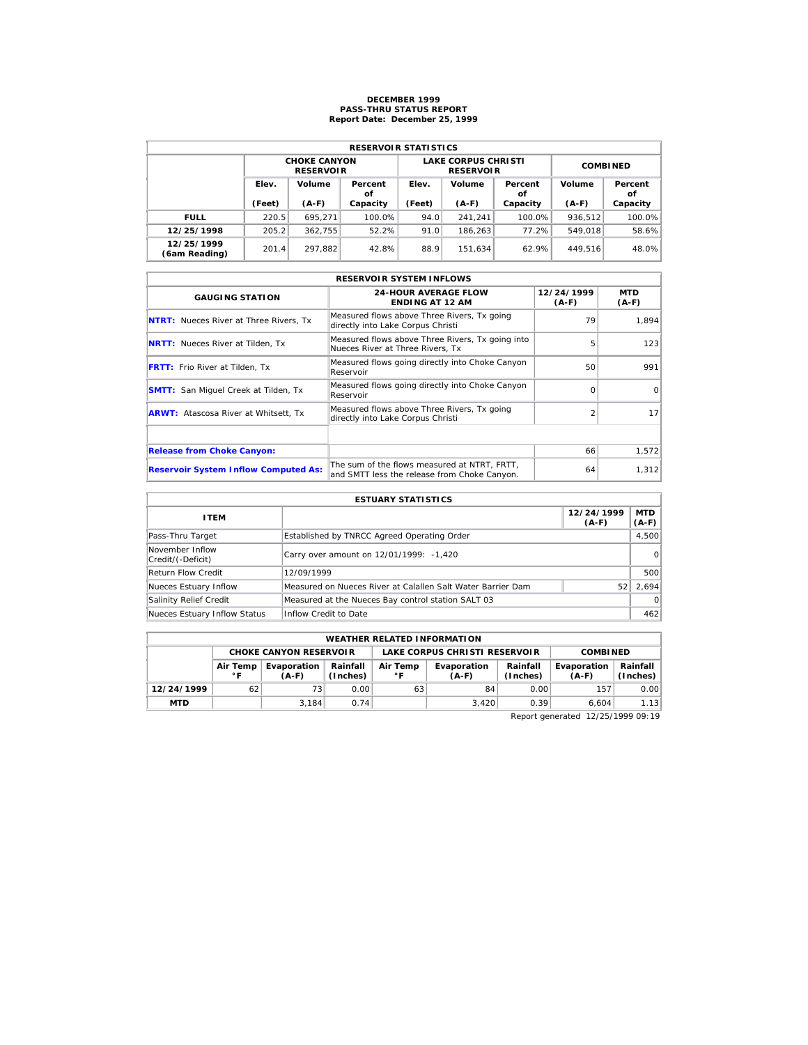## **DECEMBER 1999 PASS-THRU STATUS REPORT Report Date: December 25, 1999**

| <b>RESERVOIR STATISTICS</b> |                 |                                         |               |        |                                                |                 |         |               |  |  |  |
|-----------------------------|-----------------|-----------------------------------------|---------------|--------|------------------------------------------------|-----------------|---------|---------------|--|--|--|
|                             |                 | <b>CHOKE CANYON</b><br><b>RESERVOIR</b> |               |        | <b>LAKE CORPUS CHRISTI</b><br><b>RESERVOIR</b> | <b>COMBINED</b> |         |               |  |  |  |
|                             | Elev.<br>Volume |                                         | Percent<br>οf | Elev.  | Volume                                         | Percent<br>οf   | Volume  | Percent<br>οf |  |  |  |
|                             | (Feet)          | $(A-F)$                                 | Capacity      | (Feet) | $(A-F)$                                        | Capacity        | $(A-F)$ | Capacity      |  |  |  |
| <b>FULL</b>                 | 220.5           | 695.271                                 | 100.0%        | 94.0   | 241.241                                        | 100.0%          | 936.512 | 100.0%        |  |  |  |
| 12/25/1998                  | 205.2           | 362.755                                 | 52.2%         | 91.0   | 186.263                                        | 77.2%           | 549.018 | 58.6%         |  |  |  |
| 12/25/1999<br>(6am Reading) | 201.4           | 297.882                                 | 42.8%         | 88.9   | 151.634                                        | 62.9%           | 449.516 | 48.0%         |  |  |  |

| <b>RESERVOIR SYSTEM INFLOWS</b>               |                                                                                              |                       |                       |  |  |  |  |  |  |
|-----------------------------------------------|----------------------------------------------------------------------------------------------|-----------------------|-----------------------|--|--|--|--|--|--|
| <b>GAUGING STATION</b>                        | <b>24-HOUR AVERAGE FLOW</b><br><b>ENDING AT 12 AM</b>                                        | 12/24/1999<br>$(A-F)$ | <b>MTD</b><br>$(A-F)$ |  |  |  |  |  |  |
| <b>NTRT:</b> Nueces River at Three Rivers, Tx | Measured flows above Three Rivers, Tx going<br>directly into Lake Corpus Christi             | 79                    | 1.894                 |  |  |  |  |  |  |
| <b>NRTT:</b> Nueces River at Tilden, Tx       | Measured flows above Three Rivers, Tx going into<br>Nueces River at Three Rivers. Tx         | 5                     | 123                   |  |  |  |  |  |  |
| <b>FRTT:</b> Frio River at Tilden, Tx         | Measured flows going directly into Choke Canyon<br>Reservoir                                 | 50                    | 991                   |  |  |  |  |  |  |
| <b>SMTT:</b> San Miguel Creek at Tilden, Tx   | Measured flows going directly into Choke Canyon<br>Reservoir                                 | $\Omega$              | $\Omega$              |  |  |  |  |  |  |
| <b>ARWT:</b> Atascosa River at Whitsett, Tx   | Measured flows above Three Rivers, Tx going<br>directly into Lake Corpus Christi             |                       | 17                    |  |  |  |  |  |  |
|                                               |                                                                                              |                       |                       |  |  |  |  |  |  |
| <b>Release from Choke Canyon:</b>             |                                                                                              | 66                    | 1,572                 |  |  |  |  |  |  |
| <b>Reservoir System Inflow Computed As:</b>   | The sum of the flows measured at NTRT. FRTT.<br>and SMTT less the release from Choke Canyon. | 64                    | 1,312                 |  |  |  |  |  |  |

| <b>ESTUARY STATISTICS</b>            |                                                             |                       |                       |  |  |  |  |  |
|--------------------------------------|-------------------------------------------------------------|-----------------------|-----------------------|--|--|--|--|--|
| <b>ITEM</b>                          |                                                             | 12/24/1999<br>$(A-F)$ | <b>MTD</b><br>$(A-F)$ |  |  |  |  |  |
| Pass-Thru Target                     | Established by TNRCC Agreed Operating Order                 |                       | 4,500                 |  |  |  |  |  |
| November Inflow<br>Credit/(-Deficit) | Carry over amount on 12/01/1999: -1,420                     |                       | $\Omega$              |  |  |  |  |  |
| Return Flow Credit                   | 12/09/1999                                                  |                       | 500                   |  |  |  |  |  |
| Nueces Estuary Inflow                | Measured on Nueces River at Calallen Salt Water Barrier Dam | 52                    | 2.694                 |  |  |  |  |  |
| Salinity Relief Credit               | Measured at the Nueces Bay control station SALT 03          |                       | $\Omega$              |  |  |  |  |  |
| Nueces Estuary Inflow Status         | Inflow Credit to Date                                       |                       | 462                   |  |  |  |  |  |

|            | <b>WEATHER RELATED INFORMATION</b>                                            |                               |      |    |                               |                      |                        |                        |  |  |  |
|------------|-------------------------------------------------------------------------------|-------------------------------|------|----|-------------------------------|----------------------|------------------------|------------------------|--|--|--|
|            |                                                                               | <b>CHOKE CANYON RESERVOIR</b> |      |    | LAKE CORPUS CHRISTI RESERVOIR | <b>COMBINED</b>      |                        |                        |  |  |  |
|            | Rainfall<br>Air Temp<br>Evaporation<br>Air Temp<br>(Inches)<br>∘ ⊏<br>$(A-F)$ |                               |      |    | Evaporation<br>$(A-F)$        | Rainfall<br>(Inches) | Evaporation<br>$(A-F)$ | Rainfall  <br>(Inches) |  |  |  |
| 12/24/1999 | 62                                                                            | 73.                           | 0.00 | 63 | 84                            | 0.00                 | 157                    | 0.00                   |  |  |  |
| <b>MTD</b> |                                                                               | 3.184                         | 0.74 |    | 3.420                         | 0.39                 | 6.604                  | 1.13                   |  |  |  |

Report generated 12/25/1999 09:19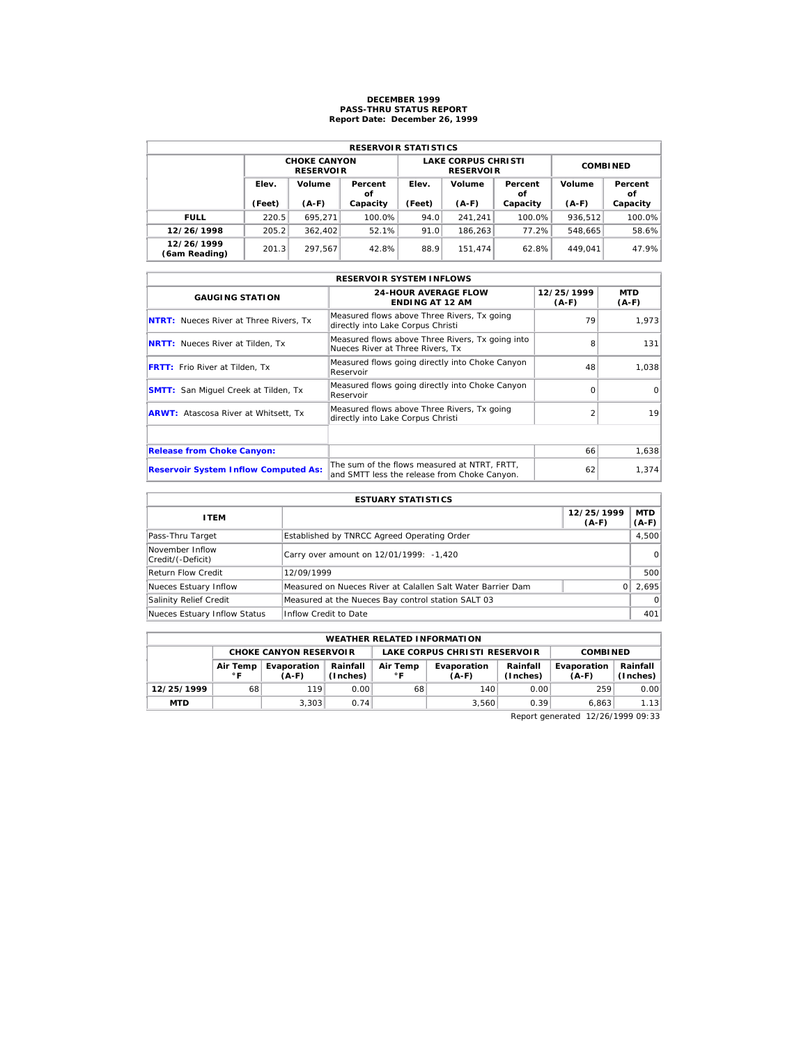## **DECEMBER 1999 PASS-THRU STATUS REPORT Report Date: December 26, 1999**

| <b>RESERVOIR STATISTICS</b> |                 |                                         |               |        |                                                |                 |         |               |  |  |  |
|-----------------------------|-----------------|-----------------------------------------|---------------|--------|------------------------------------------------|-----------------|---------|---------------|--|--|--|
|                             |                 | <b>CHOKE CANYON</b><br><b>RESERVOIR</b> |               |        | <b>LAKE CORPUS CHRISTI</b><br><b>RESERVOIR</b> | <b>COMBINED</b> |         |               |  |  |  |
|                             | Elev.<br>Volume |                                         | Percent<br>οf | Elev.  | Volume                                         | Percent<br>οf   | Volume  | Percent<br>οf |  |  |  |
|                             | (Feet)          | $(A-F)$                                 | Capacity      | (Feet) | $(A-F)$                                        | Capacity        | $(A-F)$ | Capacity      |  |  |  |
| <b>FULL</b>                 | 220.5           | 695.271                                 | 100.0%        | 94.0   | 241.241                                        | 100.0%          | 936.512 | 100.0%        |  |  |  |
| 12/26/1998                  | 205.2           | 362,402                                 | 52.1%         | 91.0   | 186.263                                        | 77.2%           | 548.665 | 58.6%         |  |  |  |
| 12/26/1999<br>(6am Reading) | 201.3           | 297.567                                 | 42.8%         | 88.9   | 151.474                                        | 62.8%           | 449.041 | 47.9%         |  |  |  |

| <b>RESERVOIR SYSTEM INFLOWS</b>               |                                                                                              |                       |                |  |  |  |  |  |  |
|-----------------------------------------------|----------------------------------------------------------------------------------------------|-----------------------|----------------|--|--|--|--|--|--|
| <b>GAUGING STATION</b>                        | <b>24-HOUR AVERAGE FLOW</b><br><b>ENDING AT 12 AM</b>                                        | 12/25/1999<br>$(A-F)$ | MTD<br>$(A-F)$ |  |  |  |  |  |  |
| <b>NTRT:</b> Nueces River at Three Rivers, Tx | Measured flows above Three Rivers, Tx going<br>directly into Lake Corpus Christi             | 79                    | 1.973          |  |  |  |  |  |  |
| <b>NRTT:</b> Nueces River at Tilden, Tx       | Measured flows above Three Rivers, Tx going into<br>Nueces River at Three Rivers, Tx         | 8                     | 131            |  |  |  |  |  |  |
| <b>FRTT:</b> Frio River at Tilden, Tx         | Measured flows going directly into Choke Canyon<br>Reservoir                                 | 48                    | 1.038          |  |  |  |  |  |  |
| <b>SMTT:</b> San Miquel Creek at Tilden, Tx   | Measured flows going directly into Choke Canyon<br>Reservoir                                 | $\Omega$              | $\Omega$       |  |  |  |  |  |  |
| <b>ARWT:</b> Atascosa River at Whitsett, Tx   | Measured flows above Three Rivers, Tx going<br>directly into Lake Corpus Christi             |                       | 19             |  |  |  |  |  |  |
|                                               |                                                                                              |                       |                |  |  |  |  |  |  |
| <b>Release from Choke Canyon:</b>             |                                                                                              | 66                    | 1,638          |  |  |  |  |  |  |
| <b>Reservoir System Inflow Computed As:</b>   | The sum of the flows measured at NTRT, FRTT,<br>and SMTT less the release from Choke Canyon. | 62                    | 1,374          |  |  |  |  |  |  |

| <b>ESTUARY STATISTICS</b>            |                                                             |                       |                       |  |  |  |  |  |
|--------------------------------------|-------------------------------------------------------------|-----------------------|-----------------------|--|--|--|--|--|
| <b>ITEM</b>                          |                                                             | 12/25/1999<br>$(A-F)$ | <b>MTD</b><br>$(A-F)$ |  |  |  |  |  |
| Pass-Thru Target                     | Established by TNRCC Agreed Operating Order                 |                       | 4,500                 |  |  |  |  |  |
| November Inflow<br>Credit/(-Deficit) | Carry over amount on 12/01/1999: -1,420                     |                       | $\Omega$              |  |  |  |  |  |
| Return Flow Credit                   | 12/09/1999                                                  |                       | 500                   |  |  |  |  |  |
| Nueces Estuary Inflow                | Measured on Nueces River at Calallen Salt Water Barrier Dam |                       | 2.695                 |  |  |  |  |  |
| Salinity Relief Credit               | Measured at the Nueces Bay control station SALT 03          |                       | $\Omega$              |  |  |  |  |  |
| Nueces Estuary Inflow Status         | Inflow Credit to Date                                       |                       | 401                   |  |  |  |  |  |

| <b>WEATHER RELATED INFORMATION</b> |                                                                   |                               |      |    |                               |                      |                        |                        |  |  |
|------------------------------------|-------------------------------------------------------------------|-------------------------------|------|----|-------------------------------|----------------------|------------------------|------------------------|--|--|
|                                    |                                                                   | <b>CHOKE CANYON RESERVOIR</b> |      |    | LAKE CORPUS CHRISTI RESERVOIR |                      | <b>COMBINED</b>        |                        |  |  |
|                                    | Rainfall<br>Evaporation<br>Air Temp<br>(Inches)<br>∘ ⊏<br>$(A-F)$ |                               |      |    | Evaporation<br>$(A-F)$        | Rainfall<br>(Inches) | Evaporation<br>$(A-F)$ | Rainfall  <br>(Inches) |  |  |
| 12/25/1999                         | 68                                                                | 119                           | 0.00 | 68 | 140                           | 0.00                 | 259                    | 0.00                   |  |  |
| <b>MTD</b>                         |                                                                   | 3.303                         | 0.74 |    | 3.560                         | 0.39                 | 6.863                  | 1.13                   |  |  |

Report generated 12/26/1999 09:33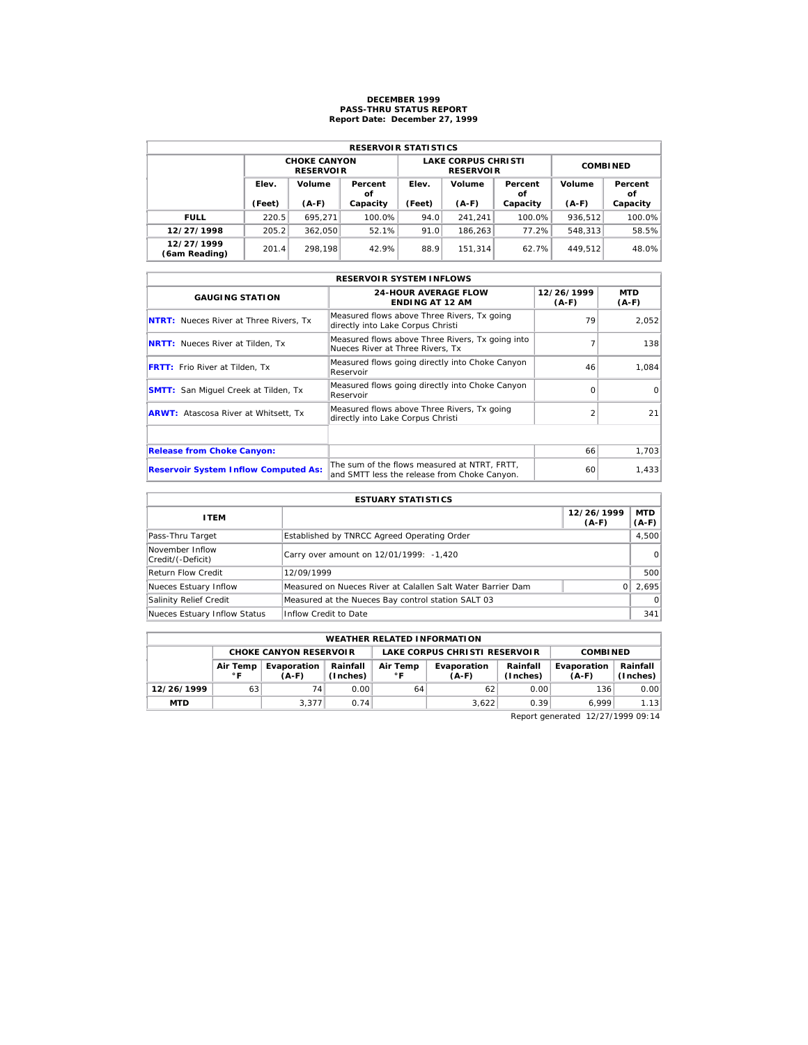## **DECEMBER 1999 PASS-THRU STATUS REPORT Report Date: December 27, 1999**

| <b>RESERVOIR STATISTICS</b> |        |                                         |          |        |                                                |                 |         |               |  |  |  |
|-----------------------------|--------|-----------------------------------------|----------|--------|------------------------------------------------|-----------------|---------|---------------|--|--|--|
|                             |        | <b>CHOKE CANYON</b><br><b>RESERVOIR</b> |          |        | <b>LAKE CORPUS CHRISTI</b><br><b>RESERVOIR</b> | <b>COMBINED</b> |         |               |  |  |  |
|                             | Elev.  | Volume<br>Percent<br>οf                 |          | Elev.  | Volume                                         | Percent<br>οf   | Volume  | Percent<br>οf |  |  |  |
|                             | (Feet) | $(A-F)$                                 | Capacity | (Feet) | $(A-F)$                                        | Capacity        | $(A-F)$ | Capacity      |  |  |  |
| <b>FULL</b>                 | 220.5  | 695.271                                 | 100.0%   | 94.0   | 241.241                                        | $100.0\%$       | 936.512 | 100.0%        |  |  |  |
| 12/27/1998                  | 205.2  | 362.050                                 | 52.1%    | 91.0   | 186.263                                        | 77.2%           | 548.313 | 58.5%         |  |  |  |
| 12/27/1999                  | 201.4  | 298.198                                 | 42.9%    | 88.9   | 151.314                                        | 62.7%           | 449.512 | 48.0%         |  |  |  |

| <b>RESERVOIR SYSTEM INFLOWS</b>               |                                                                                              |                       |                       |  |  |  |  |  |  |
|-----------------------------------------------|----------------------------------------------------------------------------------------------|-----------------------|-----------------------|--|--|--|--|--|--|
| <b>GAUGING STATION</b>                        | <b>24-HOUR AVERAGE FLOW</b><br><b>ENDING AT 12 AM</b>                                        | 12/26/1999<br>$(A-F)$ | <b>MTD</b><br>$(A-F)$ |  |  |  |  |  |  |
| <b>NTRT:</b> Nueces River at Three Rivers, Tx | Measured flows above Three Rivers, Tx going<br>directly into Lake Corpus Christi             | 79                    | 2.052                 |  |  |  |  |  |  |
| <b>NRTT:</b> Nueces River at Tilden, Tx       | Measured flows above Three Rivers, Tx going into<br>Nueces River at Three Rivers, Tx         |                       | 138                   |  |  |  |  |  |  |
| <b>FRTT:</b> Frio River at Tilden, Tx         | Measured flows going directly into Choke Canyon<br>Reservoir                                 | 46                    | 1.084                 |  |  |  |  |  |  |
| <b>SMTT:</b> San Miquel Creek at Tilden, Tx   | Measured flows going directly into Choke Canyon<br>Reservoir                                 | $\Omega$              | $\Omega$              |  |  |  |  |  |  |
| <b>ARWT:</b> Atascosa River at Whitsett, Tx   | Measured flows above Three Rivers, Tx going<br>directly into Lake Corpus Christi             |                       | 21                    |  |  |  |  |  |  |
|                                               |                                                                                              |                       |                       |  |  |  |  |  |  |
| <b>Release from Choke Canyon:</b>             |                                                                                              | 66                    | 1,703                 |  |  |  |  |  |  |
| <b>Reservoir System Inflow Computed As:</b>   | The sum of the flows measured at NTRT, FRTT,<br>and SMTT less the release from Choke Canyon. | 60                    | 1,433                 |  |  |  |  |  |  |

| <b>ESTUARY STATISTICS</b>            |                                                             |                       |                       |  |  |  |  |  |
|--------------------------------------|-------------------------------------------------------------|-----------------------|-----------------------|--|--|--|--|--|
| <b>ITEM</b>                          |                                                             | 12/26/1999<br>$(A-F)$ | <b>MTD</b><br>$(A-F)$ |  |  |  |  |  |
| Pass-Thru Target                     | Established by TNRCC Agreed Operating Order                 |                       | 4,500                 |  |  |  |  |  |
| November Inflow<br>Credit/(-Deficit) | Carry over amount on 12/01/1999: -1,420                     |                       | $\Omega$              |  |  |  |  |  |
| <b>Return Flow Credit</b>            | 12/09/1999                                                  |                       | 500                   |  |  |  |  |  |
| Nueces Estuary Inflow                | Measured on Nueces River at Calallen Salt Water Barrier Dam |                       | 2.695                 |  |  |  |  |  |
| Salinity Relief Credit               | Measured at the Nueces Bay control station SALT 03          |                       | $\Omega$              |  |  |  |  |  |
| Nueces Estuary Inflow Status         | Inflow Credit to Date                                       |                       | 341                   |  |  |  |  |  |

| <b>WEATHER RELATED INFORMATION</b>                             |                                                                                                        |       |      |    |                        |                      |                        |                      |  |  |
|----------------------------------------------------------------|--------------------------------------------------------------------------------------------------------|-------|------|----|------------------------|----------------------|------------------------|----------------------|--|--|
| LAKE CORPUS CHRISTI RESERVOIR<br><b>CHOKE CANYON RESERVOIR</b> |                                                                                                        |       |      |    |                        |                      | <b>COMBINED</b>        |                      |  |  |
|                                                                | Rainfall<br>Air Temp<br>Evaporation<br>Air Temp<br>(Inches)<br>$^{\circ}$ F<br>$^{\circ}$ F<br>$(A-F)$ |       |      |    | Evaporation<br>$(A-F)$ | Rainfall<br>(Inches) | Evaporation<br>$(A-F)$ | Rainfall<br>(Inches) |  |  |
| 12/26/1999                                                     | 63                                                                                                     | 74    | 0.00 | 64 | 62                     | 0.00                 | 136                    | 0.00                 |  |  |
| <b>MTD</b>                                                     |                                                                                                        | 3.377 | 0.74 |    | 3.622                  | 0.39                 | 6.999                  | 1.13                 |  |  |

Report generated 12/27/1999 09:14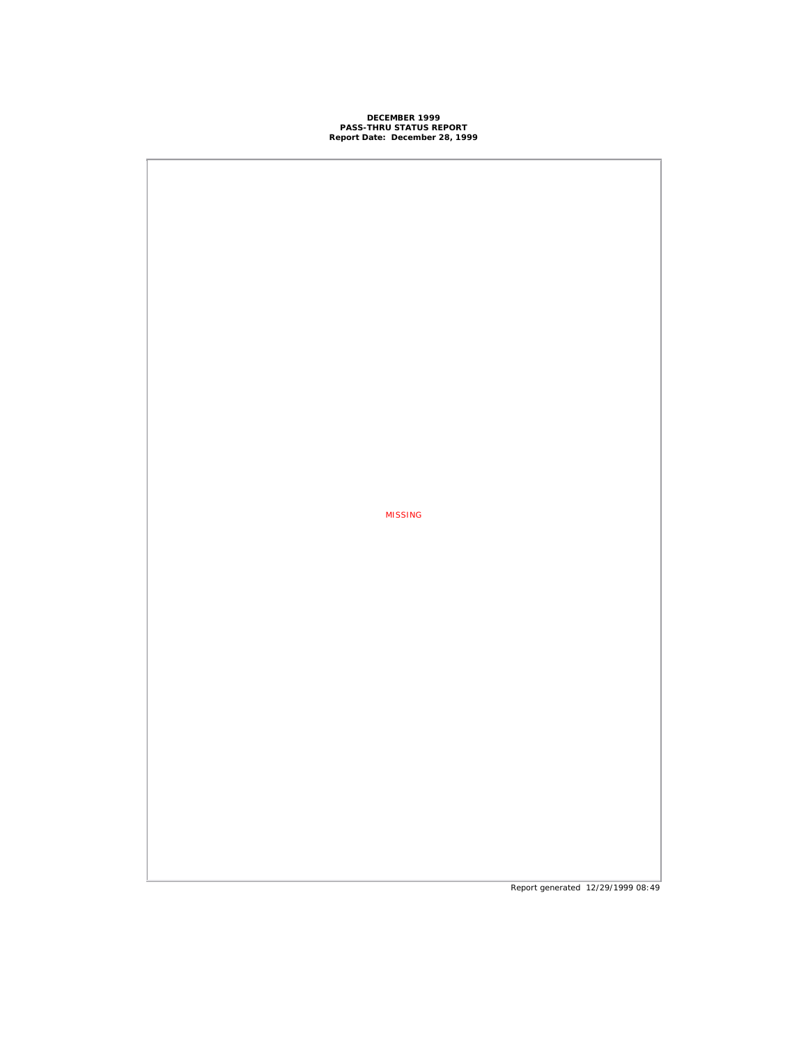# **DECEMBER 1999 PASS-THRU STATUS REPORT Report Date: December 28, 1999**

MISSING

Report generated 12/29/1999 08:49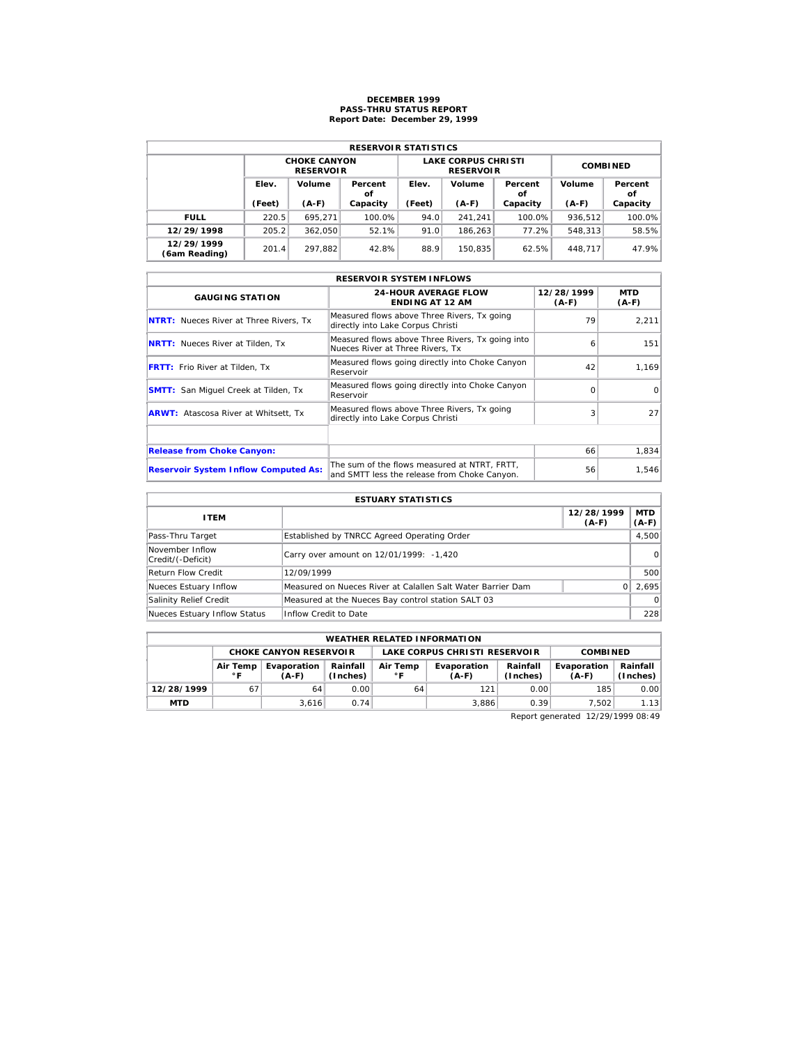## **DECEMBER 1999 PASS-THRU STATUS REPORT Report Date: December 29, 1999**

| <b>RESERVOIR STATISTICS</b> |                       |                                         |          |        |                                                |                 |         |               |  |  |  |
|-----------------------------|-----------------------|-----------------------------------------|----------|--------|------------------------------------------------|-----------------|---------|---------------|--|--|--|
|                             |                       | <b>CHOKE CANYON</b><br><b>RESERVOIR</b> |          |        | <b>LAKE CORPUS CHRISTI</b><br><b>RESERVOIR</b> | <b>COMBINED</b> |         |               |  |  |  |
|                             | Elev.<br>Volume<br>οf |                                         | Percent  | Elev.  | Volume                                         | Percent<br>οf   | Volume  | Percent<br>οf |  |  |  |
|                             | (Feet)                | $(A-F)$                                 | Capacity | (Feet) | $(A-F)$                                        | Capacity        | $(A-F)$ | Capacity      |  |  |  |
| <b>FULL</b>                 | 220.5                 | 695.271                                 | 100.0%   | 94.0   | 241.241                                        | 100.0%          | 936.512 | 100.0%        |  |  |  |
| 12/29/1998                  | 205.2                 | 362.050                                 | 52.1%    | 91.0   | 186.263                                        | 77.2%           | 548.313 | 58.5%         |  |  |  |
| 12/29/1999                  | 201.4                 | 297.882                                 | 42.8%    | 88.9   | 150.835                                        | 62.5%           | 448.717 | 47.9%         |  |  |  |

| <b>RESERVOIR SYSTEM INFLOWS</b>               |                                                                                              |                       |                 |  |  |  |  |  |  |
|-----------------------------------------------|----------------------------------------------------------------------------------------------|-----------------------|-----------------|--|--|--|--|--|--|
| <b>GAUGING STATION</b>                        | <b>24-HOUR AVERAGE FLOW</b><br><b>ENDING AT 12 AM</b>                                        | 12/28/1999<br>$(A-F)$ | MTD<br>$(A-F)$  |  |  |  |  |  |  |
| <b>NTRT:</b> Nueces River at Three Rivers, Tx | Measured flows above Three Rivers, Tx going<br>directly into Lake Corpus Christi             | 79                    | 2.211           |  |  |  |  |  |  |
| <b>NRTT:</b> Nueces River at Tilden, Tx       | Measured flows above Three Rivers, Tx going into<br>Nueces River at Three Rivers, Tx         | 6                     | 151             |  |  |  |  |  |  |
| <b>FRTT:</b> Frio River at Tilden, Tx         | Measured flows going directly into Choke Canyon<br>Reservoir                                 | 42                    | 1.169           |  |  |  |  |  |  |
| <b>SMTT:</b> San Miguel Creek at Tilden, Tx   | Measured flows going directly into Choke Canyon<br>Reservoir                                 | $\Omega$              | $\Omega$        |  |  |  |  |  |  |
| <b>ARWT:</b> Atascosa River at Whitsett, Tx   | Measured flows above Three Rivers, Tx going<br>directly into Lake Corpus Christi             | 3                     | 27 <sup>1</sup> |  |  |  |  |  |  |
|                                               |                                                                                              |                       |                 |  |  |  |  |  |  |
| <b>Release from Choke Canyon:</b>             |                                                                                              | 66                    | 1,834           |  |  |  |  |  |  |
| <b>Reservoir System Inflow Computed As:</b>   | The sum of the flows measured at NTRT. FRTT.<br>and SMTT less the release from Choke Canyon. | 56                    | 1,546           |  |  |  |  |  |  |

| <b>ESTUARY STATISTICS</b>            |                                                             |                       |                       |  |  |  |  |
|--------------------------------------|-------------------------------------------------------------|-----------------------|-----------------------|--|--|--|--|
| <b>ITEM</b>                          |                                                             | 12/28/1999<br>$(A-F)$ | <b>MTD</b><br>$(A-F)$ |  |  |  |  |
| Pass-Thru Target                     | Established by TNRCC Agreed Operating Order                 |                       | 4,500                 |  |  |  |  |
| November Inflow<br>Credit/(-Deficit) | Carry over amount on 12/01/1999: -1,420                     |                       | $\Omega$              |  |  |  |  |
| Return Flow Credit                   | 12/09/1999                                                  |                       | 500                   |  |  |  |  |
| Nueces Estuary Inflow                | Measured on Nueces River at Calallen Salt Water Barrier Dam |                       | 2.695                 |  |  |  |  |
| Salinity Relief Credit               | Measured at the Nueces Bay control station SALT 03          |                       | $\Omega$              |  |  |  |  |
| Nueces Estuary Inflow Status         | Inflow Credit to Date                                       |                       | 228                   |  |  |  |  |

| <b>WEATHER RELATED INFORMATION</b>                                                |                                                                   |       |      |    |                        |                      |                        |                        |  |  |
|-----------------------------------------------------------------------------------|-------------------------------------------------------------------|-------|------|----|------------------------|----------------------|------------------------|------------------------|--|--|
| LAKE CORPUS CHRISTI RESERVOIR<br><b>CHOKE CANYON RESERVOIR</b><br><b>COMBINED</b> |                                                                   |       |      |    |                        |                      |                        |                        |  |  |
|                                                                                   | Rainfall<br>Evaporation<br>Air Temp<br>(Inches)<br>∘ ⊏<br>$(A-F)$ |       |      |    | Evaporation<br>$(A-F)$ | Rainfall<br>(Inches) | Evaporation<br>$(A-F)$ | Rainfall  <br>(Inches) |  |  |
| 12/28/1999                                                                        | 67                                                                | 64    | 0.00 | 64 | 121                    | 0.00                 | 185                    | 0.00                   |  |  |
| <b>MTD</b>                                                                        |                                                                   | 3.616 | 0.74 |    | 3.886                  | 0.39                 | 7.502                  | 1.13                   |  |  |

Report generated 12/29/1999 08:49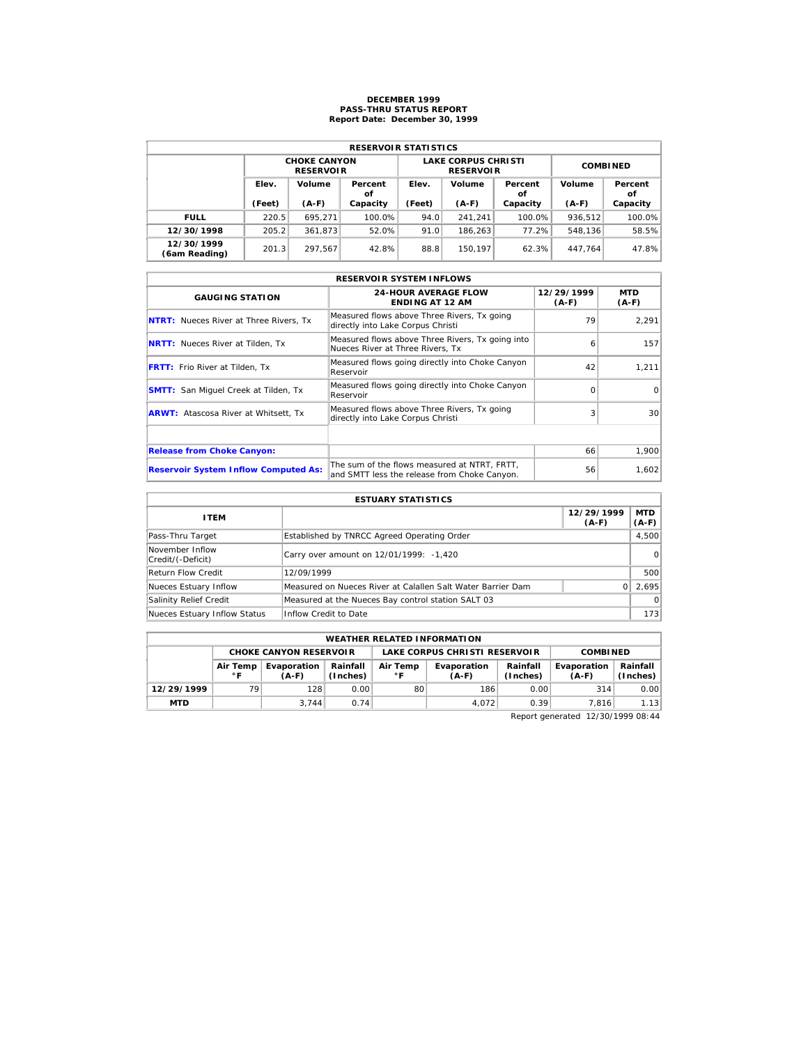## **DECEMBER 1999 PASS-THRU STATUS REPORT Report Date: December 30, 1999**

| <b>RESERVOIR STATISTICS</b> |                 |                                         |               |        |                                                |                 |         |               |  |  |  |
|-----------------------------|-----------------|-----------------------------------------|---------------|--------|------------------------------------------------|-----------------|---------|---------------|--|--|--|
|                             |                 | <b>CHOKE CANYON</b><br><b>RESERVOIR</b> |               |        | <b>LAKE CORPUS CHRISTI</b><br><b>RESERVOIR</b> | <b>COMBINED</b> |         |               |  |  |  |
|                             | Elev.<br>Volume |                                         | Percent<br>οf | Elev.  | Volume                                         | Percent<br>οf   | Volume  | Percent<br>οf |  |  |  |
|                             | (Feet)          | $(A-F)$                                 | Capacity      | (Feet) | $(A-F)$                                        | Capacity        | $(A-F)$ | Capacity      |  |  |  |
| <b>FULL</b>                 | 220.5           | 695.271                                 | 100.0%        | 94.0   | 241.241                                        | $100.0\%$       | 936.512 | 100.0%        |  |  |  |
| 12/30/1998                  | 205.2           | 361.873                                 | 52.0%         | 91.0   | 186.263                                        | 77.2%           | 548.136 | 58.5%         |  |  |  |
| 12/30/1999                  | 201.3           | 297.567                                 | 42.8%         | 88.8   | 150.197                                        | 62.3%           | 447.764 | 47.8%         |  |  |  |

|                                               | <b>RESERVOIR SYSTEM INFLOWS</b>                                                              |                       |                       |
|-----------------------------------------------|----------------------------------------------------------------------------------------------|-----------------------|-----------------------|
| <b>GAUGING STATION</b>                        | <b>24-HOUR AVERAGE FLOW</b><br><b>ENDING AT 12 AM</b>                                        | 12/29/1999<br>$(A-F)$ | <b>MTD</b><br>$(A-F)$ |
| <b>NTRT:</b> Nueces River at Three Rivers, Tx | Measured flows above Three Rivers, Tx going<br>directly into Lake Corpus Christi             | 79                    | 2.291                 |
| <b>NRTT:</b> Nueces River at Tilden, Tx       | Measured flows above Three Rivers, Tx going into<br>Nueces River at Three Rivers, Tx         | 6                     | 157                   |
| <b>FRTT:</b> Frio River at Tilden, Tx         | Measured flows going directly into Choke Canyon<br>Reservoir                                 | 42                    | 1,211                 |
| <b>SMTT:</b> San Miquel Creek at Tilden, Tx   | Measured flows going directly into Choke Canyon<br>Reservoir                                 | $\Omega$              | $\Omega$              |
| <b>ARWT:</b> Atascosa River at Whitsett, Tx   | Measured flows above Three Rivers, Tx going<br>directly into Lake Corpus Christi             | 3                     | 30 <sup>1</sup>       |
|                                               |                                                                                              |                       |                       |
| <b>Release from Choke Canyon:</b>             |                                                                                              | 66                    | 1,900                 |
| <b>Reservoir System Inflow Computed As:</b>   | The sum of the flows measured at NTRT, FRTT,<br>and SMTT less the release from Choke Canyon. | 56                    | 1,602                 |

| <b>ESTUARY STATISTICS</b>            |                                                             |                       |                       |  |  |  |  |
|--------------------------------------|-------------------------------------------------------------|-----------------------|-----------------------|--|--|--|--|
| <b>ITEM</b>                          |                                                             | 12/29/1999<br>$(A-F)$ | <b>MTD</b><br>$(A-F)$ |  |  |  |  |
| Pass-Thru Target                     | Established by TNRCC Agreed Operating Order                 |                       | 4,500                 |  |  |  |  |
| November Inflow<br>Credit/(-Deficit) | Carry over amount on 12/01/1999: -1,420                     |                       | $\Omega$              |  |  |  |  |
| <b>Return Flow Credit</b>            | 12/09/1999                                                  |                       | 500                   |  |  |  |  |
| Nueces Estuary Inflow                | Measured on Nueces River at Calallen Salt Water Barrier Dam |                       | 2.695                 |  |  |  |  |
| Salinity Relief Credit               | Measured at the Nueces Bay control station SALT 03          |                       | $\Omega$              |  |  |  |  |
| Nueces Estuary Inflow Status         | Inflow Credit to Date                                       |                       | 173                   |  |  |  |  |

| <b>WEATHER RELATED INFORMATION</b> |                                                                                        |                               |      |    |                               |                      |                        |                      |  |  |
|------------------------------------|----------------------------------------------------------------------------------------|-------------------------------|------|----|-------------------------------|----------------------|------------------------|----------------------|--|--|
|                                    |                                                                                        | <b>CHOKE CANYON RESERVOIR</b> |      |    | LAKE CORPUS CHRISTI RESERVOIR |                      | <b>COMBINED</b>        |                      |  |  |
|                                    | Rainfall<br>Air Temp<br>Evaporation<br>Air Temp<br>(Inches)<br>$^{\circ}$ F<br>$(A-F)$ |                               |      |    | Evaporation<br>$(A-F)$        | Rainfall<br>(Inches) | Evaporation<br>$(A-F)$ | Rainfall<br>(Inches) |  |  |
| 12/29/1999                         | 79                                                                                     | 128                           | 0.00 | 80 | 186                           | 0.00                 | 314                    | 0.00                 |  |  |
| <b>MTD</b>                         |                                                                                        | 3.744                         | 0.74 |    | 4.072                         | 0.39                 | 7.816                  | 1.13                 |  |  |

Report generated 12/30/1999 08:44